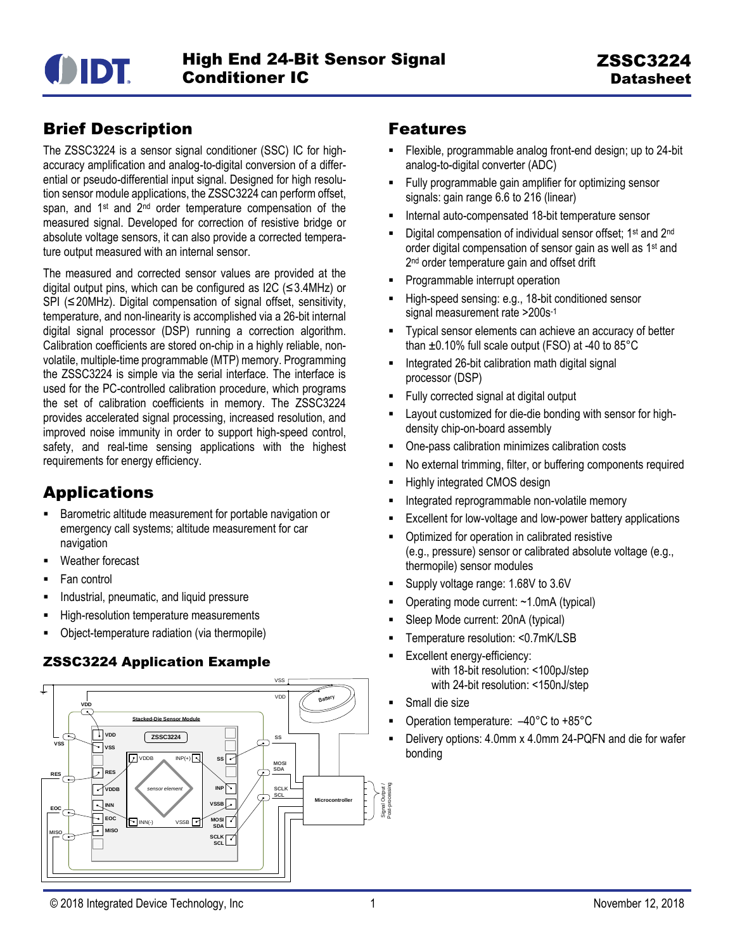

## Brief Description

The ZSSC3224 is a sensor signal conditioner (SSC) IC for highaccuracy amplification and analog-to-digital conversion of a differential or pseudo-differential input signal. Designed for high resolution sensor module applications, the ZSSC3224 can perform offset, span, and 1<sup>st</sup> and 2<sup>nd</sup> order temperature compensation of the measured signal. Developed for correction of resistive bridge or absolute voltage sensors, it can also provide a corrected temperature output measured with an internal sensor.

The measured and corrected sensor values are provided at the digital output pins, which can be configured as I2C (≤3.4MHz) or SPI (≤20MHz). Digital compensation of signal offset, sensitivity, temperature, and non-linearity is accomplished via a 26-bit internal digital signal processor (DSP) running a correction algorithm. Calibration coefficients are stored on-chip in a highly reliable, nonvolatile, multiple-time programmable (MTP) memory. Programming the ZSSC3224 is simple via the serial interface. The interface is used for the PC-controlled calibration procedure, which programs the set of calibration coefficients in memory. The ZSSC3224 provides accelerated signal processing, increased resolution, and improved noise immunity in order to support high-speed control, safety, and real-time sensing applications with the highest requirements for energy efficiency.

## Applications

- **Barometric altitude measurement for portable navigation or** emergency call systems; altitude measurement for car navigation
- Weather forecast
- **Fan control**
- **Industrial, pneumatic, and liquid pressure**
- **High-resolution temperature measurements**
- Object-temperature radiation (via thermopile)

## ZSSC3224 Application Example



## Features

- Flexible, programmable analog front-end design; up to 24-bit analog-to-digital converter (ADC)
- Fully programmable gain amplifier for optimizing sensor signals: gain range 6.6 to 216 (linear)
- Internal auto-compensated 18-bit temperature sensor
- Digital compensation of individual sensor offset; 1<sup>st</sup> and 2<sup>nd</sup> order digital compensation of sensor gain as well as 1<sup>st</sup> and 2<sup>nd</sup> order temperature gain and offset drift
- **Programmable interrupt operation**
- High-speed sensing: e.g., 18-bit conditioned sensor signal measurement rate >200s-1
- Typical sensor elements can achieve an accuracy of better than  $\pm 0.10\%$  full scale output (FSO) at -40 to 85 $^{\circ}$ C
- **Integrated 26-bit calibration math digital signal** processor (DSP)
- Fully corrected signal at digital output
- **EXEC** Layout customized for die-die bonding with sensor for highdensity chip-on-board assembly
- One-pass calibration minimizes calibration costs
- No external trimming, filter, or buffering components required
- Highly integrated CMOS design
- Integrated reprogrammable non-volatile memory
- Excellent for low-voltage and low-power battery applications
- **•** Optimized for operation in calibrated resistive (e.g., pressure) sensor or calibrated absolute voltage (e.g., thermopile) sensor modules
- Supply voltage range: 1.68V to 3.6V
- Operating mode current: ~1.0mA (typical)
- Sleep Mode current: 20nA (typical)
- Temperature resolution: <0.7mK/LSB
	- Excellent energy-efficiency: with 18-bit resolution: <100pJ/step with 24-bit resolution: <150nJ/step
- Small die size
- Operation temperature: –40°C to +85°C
- Delivery options: 4.0mm x 4.0mm 24-PQFN and die for wafer bonding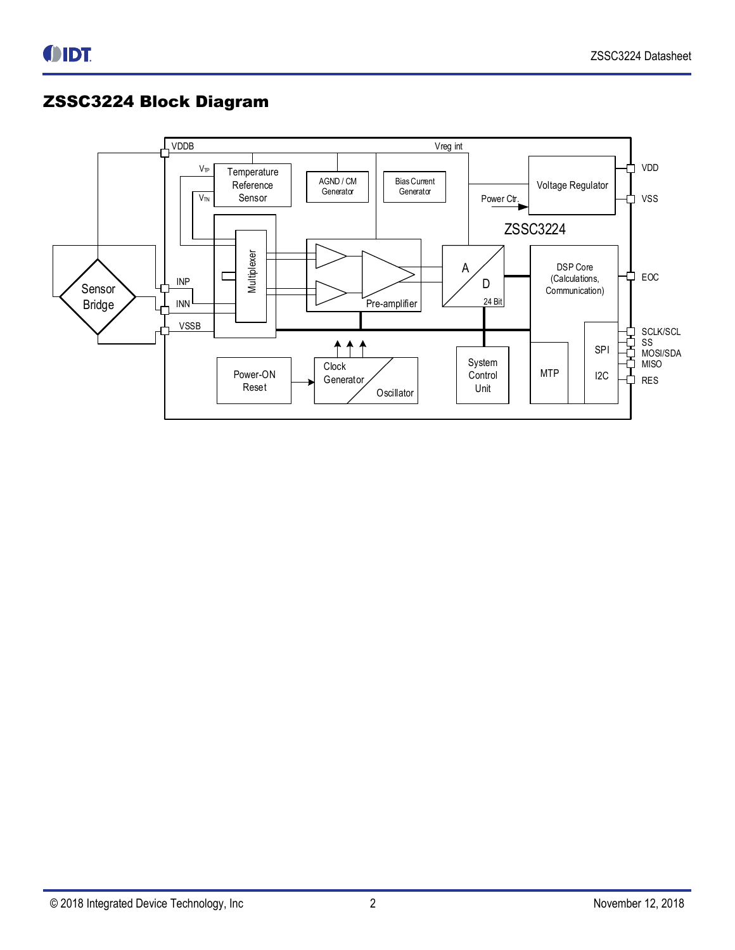## ZSSC3224 Block Diagram

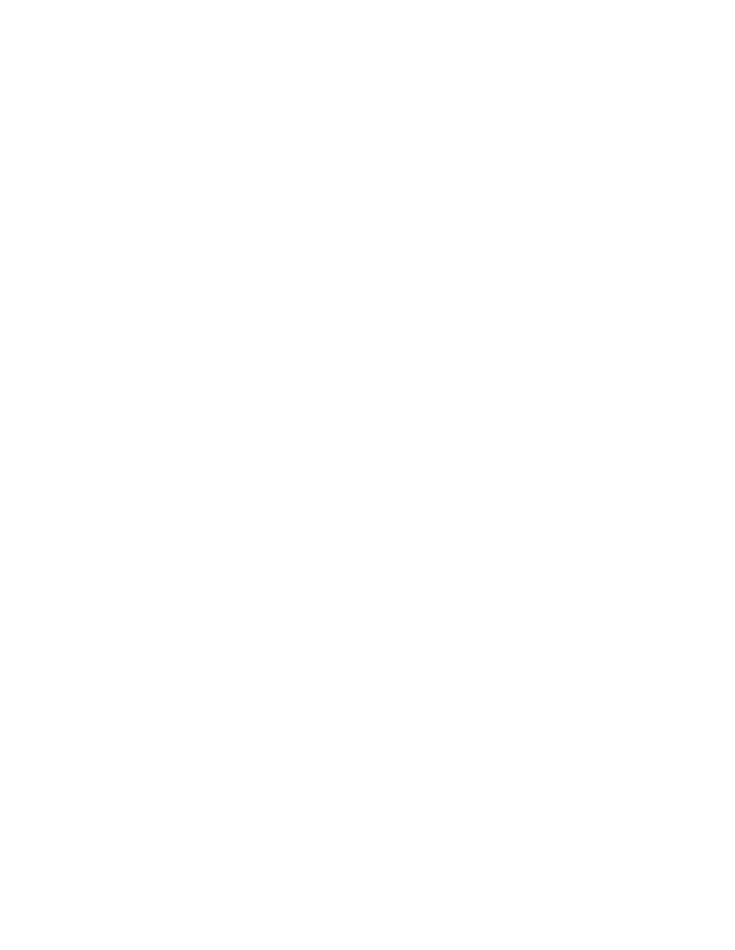# **OIDT**

## **Contents**

| 1.  |     |       |  |  |  |  |  |
|-----|-----|-------|--|--|--|--|--|
|     | 1.1 |       |  |  |  |  |  |
|     |     |       |  |  |  |  |  |
| 2.  |     |       |  |  |  |  |  |
| 3.  |     |       |  |  |  |  |  |
| 4.  |     |       |  |  |  |  |  |
|     |     |       |  |  |  |  |  |
| 5.  |     |       |  |  |  |  |  |
|     | 5.1 |       |  |  |  |  |  |
|     | 5.2 |       |  |  |  |  |  |
|     | 5.3 |       |  |  |  |  |  |
|     |     | 5.3.1 |  |  |  |  |  |
|     |     | 5.3.2 |  |  |  |  |  |
|     |     | 5.3.3 |  |  |  |  |  |
|     |     | 5.3.4 |  |  |  |  |  |
|     |     | 5.3.5 |  |  |  |  |  |
|     |     | 5.3.6 |  |  |  |  |  |
|     | 5.4 |       |  |  |  |  |  |
|     |     | 5.4.1 |  |  |  |  |  |
|     |     | 5.4.2 |  |  |  |  |  |
|     |     | 5.4.3 |  |  |  |  |  |
|     |     | 5.4.4 |  |  |  |  |  |
|     |     | 5.4.5 |  |  |  |  |  |
| 6.  |     |       |  |  |  |  |  |
|     | 6.1 |       |  |  |  |  |  |
|     | 6.2 |       |  |  |  |  |  |
|     | 6.3 |       |  |  |  |  |  |
| 6.4 |     |       |  |  |  |  |  |
|     |     | 6.4.1 |  |  |  |  |  |
|     | 6.5 |       |  |  |  |  |  |
|     |     | 6.5.1 |  |  |  |  |  |
|     |     | 6.5.2 |  |  |  |  |  |
|     |     | 6.5.3 |  |  |  |  |  |
|     | 6.6 |       |  |  |  |  |  |
|     |     | 6.6.1 |  |  |  |  |  |
|     |     | 6.6.2 |  |  |  |  |  |
|     | 6.7 |       |  |  |  |  |  |
|     |     | 6.7.1 |  |  |  |  |  |
|     |     | 6.7.2 |  |  |  |  |  |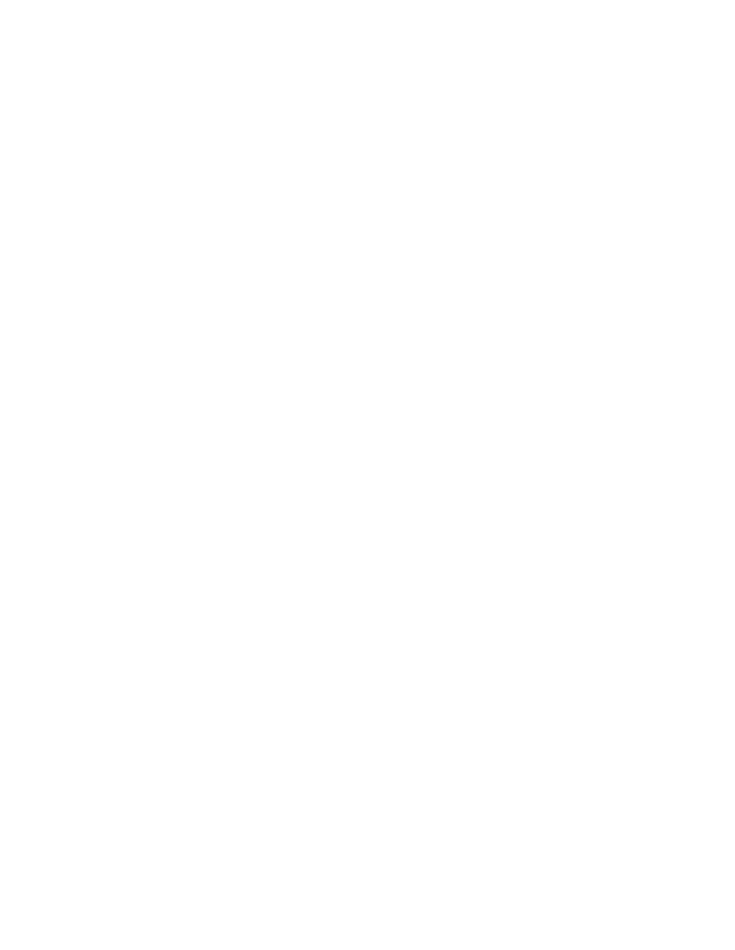|     |     | 6.7.3 |  |
|-----|-----|-------|--|
|     |     | 6.7.4 |  |
|     |     | 6.7.5 |  |
|     | 6.8 |       |  |
|     |     | 6.8.1 |  |
|     |     | 6.8.2 |  |
|     |     | 6.8.3 |  |
| 7.  |     |       |  |
|     |     |       |  |
|     |     |       |  |
| 8.  |     |       |  |
| 9.  |     |       |  |
| 10. |     |       |  |
| 11. |     |       |  |
| 12. |     |       |  |
| 13. |     |       |  |
|     |     |       |  |

# **List of Figures**

| Figure 1.1  |       |
|-------------|-------|
| Figure 1.2  |       |
| Figure 5.1  |       |
| Figure 5.2  |       |
| Figure 5.3  |       |
| Figure 6.1  |       |
| Figure 6.2  |       |
| Figure 6.3  |       |
| Figure 6.4  |       |
| Figure 6.5  | . .28 |
| Figure 6.6  |       |
| Figure 6.7  |       |
| Figure 6.8  |       |
| Figure 6.9  |       |
| Figure 6.10 |       |
| Figure 6.11 |       |
| Figure 7.1  |       |
| Figure 7.2  |       |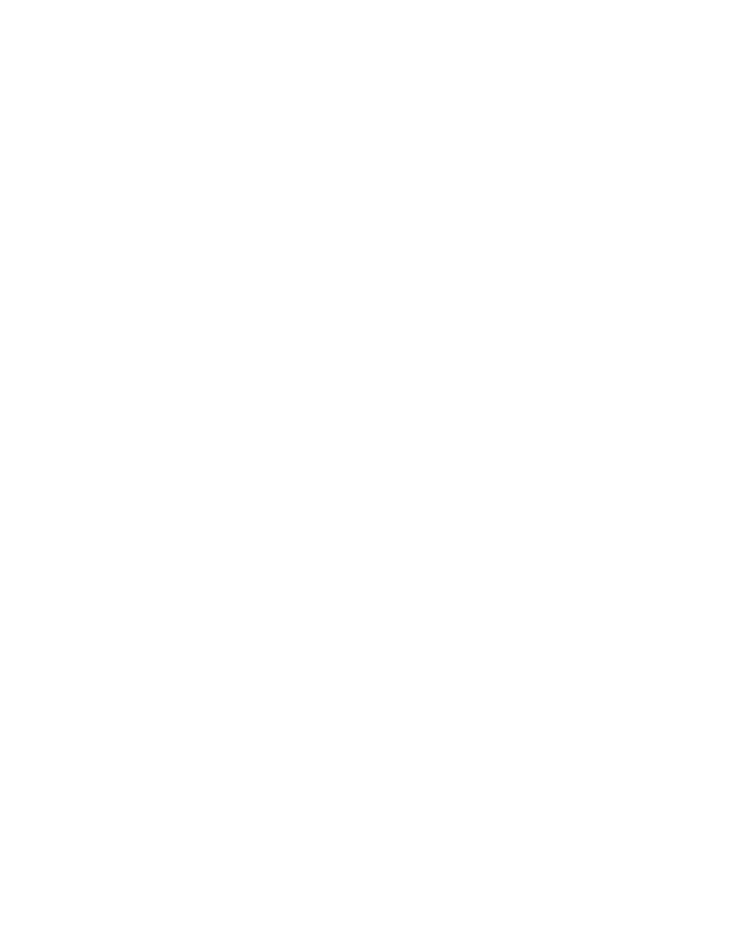## **List of Tables**

| Table 1.1 |                                                                                                                        |  |
|-----------|------------------------------------------------------------------------------------------------------------------------|--|
| Table 1.2 |                                                                                                                        |  |
| Table 2.1 |                                                                                                                        |  |
| Table 3.1 |                                                                                                                        |  |
| Table 3.2 |                                                                                                                        |  |
| Table 4.1 |                                                                                                                        |  |
| Table 5.1 |                                                                                                                        |  |
| Table 5.2 |                                                                                                                        |  |
| Table 5.3 |                                                                                                                        |  |
| Table 5.4 |                                                                                                                        |  |
| Table 5.5 |                                                                                                                        |  |
| Table 5.6 | Typical Conversion Times versus Noise Performance with Full Sensor Signal Conditioning for Measurement including AZSM, |  |
| Table 6.1 |                                                                                                                        |  |
| Table 6.2 |                                                                                                                        |  |
| Table 6.3 |                                                                                                                        |  |
| Table 6.4 |                                                                                                                        |  |
| Table 6.5 |                                                                                                                        |  |
| Table 6.6 |                                                                                                                        |  |
| Table 6.7 |                                                                                                                        |  |
| Table 6.8 |                                                                                                                        |  |
| Table 6.9 |                                                                                                                        |  |
| Table 7.1 |                                                                                                                        |  |
|           |                                                                                                                        |  |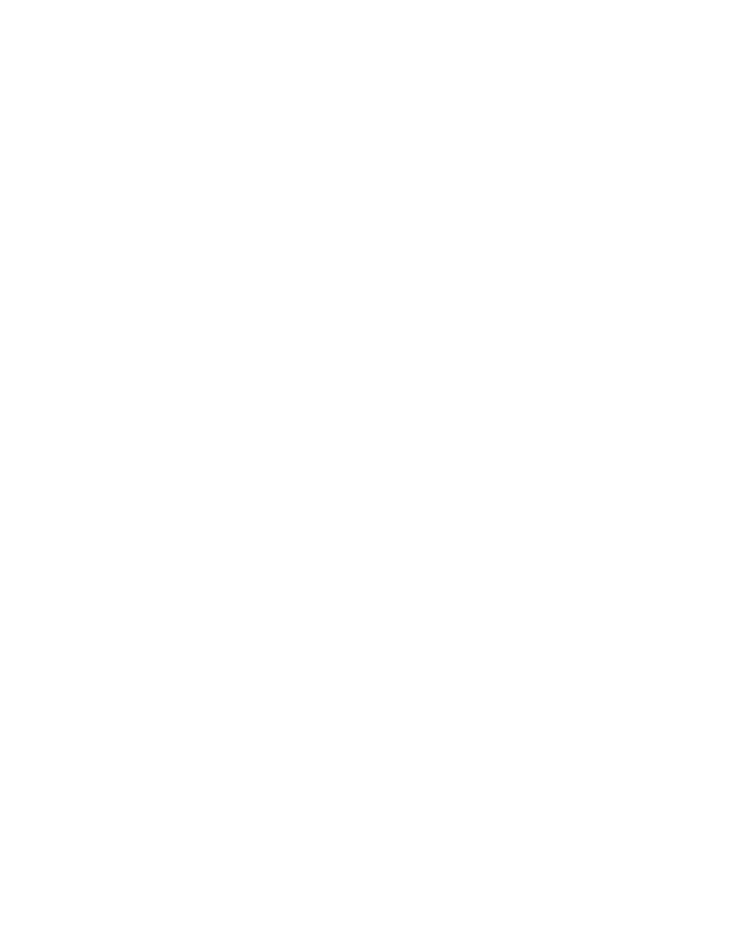## <span id="page-5-0"></span>1. Pin and Pad Assignments and Descriptions

The ZSSC3224 is available in die form or in the 24-PQFN package.

## <span id="page-5-1"></span>1.1 ZSSC3224 Die Pad Assignments and Descriptions



<span id="page-5-2"></span>

<span id="page-5-3"></span>

| Table 1.1 ZSSC3224 Die Pad Assignments |
|----------------------------------------|
|----------------------------------------|

| <b>Name</b>     | <b>Direction</b> | <b>Type</b> | <b>Description</b>                                                                 |
|-----------------|------------------|-------------|------------------------------------------------------------------------------------|
| VDD             | IN               | Supply      | Positive supply voltage for the ZSSC3224.                                          |
| VSS.            | IN               | Supply      | Ground reference voltage signal.                                                   |
| <b>RES</b>      | IN               | Digital     | ZSSC3224 reset (low active, internal pull-up).                                     |
| <b>VDDB</b>     | <b>OUT</b>       | Analog      | Positive external bridge-sensor supply.                                            |
| <b>INN</b>      | IN               | Analog      | Negative sensor signal (or sensor-ground for absolute voltage-sources<br>sensors). |
| <b>EOC</b>      | <b>OUT</b>       | Digital     | End of conversion or interrupt output.                                             |
| <b>MISO</b>     | <b>OUT</b>       | Digital     | Data output for SPI.                                                               |
| SS              | IN               | Digital     | Slave select for SPI.                                                              |
| <b>INP</b>      | IN               | Analog      | Positive sensor signal.                                                            |
| <b>VSSB</b>     | <b>OUT</b>       | Analog      | Negative external bridge-sensor supply (sensor ground).                            |
| MOSI/SDA        | <b>IN/OUT</b>    | Digital     | Data input for SPI; data in/out for I2C.                                           |
| <b>SCLK/SCL</b> | IN               | Digital     | Clock input for SPI/I2C.                                                           |
| ZMDI-test       |                  |             | Do not connect to these pads.                                                      |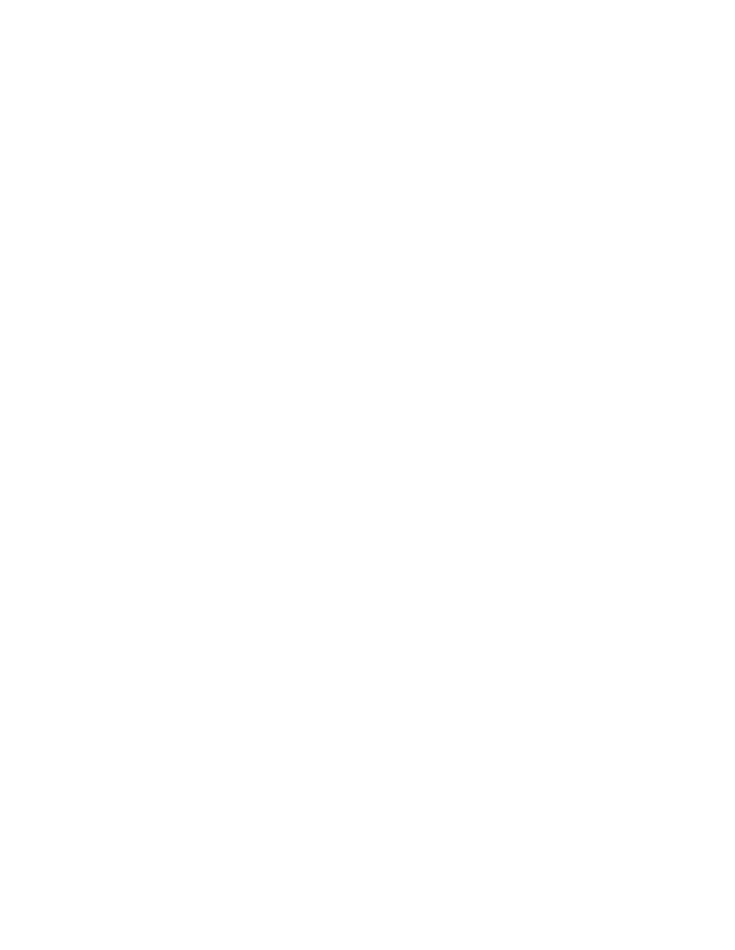## <span id="page-6-0"></span>1.2 ZSSC3224 24-PQFN Pin Assignments and Pin Descriptions

#### <span id="page-6-1"></span>Figure 1.2 Pin Assignments:  $4.0 \times 4.0 \times 0.85$  mm 24-PQFN Package

Note: Drawing is not to scale. See section [7](#page-42-0) for dimensions.



#### <span id="page-6-2"></span>Table 1.2 ZSSC3224 Pin Descriptions: 24-PQFN Package

Note: In the following table, "n.c." stands for not connected / no connection required / not bonded.

| Pin No. | <b>Name</b> | <b>Direction</b> | <b>Type</b> | <b>Description</b>                                                                 |
|---------|-------------|------------------|-------------|------------------------------------------------------------------------------------|
|         | ZMDI-test   |                  |             | Do not connect.                                                                    |
| 2       | <b>RES</b>  | IN               | Digital     | ZSSC3224 reset (low active, internal pull-up).                                     |
| 3       | <b>VDDB</b> | OUT              | Analog      | Positive external bridge-sensor supply.                                            |
| 4       | <b>INN</b>  | IN               | Analog      | Negative sensor signal (or sensor ground for absolute voltage-<br>source sensors). |
| 5       | <b>EOC</b>  | <b>OUT</b>       | Digital     | End of conversion or interrupt output.                                             |
| 6       | <b>MISO</b> | <b>OUT</b>       | Digital     | Data output for SPI.                                                               |
| 7       | ZMDI-test   |                  |             | Do not connect.                                                                    |
| 8       | n.c.        |                  |             |                                                                                    |
| 9       | n.c.        |                  |             | -                                                                                  |
| 10      | n.c.        |                  |             | -                                                                                  |
| 11      | n.c.        |                  |             | -                                                                                  |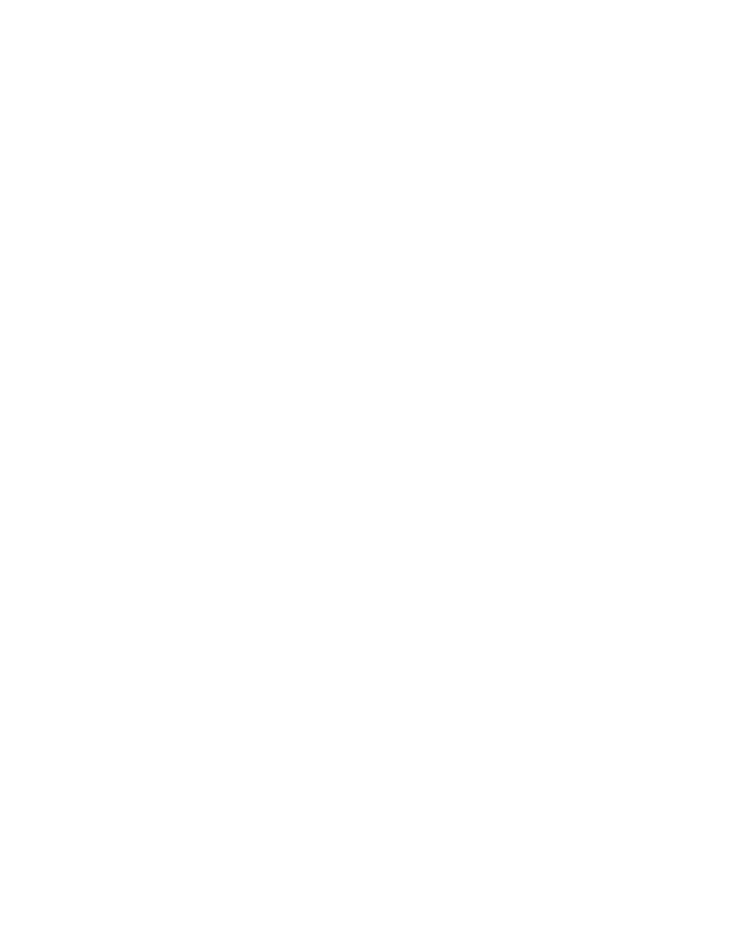| Pin No. | <b>Name</b>        | <b>Direction</b> | <b>Type</b> | <b>Description</b>                                      |
|---------|--------------------|------------------|-------------|---------------------------------------------------------|
| 12      | <b>SCLK/SCL</b>    | IN               | Digital     | Clock input for SPI/I2C.                                |
| 13      | MOSI/SDA           | <b>IN/OUT</b>    | Digital     | Data input for SPI; data in/out for I2C.                |
| 14      | <b>VSSB</b>        | <b>OUT</b>       | Analog      | Negative external bridge-sensor supply (sensor ground). |
| 15      | <b>INP</b>         | IN               | Analog      | Positive sensor signal.                                 |
| 16      | ZMDI-test          |                  |             | Do not connect.                                         |
| 17      | SS                 | IN               | Digital     | Slave select for SPI                                    |
| 18      | ZMDI-test          |                  |             | Do not connect.                                         |
| 19      | ZMDI-test          |                  |             | Do not connect.                                         |
| 20      | n.c.               |                  |             | $\overline{\phantom{0}}$                                |
| 21      | n.c.               |                  |             | $\overline{\phantom{m}}$                                |
| 22      | VDD                | IN               | Supply      | Positive supply voltage for the ZSSC3224.               |
| 23      | n.c.               |                  |             | $\overline{\phantom{0}}$                                |
| 24      | <b>VSS</b>         | IN               | Supply      | Ground reference voltage signal.                        |
| 25      | <b>Exposed Pad</b> |                  |             | Do not connect electrically.                            |

## <span id="page-7-0"></span>2. Absolute Maximum Ratings

Note: The absolute maximum ratings are stress ratings only. The ZSSC3224 might not function or be operable above the recommended operating conditions. Stresses exceeding the absolute maximum ratings might also damage the device. In addition, extended exposure to stresses above the recommended operating conditions might affect device reliability. IDT does not recommend designing to the "Absolute Maximum Ratings."

### <span id="page-7-1"></span>Table 2.1 Absolute Maximum Ratings

| <b>PARAMETER</b>                                                | <b>SYMBOL</b>              | Min    | <b>TYP</b> | <b>MAX</b>   | <b>UNITS</b> |
|-----------------------------------------------------------------|----------------------------|--------|------------|--------------|--------------|
| Voltage Reference                                               | Vss                        |        |            |              | V            |
| Analog Supply Voltage                                           | V <sub>DD</sub>            | -0.4   |            | 3.63         |              |
| Voltage at all Analog and Digital IO Pins                       | $V_{A}$ 10, $V_{D}$ 10     | $-0.5$ |            | $V_{DD}+0.5$ |              |
| Input Current into Any Pin except RES, ZMDI-test, SS [a], [b]   | <b>I</b> IN                | $-100$ |            | 100          | mA           |
| Electrostatic Discharge Tolerance - Human Body Model (HBM1) [c] | V <sub>HBM1</sub>          | ±4000  |            |              |              |
| Storage Temperature                                             | $\mathsf{T}_{\text{STOR}}$ | -50    |            | 150          | °C           |

<span id="page-7-2"></span>[a] Latch-up current limit for RES, ZMDI-test, and SS: ±70mA.

<span id="page-7-3"></span>[b] Latch-up resistance; reference for pin is 0V.

<span id="page-7-4"></span>[c] HBM1: C = 100pF charged to V $_{\text{HBM1}}$  with resistor R = 1.5k $\Omega$  in series based on MIL 883, Method 3015.7. ESD protection referenced to the Human Body Model is tested with devices in ceramic dual in-line packages (CDIP) during product qualification.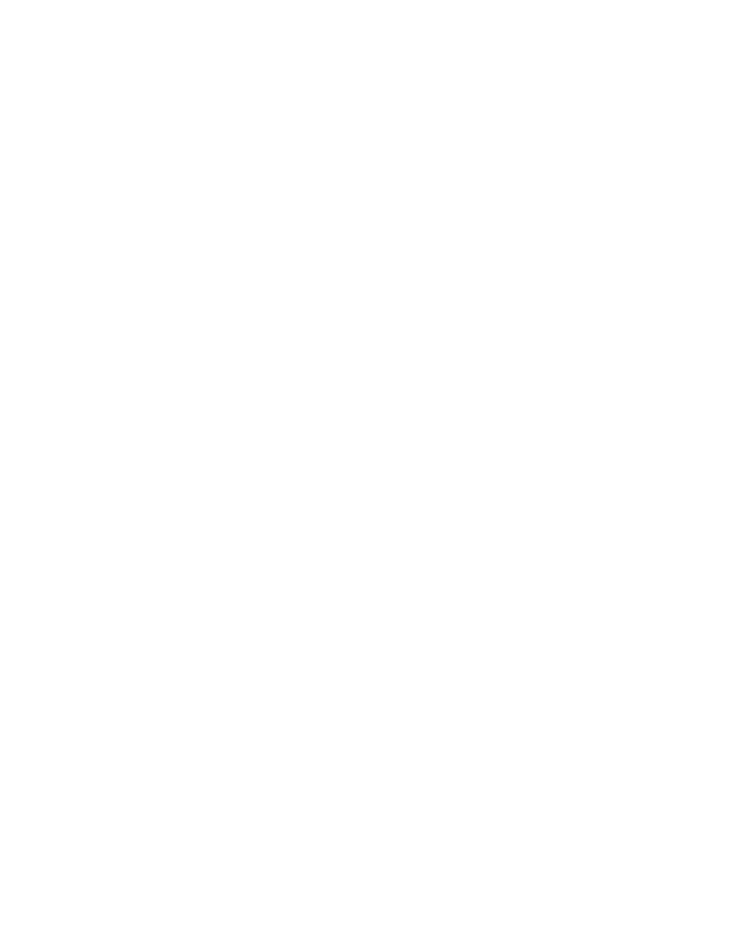## <span id="page-8-0"></span>3. Recommended Operating Conditions

Note: The reference for all voltages is Vss.

#### <span id="page-8-1"></span>Table 3.1 Recommended Operating Conditions

| <b>PARAMETER</b>                                      | <b>SYMBOL</b>    | <b>MIN</b> | <b>TYP</b> | <b>MAX</b> | <b>UNIT</b> |
|-------------------------------------------------------|------------------|------------|------------|------------|-------------|
| Supply Voltage                                        | V <sub>DD</sub>  | 1.68       |            | 3.6        |             |
| <b>VDD Rise Time</b>                                  | tv <sub>DD</sub> |            |            | 200        | μs          |
|                                                       |                  |            |            | 1.8        |             |
| Bridge Current <sup>[a]</sup>                         | <b>IVDDB</b>     |            |            | 16.5       | mA          |
| <b>Operation Temperature Range</b>                    | <b>TAMB</b>      | -40        |            | 85         | $^{\circ}C$ |
| External (Parasitic) Capacitance between VDDB and VSS | $C_L$            | 0.01       |            | 50         | nF          |

<span id="page-8-3"></span>[a] Power supply rejection is reduced if a current in the range of 16.5mA > IvDDB > 1.8mA is drawn out of VDDB.

A dynamic power-on-reset circuit is implemented in order to achieve minimum current consumption in Sleep Mode. The VDD low level and the subsequent rise time and VDD rising slope must meet the requirements in [Table 3.2](#page-8-2) to guarantee an overall IC reset; lower VDD low levels allow slower rising of the subsequent on-ramp of VDD. Other combinations might also be possible. For example, the reset trigger can be influenced by increasing the power-down time and lowering the VDD rising slope requirement. Alternatively, the RES pin can be connected and used to control safe resetting of the ZSSC3224. RES is active-low; a VDD-VSS-VDD transition at the RES pin leads to a complete ZSSC3224 reset.

#### <span id="page-8-2"></span>Table 3.2 Requirements for VDD Power-on Reset

| <b>PARAMETER</b>                            | <b>SYMBOL</b>           | <b>MIN</b> | <b>TYP</b> | <b>MAX</b>               | <b>UNIT</b> |
|---------------------------------------------|-------------------------|------------|------------|--------------------------|-------------|
| Power-Down Time (duration of VDD Low Level) | <b>ISPIKE</b>           |            | -          | -                        | μs          |
| <b>VDD Low Level</b>                        | <b>VDD</b> low          |            | -          | 0.2                      |             |
| <b>VDD Rising Slope</b>                     | <b>SR<sub>VDD</sub></b> | 10         | -          | $\overline{\phantom{0}}$ | V/ms        |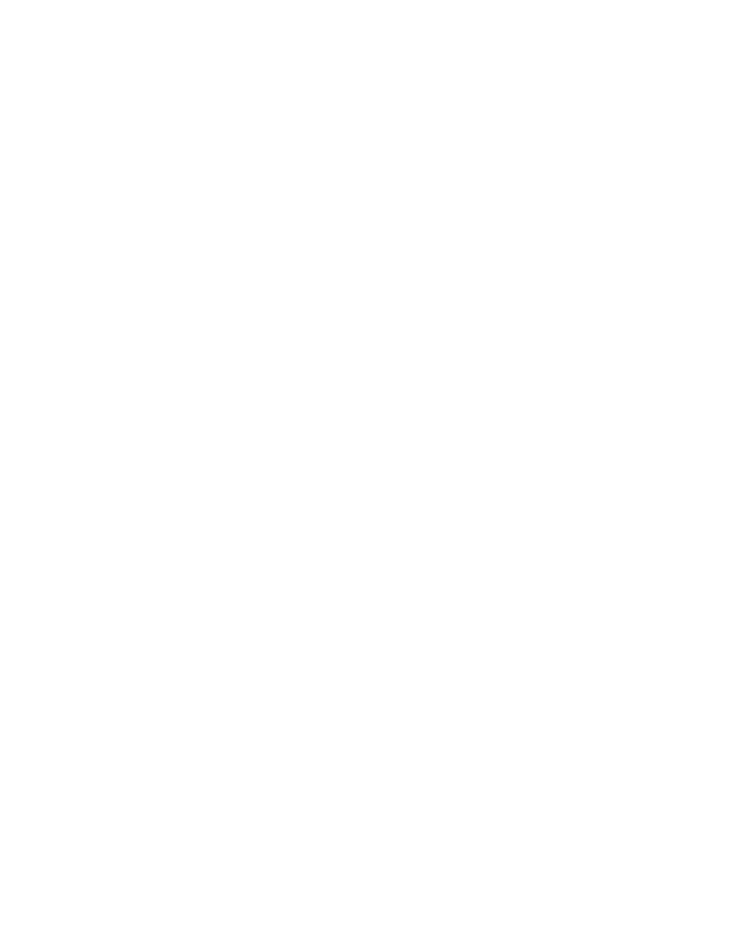## <span id="page-9-0"></span>4. Electrical Characteristics

All parameter values are valid only under the specified operating conditions. All voltages are referenced to Vss.

### <span id="page-9-1"></span>Table 4.1 Electrical Characteristics

Note: See important table notes at the end of the table.

| Parameter                                                                      | Symbol                   | <b>Conditions/Comments</b>                                                                                          | Min    | <b>Typ</b>      | <b>Max</b> | <b>Unit</b> |
|--------------------------------------------------------------------------------|--------------------------|---------------------------------------------------------------------------------------------------------------------|--------|-----------------|------------|-------------|
| <b>Supply</b>                                                                  |                          |                                                                                                                     |        |                 |            |             |
| External Sensor Supply Voltage, ADC<br>Reference Voltage                       | <b>V</b> <sub>DDB</sub>  | Internally generated                                                                                                | 1.60   | 1.68            | 1.75       | $\vee$      |
|                                                                                |                          | Active State, average                                                                                               |        | 1050            | 1500       | μA          |
| <b>Current Consumption</b>                                                     | <b>I</b> v <sub>D</sub>  | Sleep Mode, idle current, ≤ 85°C                                                                                    |        | 20              | 250        | nA          |
| Power Supply Rejection                                                         |                          | $V_{DD} = 1.8V$                                                                                                     | 17     | 60              | 88         | dB          |
| 20·log <sub>10</sub> (V <sub>DD</sub> /V <sub>DDB</sub> )<br>(see section 4.1) | <b>PSR<sub>VDD</sub></b> | $V_{DD} = 2V$                                                                                                       | 32     | 65              | 91         | dB          |
| Analog-to-Digital Converter (ADC, A2D)                                         |                          |                                                                                                                     |        |                 |            |             |
| Resolution                                                                     | <b>TADC</b>              |                                                                                                                     | 12     |                 | 24         | Bit         |
| <b>ADC Clock Frequency</b>                                                     | fADC                     | Internal ADC clock                                                                                                  | 0.9    | $\mathbf{1}$    | 1.1        | <b>MHz</b>  |
| <b>Conversion Rate</b>                                                         | $f_{S,raw}$              | Conversions per second for single<br>24-bit external sensor A2D<br>conversion (without auto-zero<br>measurement AZ) |        |                 | 144        | Hz          |
|                                                                                |                          | Conversions per second for single<br>16-bit temperature sensor A2D<br>conversion (without AZ)                       |        |                 | 2.3        | kHz         |
| <b>Amplifier</b>                                                               |                          |                                                                                                                     |        |                 |            |             |
| Gain                                                                           | G <sub>amp</sub>         | 64 steps                                                                                                            | 6.6    |                 | 216        |             |
| Gain Error                                                                     | G <sub>err</sub>         | Referenced to nominal gain                                                                                          | $-2.5$ |                 | 2.5        | $\%$        |
| <b>Sensor Signal Conditioning Performance</b>                                  |                          |                                                                                                                     |        |                 |            |             |
| ZSSC3224 Accuracy Error [a]                                                    | <b>ErrAJC</b>            | Accuracy error for sensor that is<br>ideally linear (in temperature and<br>measurand)                               |        |                 | 0.01       | %FSO        |
| <b>Conversion Rate</b>                                                         | $f_{S, \, SSC}$          | Conversion per second for fully<br>corrected 24-bit measurement                                                     |        | 58              | 60         | Hz          |
| Input                                                                          |                          |                                                                                                                     |        |                 |            |             |
| Input Voltage Range                                                            | VINP, VINN               | Input voltage range at INP and INN<br>pins                                                                          | 0.65   |                 | 1.05       | $\vee$      |
| <b>External Sensor Bridge Resistance</b>                                       | $R_{BR}$                 | Full power supply disturbance<br>rejection (PSRR) capabilities                                                      | 1      | 10 <sup>°</sup> | 50         | kΩ          |
|                                                                                |                          | Reduced PSRR, but full functionality                                                                                | 100    |                 | 999        | Ω           |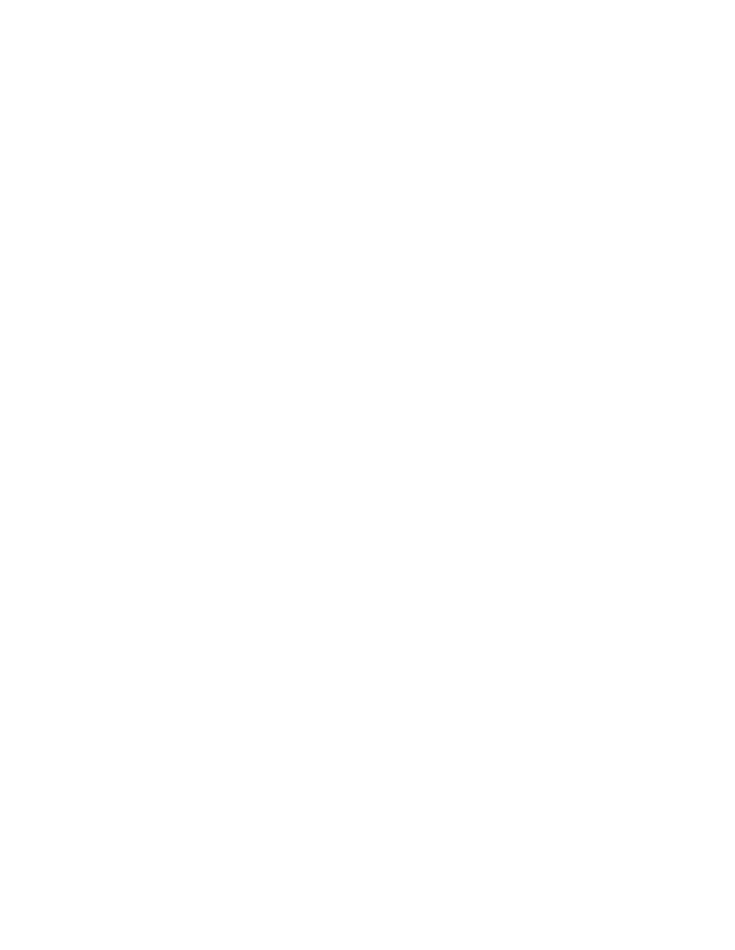| <b>Parameter</b>                   | <b>Symbol</b>     | <b>Conditions/Comments</b>                                              | Min  | <b>Typ</b> | <b>Max</b>     | <b>Unit</b> |
|------------------------------------|-------------------|-------------------------------------------------------------------------|------|------------|----------------|-------------|
| Power-Up                           |                   |                                                                         |      |            |                |             |
| Start-up Time                      | tsta1             | V <sub>DD</sub> ramp up to interface<br>communication (see section 6.1) |      |            | 1              | ms          |
|                                    | tsta2             | V <sub>DD</sub> ramp up to analog operation                             |      |            | 2.5            | ms          |
|                                    | t <sub>wuP1</sub> | Sleep to Active State interface<br>communication                        |      |            | 0.5            | ms          |
| Wake-up Time                       | twu <sub>P2</sub> | Sleep to Active State analog<br>operation                               |      |            | $\overline{2}$ | ms          |
| <b>Oscillator</b>                  |                   |                                                                         |      |            |                |             |
| Internal Oscillator Frequency      | fclk              |                                                                         | 3.6  | 4          | 4.4            | <b>MHz</b>  |
| <b>Internal Temperature Sensor</b> |                   |                                                                         |      |            |                |             |
| Temperature Resolution             |                   | -40 $^{\circ}$ C to +85 $^{\circ}$ C                                    |      | 0.7        |                | mK/LSB      |
| <b>Interface and Memory</b>        |                   |                                                                         |      |            |                |             |
| SPI Clock Frequency                | $f_{C,SPI}$       | Maximum capacitance at MISO line:<br>40pF at V <sub>DD</sub> =1.8V      |      |            | 20             | <b>MHz</b>  |
| I2C Clock Frequency                | $f_{C, I2C}$      |                                                                         |      |            | 3.4            | <b>MHz</b>  |
| Program Time                       | t <sub>prog</sub> | MTP programming time per 16-bit<br>register                             |      | 5          | 16             | ms          |
| Endurance                          | <b>NMTP</b>       | Number of reprogramming cycles                                          | 1000 | 10000      |                | Numeric     |
| Data Retention                     | <b>TRET MTP</b>   | 1000h at 125°C                                                          | 10   |            |                | Years       |

<span id="page-10-1"></span>[a] Percentage referred to maximum full-scale output (FSO); e.g. for 24-bit measurements:  $Err_{A,IC}$  [%FSO] = 100  $\cdot$  MAX{ | ADC<sub>meas</sub>  $-$  ADC<sub>ideal</sub> | } / 2<sup>24</sup>.

## <span id="page-10-0"></span>4.1 Power Supply Rejection Ratio (PSRR) versus Frequency

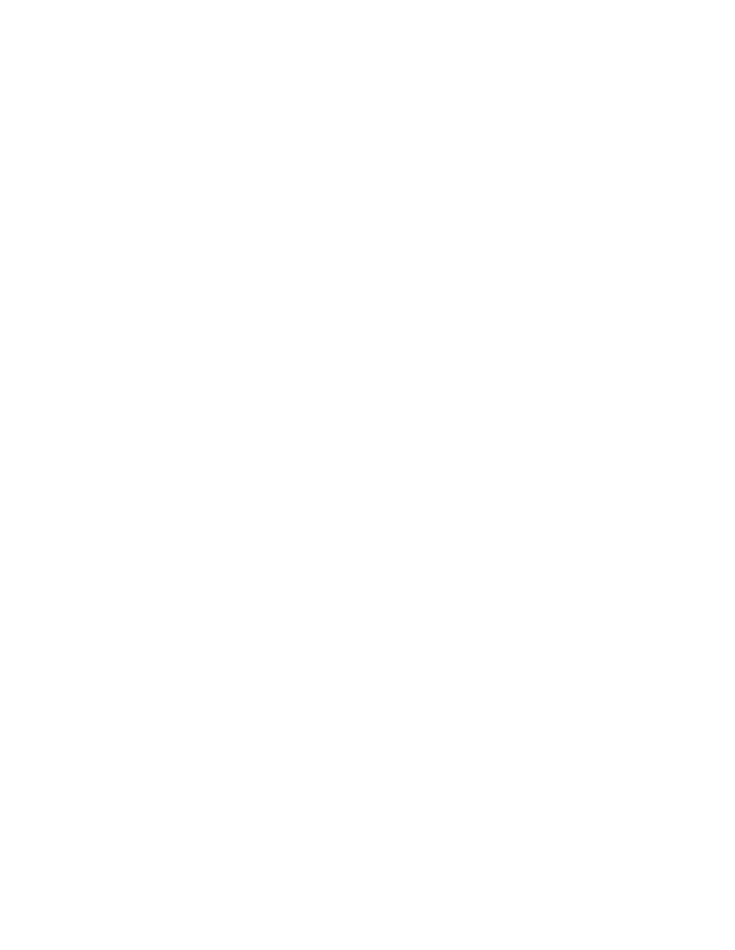## <span id="page-11-0"></span>5. Circuit Description

## <span id="page-11-1"></span>5.1 Brief Description

The ZSSC3224 provides a highly accurate amplification of bridge sensor signals. The compensation of sensor offset, sensitivity, temperature drift, and non-linearity is accomplished via a 26-bit DSP core running a correction algorithm with calibration coefficients stored in a non-volatile memory. The ZSSC3224 can be configured for a wide range of resistive bridge sensor types and for absolute voltage source sensors. A digital interface (SPI or I2C) enables communication. The ZSSC3224 supports two operational modes: Normal Mode and Command Mode. Normal Mode is the standard operating mode. Typically in Normal Mode, the ZSSC3224 wakes up from Sleep Mode (low power), runs a measurement in Active State, and automatically returns to the Sleep Mode. (See section [6.4](#page-20-0) for details on operational modes.)

## <span id="page-11-2"></span>5.2 Signal Flow and Block Diagram

Se[e Figure 5.1](#page-11-3) an[d Figure 5.2](#page-12-2) for the ZSSC3224 block diagram for different input sensors. The sensor bridge supply V<sub>DDB</sub> and the power supply for analog circuitry are provided by a voltage regulator, which is optimized for power supply disturbance rejection (PSRR). See section [4.1](#page-10-0) for a graph of PSRR versus frequency. To improve noise suppression, the digital blocks are powered by a separate voltage regulator. A power supervision circuit monitors all supply voltages and generates appropriate reset signals for initializing the digital blocks.

The System Control Unit controls the analog circuitry to perform the three measurement types: external sensor, temperature, and offset measurement. The multiplexer selects the signal input to the amplifier, which can be the external signals from the input pins INP and INN or the internal temperature reference sensor signals. A full measurement request will trigger an automatic sequence of all measurement types and all input signals.



#### <span id="page-11-3"></span>Figure 5.1 ZSSC3224 Functional Block Diagram with Resistive-Bridge Sensor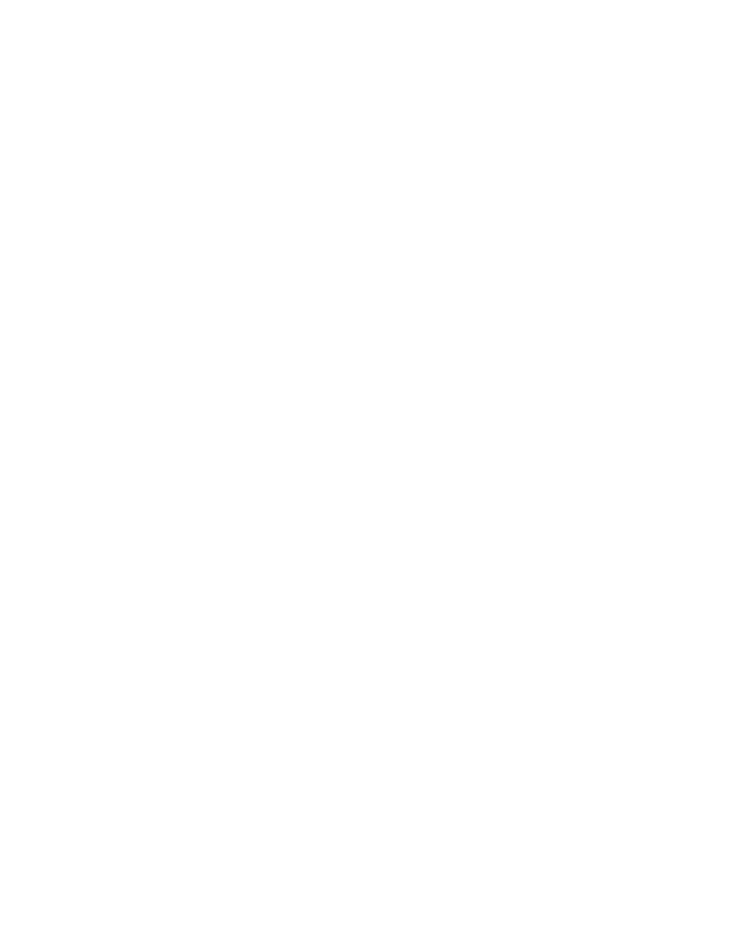

#### <span id="page-12-2"></span>Figure 5.2 ZSSC3224 Functional Block Diagram with Voltage-Source Sensor

The amplifier consists of two stages with programmable gain values.

The ZSSC3224 employs a programmable analog-to-digital converter (ADC) optimized for conversion speed and noise suppression. The programmable resolution from 12 to 24 bits provides flexibility for adapting the conversion characteristics. To improve power supply noise suppression, the ADC uses the bridge supply  $V_{\text{DDB}}$  as its reference voltage leading to a ratiometric measurement topology if the external sensor is a bridge-type element.

The remaining ZSSC3224-internal offset and the sensor element offset, i.e., the overall system offset for the amplifier and ADC, can be canceled by means of an offset and auto-zero measurement, respectively.

The DSP accomplishes the auto-zero, span, and 1st and 2nd order temperature compensation of the measured external sensor signal. The correction coefficients are stored in the MTP memory.

The ZSSC3224 supports SPI and I2C interface communication for controlling the ZSSC3224, configuration, and measurement result output.

## <span id="page-12-0"></span>5.3 Analog Front End

### <span id="page-12-1"></span>5.3.1 Amplifier

The amplifier has a fully differential architecture and consists of two stages. The amplification of each stage and the external sensor gain polarity are programmable via settings in the Measurement Configuration Register SM\_config1 and SM\_config2 (addresses 12HEX and 16HEX; see sectio[n 6.6.2\)](#page-31-0) in the MTP memory (for details, see sectio[n 5.4.2\)](#page-18-2).

**Note:** Only one of these two possible configurations is used for the measurement. The default configuration is *SM\_config1*. Alternately, *SM\_config2* can be implemented by sending a command to select this configuration for the measurement (see section [6.5.1\)](#page-25-1). The term *SM\_config* is used in explanations for general register content and functionality for both *SM\_config1* and *SM\_config2*, as the registers' bit assignments are exactly the same for both registers.

The first 6 bits of *SM\_config* are the programmable gain settings *Gain\_stage1* and *Gain\_stage2*. The options for the programmable gain settings are listed in [Table 5.1](#page-13-0) an[d Table](#page-13-1) 5.2.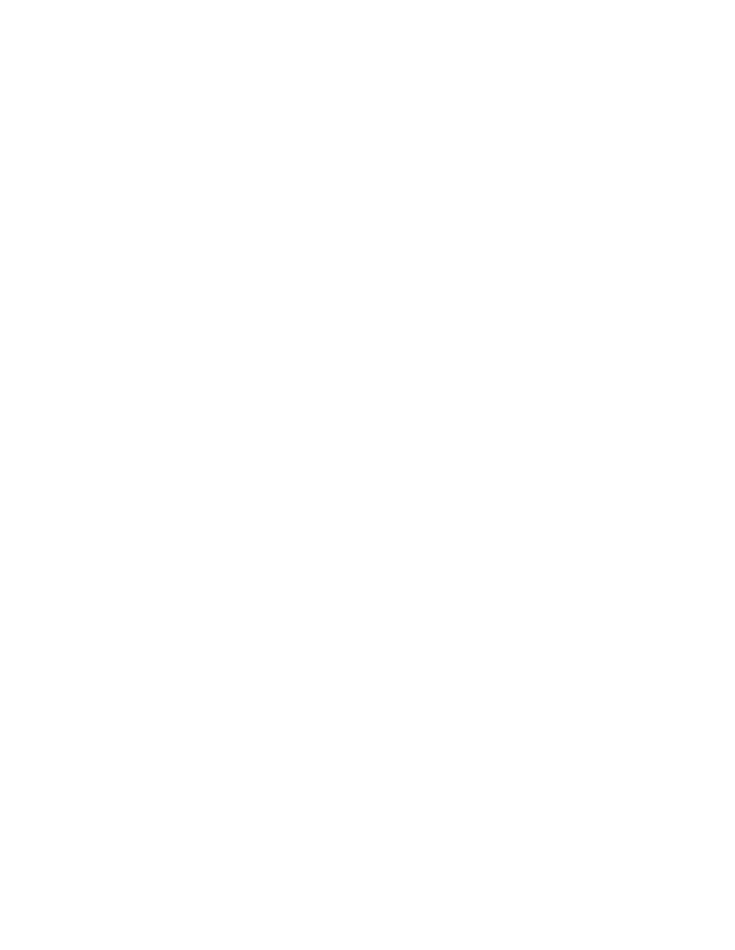#### <span id="page-13-0"></span>Table 5.1 Amplifier Gain: Stage 1

| Gain_stage1            |                 |                 |                      |  |
|------------------------|-----------------|-----------------|----------------------|--|
| <b>SM_config Bit 2</b> | SM_config Bit 1 | SM_config Bit 0 | Gain <sub>amp1</sub> |  |
|                        |                 |                 | 6                    |  |
|                        |                 |                 | 12                   |  |
|                        |                 | 0               | 20                   |  |
|                        |                 |                 | 30                   |  |
|                        |                 |                 | 40                   |  |
|                        |                 |                 | 60                   |  |
|                        |                 |                 | 80                   |  |
|                        |                 |                 | 120                  |  |

#### <span id="page-13-1"></span>Table 5.2 Amplifier Gain: Stage 2

| Gain_stage2     |                 |                 |                      |  |  |
|-----------------|-----------------|-----------------|----------------------|--|--|
| SM_config Bit 5 | SM_config Bit 4 | SM_config Bit 3 | Gain <sub>amp2</sub> |  |  |
|                 |                 |                 | 1.1                  |  |  |
|                 |                 |                 | 1.2                  |  |  |
|                 |                 | O               | 1.3                  |  |  |
| N               |                 |                 | 1.4                  |  |  |
|                 |                 |                 | 1.5                  |  |  |
|                 |                 |                 | 1.6                  |  |  |
|                 |                 |                 | 1.7                  |  |  |
|                 |                 |                 | 1.8                  |  |  |

If needed, the polarity of the sensor bridge gain can be reversed by setting the *Gain\_polarity* bit, which is bit 6 in the *SM\_config* register (*s*ee sectio[n 6.6.2\)](#page-31-0). Changing the gain polarity is achieved by inverting the chopper clock. [Table 5.3](#page-13-2) gives the settings for the *Gain\_polarity* bit. This feature enables applying a sensor to the ZSSC3224 with swapped input signals at INN and INP; e.g., to avoid crossing wires for the final sensor module's assembly.

#### <span id="page-13-2"></span>Table 5.3 Gain Polarity

| Gain_polarity (SM_config Bit 6) | Gain | <b>Setting Description</b> |
|---------------------------------|------|----------------------------|
|                                 | +1   | No polarity change.        |
|                                 |      | Gain polarity is inverted. |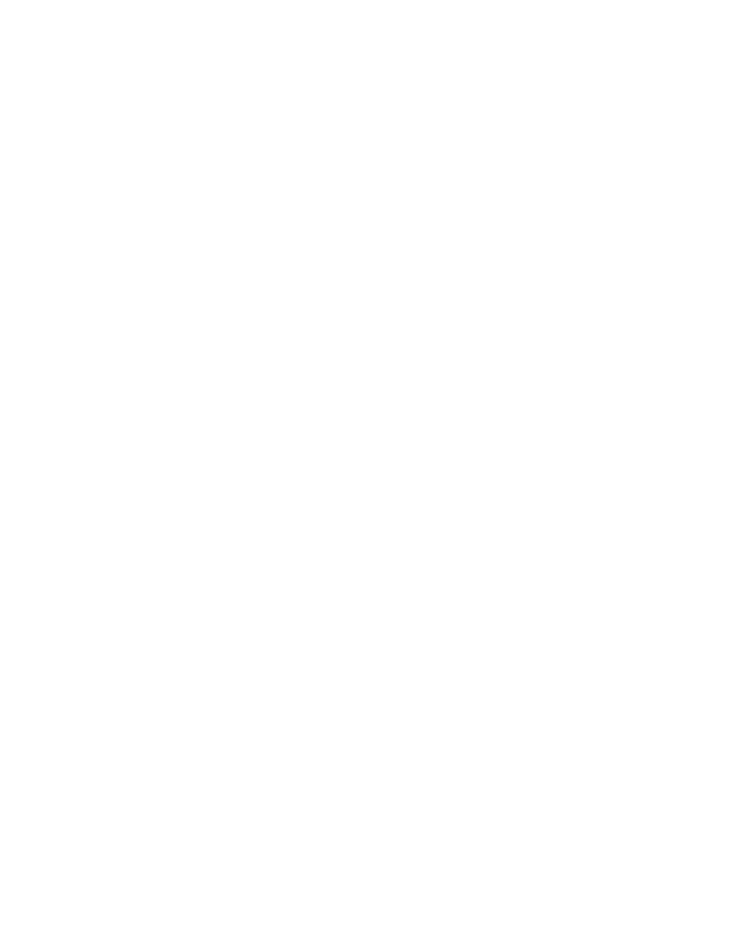### <span id="page-14-0"></span>5.3.2 Analog-to-Digital Converter

An analog-to-digital converter (ADC) is used to digitize the amplifier signal. To allow optimizing the trade-off between conversion time and resolution, the resolution can be programmed in a range from 12-bit to 24-bit (*Adc\_bits* bit field in the *SM\_config* register; section [6.6.2\)](#page-31-0). The ADC processes differential input signals.

| <b>Resolution (Bits)</b> | Conversion Time in µs (typical) |
|--------------------------|---------------------------------|
| 12                       | 140                             |
| 13                       | 185                             |
| 14                       | 250                             |
| 15                       | 335                             |
| 16                       | 470                             |
| 17                       | 640                             |
| 18                       | 890                             |
| 19                       | 1250                            |
| 20                       | 1760                            |
| 21                       | 2460                            |
| 22                       | 3480                            |
| 23                       | 4890                            |
| 24                       | 6940                            |

<span id="page-14-1"></span>

| Table 5.4 ADC Conversion Times for a Single Analog-to-Digital Conversion |  |  |
|--------------------------------------------------------------------------|--|--|
|                                                                          |  |  |

The ADC can perform an offset shift in order to adapt input signals with offsets to the ADC input range. The shift feature is enabled by setting the *SM\_config* register's bit 15 = 1 (*Shift\_method* = 1). The respective analog offset shift can be set up with bits [14:12], the *Offset* bit field in *SM\_config*. The offset shift causes the ADC to perform an additional amplification of the ADC's input signal by a factor of 2. This must be taken into consideration for a correct analog sensor setup via configuration of the pre-amplifier's gain, the ADC offset shift, and the potential ADC gain.

The overall analog amplification *Gaintotal = Gainamp1* ∗ *Gainamp2* ∗ *GainADC* can be determined for the following options:

If no offset shift is selected, i.e., *Shift\_method* = 0 and *Offset* = 000 in *SM\_config,*

*Gaintotal* = *Gainamp1* ∗ *Gainamp2* ∗ 1

If ADC offset shift is selected, i.e., *Shift\_method* = 1 and Offset  $\neq$  000 in *SM\_config.* 

*Gaintotal* = *Gainamp1* ∗ *Gainamp2* ∗ 2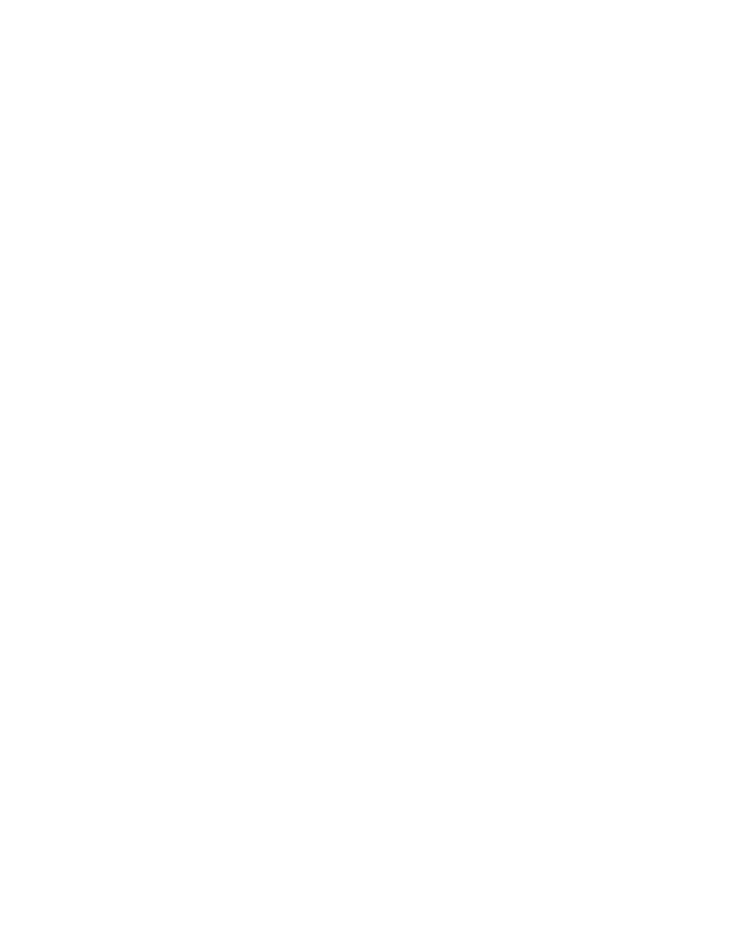|                                    | <b>Offset Shift in ADC</b>         |                                    |                                    |                |                                                                       |
|------------------------------------|------------------------------------|------------------------------------|------------------------------------|----------------|-----------------------------------------------------------------------|
| SM_config Bit 15<br>(Shift_method) | Offset:<br><b>SM_config Bit 14</b> | Offset:<br><b>SM_config Bit 13</b> | Offset:<br><b>SM_config Bit 12</b> | GainADC        | ADC Offset Shift of Input Signal as a<br><b>Percent of Full Scale</b> |
| 0                                  | 0                                  | 0                                  | 0                                  |                | $0\%$                                                                 |
|                                    |                                    | U                                  | 0                                  | 2              | $0\%$                                                                 |
|                                    | N                                  | N                                  |                                    | 2              | 6.75%                                                                 |
|                                    |                                    |                                    | 0                                  | $\overline{2}$ | 12.50%                                                                |
|                                    | 0                                  |                                    |                                    | $\overline{2}$ | 19.25%                                                                |
|                                    |                                    | 0                                  | 0                                  | 2              | 25.00%                                                                |
|                                    |                                    |                                    |                                    | 2              | 31.75%                                                                |
|                                    |                                    |                                    | $\mathbf{0}$                       | 2              | 38.50%                                                                |
|                                    |                                    |                                    |                                    | 2              | 43.25%                                                                |

#### <span id="page-15-0"></span>Table 5.5 ADC Offset Shift

**Important note:** If the required configuration is no offset shift and no additional gain factor (and therefore *Gain<sub>ADC</sub>* = 1), then the only valid settings are *Shift\_method* = 0 and *Offset* = 000 in *SM\_config*. Any other setup using *Shift\_method* = 0 combined with *Offset* ≠ 000 leads to erroneous analog setups.

The setting for ADC resolution for the external sensor (bridge or voltage-source sensor) affects the typical measurement duration and noise performance as shown i[n Table 5.6](#page-15-1) for the example of a bridge sensor measurement using the "Measure" command (AA<sub>HEX</sub>; see sectio[n 6.4.1\)](#page-23-0). See sectio[n 6.2](#page-19-2) for definitions of measurement types AZSM, SM, AZTM, and TM.

#### <span id="page-15-1"></span>Table 5.6 Typical Conversion Times versus Noise Performance with Full Sensor Signal Conditioning for Measurement including AZSM, SM, AZTM, and TM (Bridge-Type Sensor)

Note: See important notes at the end of the table.

| <b>ADC Resolution: Internal</b><br><b>Temperature Sensor</b> | <b>Typical ADC Resolution:</b><br><b>External Sensor Setting</b> | Typical Measurement Duration [a],<br>MEASURE, (AA <sub>HEX</sub> ) (ms) | Typical 3-Sigma Noise for SSC-<br>Corrected Output [b] (counts) |
|--------------------------------------------------------------|------------------------------------------------------------------|-------------------------------------------------------------------------|-----------------------------------------------------------------|
| 18                                                           | 16                                                               | 4.1                                                                     | 4.9                                                             |
| 18                                                           | 17                                                               | 4.4                                                                     | 8.3                                                             |
| 18                                                           | 18                                                               | 4.9                                                                     | 16.1                                                            |
| 18                                                           | 19                                                               | 5.6                                                                     | 33.5                                                            |
| 18                                                           | 20                                                               | 6.6                                                                     | 65.0                                                            |
| 18                                                           | 21                                                               | 8.1                                                                     | 118.1                                                           |
| 18                                                           | 22                                                               | 10.1                                                                    | 233.9                                                           |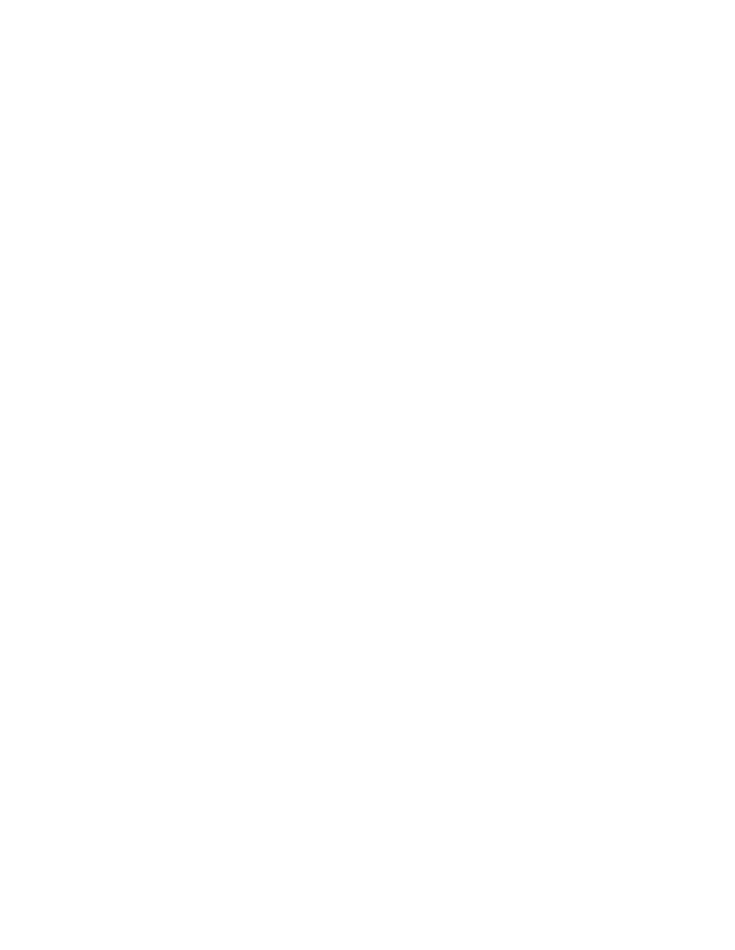| <b>ADC Resolution: Internal</b><br><b>Temperature Sensor</b> | <b>Typical ADC Resolution:</b><br><b>External Sensor Setting</b> | Typical Measurement Duration [a],<br>MEASURE, (AA <sub>HEX</sub> ) (ms) | Typical 3-Sigma Noise for SSC-<br>Corrected Output [b] (counts) |
|--------------------------------------------------------------|------------------------------------------------------------------|-------------------------------------------------------------------------|-----------------------------------------------------------------|
| 18                                                           | 23                                                               | 12.9                                                                    | 466.3                                                           |
| 18                                                           | 24                                                               | 17.0                                                                    | 922.0                                                           |

<span id="page-16-1"></span>[a] Measurement duration is defined as the time from the high/low transition at the EOC pin at the beginning of the measurement until the next low/high transition of the EOC signal at the end of a single measurement in Sleep Mode.

<span id="page-16-2"></span>[b] Reference noise values normalized to the external sensor's ADC resolution, obtained with the following setup: 40kΩ sensor bridge, 25°C operating temperature, Gain=52, ADC Offset=25%, VDD=1.79V.

#### <span id="page-16-0"></span>5.3.3 Selection of Gain and Offset – Sensor System Dimensioning

The optimal gain (and offset) setup for a specific sensor element can be determined by the following steps:

- 1. Collect sensor element's characteristic, statistical data (over temperature, ambient sensor parameter, and over production tolerances):
	- a. Minimum differential output voltage: *Vmin*
	- b. Maximum differential output voltage: *Vma<sup>x</sup>*

*Note:* The best possible setup can only be determined if the absolute value of *Vmax* is larger than the absolute value of *Vmin*. If this is not the case, the gain polarity should be reversed by means of the *Gain\_polarity* bit in the MTP's *SM\_config* register.

- 2. Calculate:
	- a. Common mode level; i.e., differential offset of the sensor output: *VCM* = 0.5 ∗ (*Vmax + Vmin*)
	- b. Relative or percentage offset of the sensor output: Offset<sub>sensor</sub>[%] =  $\frac{V_{\text{CMR}}}{V_{\text{CMR}}}$ *Vmax – Vmin* ∗ 100%
- 3. Determine which of the two following cases is valid:
	- a. If *Offsetsensor*[%] > 43% then select *Offset* = 111 (i.e., 43.25%)
	- b. If 0% < *Offsetsenso*r[%] ≤ 43% then select *Offset* ≤ *Offsetsensor*[%] (see [Table 5.5](#page-15-0) for possible ADC *Offset* setup values)
- 4. The totally required, optimum gain can be determined as

$$
Gain_{total, opt} = \frac{1.4 \text{V}}{V_{max} * (1 - \frac{Office (1 - 1)}{100})}
$$

Configure gain factors in the following step such that *Gaintotal* ≤ *Gaintotal,opt* (see sectio[n 5.3.1\)](#page-12-1).

5. The gain setup can be separated into the three factors Gain<sub>amp1</sub>, Gain<sub>amp2</sub> (for the 2-stage amplifier), and Gain<sub>ADC</sub> (1 for no shift or 2 for shift operation) according to

*Gaintotal* = *Gainamp1* ∗ *Gainamp2* ∗ *GainADC*.

- a. If no offset shift is performed (*Shift\_method* = 0 and *Offset* = 000), the amplifier gain is *Gaintotal*
- b. If an offset shift is performed (*Shift\_method* = 1), the amplifier gain is 0.5 ∗ *Gaintotal*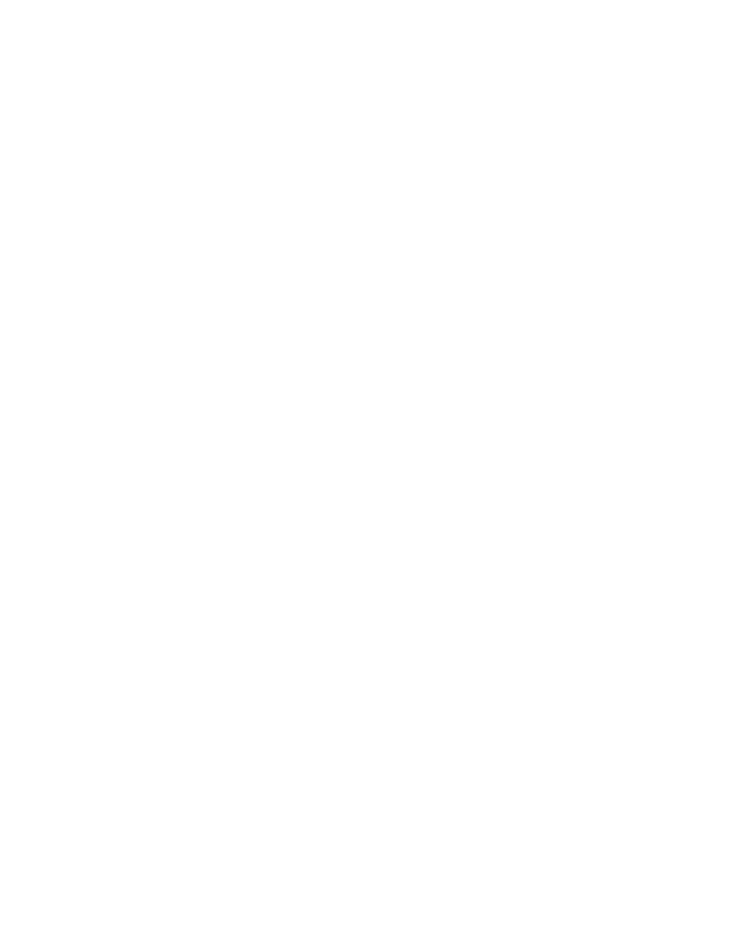<span id="page-17-3"></span>



### <span id="page-17-0"></span>5.3.4 Temperature Measurement

The ZSSC3224 provides an internal temperature sensor measurement to allow compensation for temperature effects. See section [4](#page-9-0) for the temperature sensor resolution. The temperature output signal is a differential voltage that is adapted by the amplifier for the ADC input.

For temperature measurements, the respective settings are defined and programmed in the MTP by IDT.

### <span id="page-17-1"></span>5.3.5 External Sensor Supply: Bridge Sensors

The ZSSC3224 provides dedicated supply pins VDDB and VSSB for resistive bridge-type sensors (*AbsV\_enable* bit 11 = 0 in *SM\_config*, MTP registers  $12<sub>HEX</sub>$  or  $16<sub>HEX</sub>$ ). The ADC reference voltages for the sensor bridge measurement are derived from these internal voltages such that bridge supply disturbances are suppressed. The current drive ability of  $V_{\text{DDB}}$  is limited (see  $I_{\text{VDB}}$  in section [3\)](#page-8-0).

#### <span id="page-17-2"></span>5.3.6 External Sensor: Absolute Voltage Source Sensors

Alternatively, the ZSSC3224 can process signals from an absolute-voltage source sensor; e.g., a thermopile element. The respective inputtype selection can be done with the *AbsV\_enable* bit 11 =1 in *SM\_config*, MTP registers 12<sub>HEX</sub> or 16<sub>HEX</sub>. The respective sensor element must be connected between the INP and INN pins; INN is internally connected to the ZSSC3224's analog ground (important: this is not VSSB). Do not connect VDDB and VSSB if an absolute-voltage source sensor is applied. The offset shift should be set to maximum in this case, *Shift\_method* = 1 and *Offset* = 111 in *SM\_config*. The required gain can be determined according to the procedure described in sectio[n 5.3.3.](#page-16-0)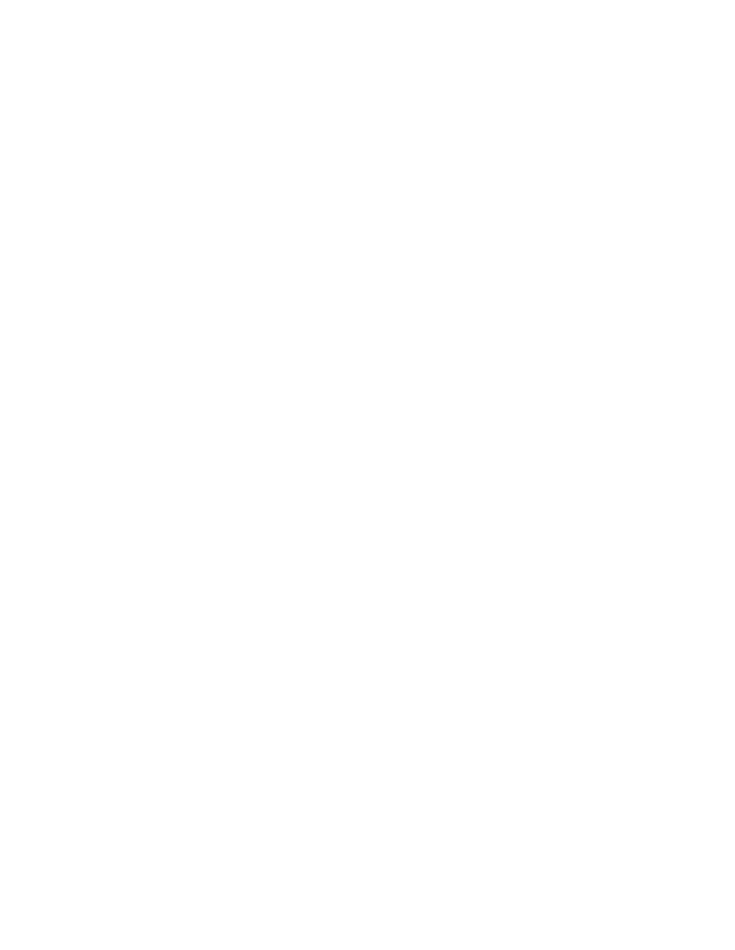## <span id="page-18-0"></span>5.4 Digital Section

#### <span id="page-18-1"></span>5.4.1 Digital Signal Processor (DSP) Core

The "DSP Core" block performs the algorithm for correcting the sensor signal. The required coefficients are stored in the MTP memory.

When the measurement results are available, the "end of conversion" signal is set at the EOC pin if no interrupt-threshold has been set up (bits[8:7] = 00 in memory register  $02<sub>HEX</sub>$ ). The internal EOC information is valid only if both the measurement and calculation have been completed. Alternatively, the EOC pin can indicate exceeding or underrunning of a certain threshold or leaving a valid-result range as described in section [6.3.](#page-19-3)

#### <span id="page-18-2"></span>5.4.2 MTP Memory

The ZSSC3224's memory is designed with a true multiple time programmable (MTP) structure. The memory is organized in 16-bit registers that can be re-written multiple times (at least 1000). The user has access to a  $57 \times 16$ -bit storage area for values such as calibration coefficients. The required programming voltage is generated internally in the ZSSC3224. A checksum of the entire memory is evaluated be for integritycheck purposes. The checksum can be generated with the command  $90_{\text{Hex}}$  (see section [6.4.1\)](#page-23-0).

### <span id="page-18-3"></span>5.4.3 Clock Generator

The clock generator provides approximately 4MHz and 1MHz clock signals as the time base for ZSSC3224-internal signal processing. The frequency is trimmed during production test.

#### <span id="page-18-4"></span>5.4.4 Power Supervision

The power supervision block, which is a part of the voltage regulator combined with the digital section, monitors all power supplies to ensure a defined reset of all digital blocks during power-up or power supply interruptions. "Brown-out" cases at the supply that do not meet the power-on reset (POR) requirements (see [Table 3.2\)](#page-8-2), must be resolved with a reset pulse at the RES pin.

### <span id="page-18-5"></span>5.4.5 Interface

The ZSSC3224 can communicate with the user's communication master or computer via an SPI or I2C interface. The interface type is selectable with the first activity at the interface after power-up or reset:

- If the first command is an I2C command and the SS pin has been inactive until receiving this command, the ZSSC3224 enters I2C Mode.
- If the first interface action is the SS pin being set to active (HIGH-active or LOW-active depending on the *SS\_polarity* bit[9] in memory interface register 02<sub>HEX</sub>), then the ZSSC3224 enters SPI Mode.

During the initiation sequence (after power-up or reset), any potential transition on SS is ignored. Switching to the SPI Mode is only possible after the power-up sequence. If SS is not connected, the SS pin internal pull-up keeps the ZSSC3224 in I2C Mode.

To also provide interface accessibility in Sleep Mode (all features inactive except for the digital interface logic), the interface circuitry is directly supplied by VDD.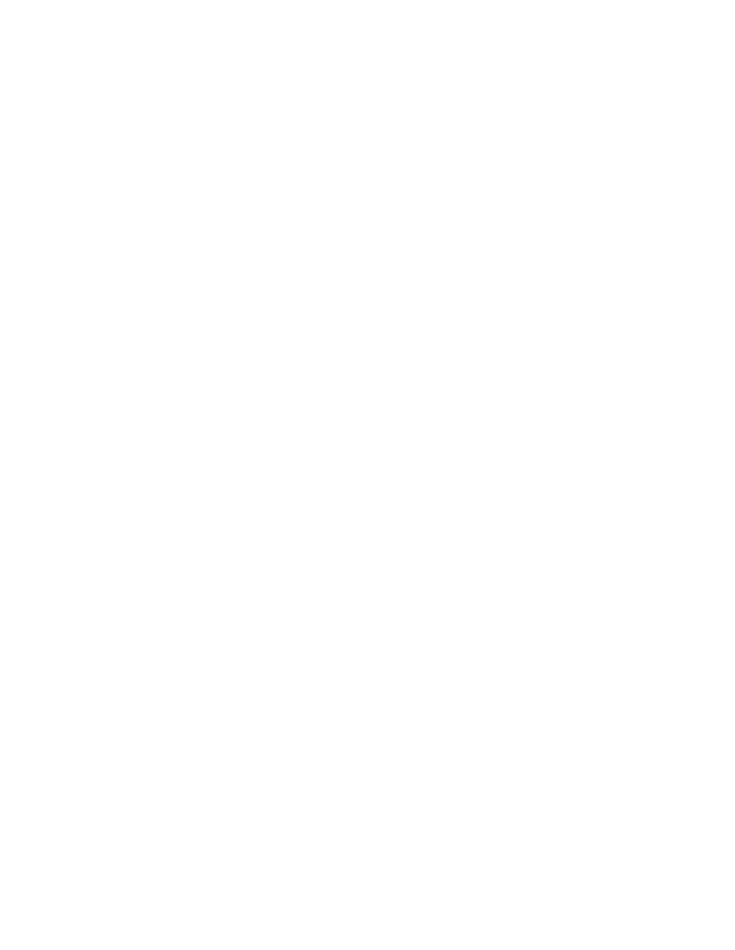## <span id="page-19-0"></span>6. Functional Description

## <span id="page-19-1"></span>6.1 Power Up

Specifications for this section are given in sections [3](#page-8-0) and [4.](#page-9-0) On power-up, the ZSSC3224 communication interface is able to receive the first command after a time t<sub>STA1</sub> from when the VDD supply is within operating specifications. The ZSSC3224 can begin the first measurement after a time of t<sub>STA2</sub> from when the VDD supply is operational. Alternatively, instead of a power-on reset, a reset and new power-up sequence can be triggered by an IC-reset signal (high low) at the RES pin.

The wake up time from Sleep Mode to Active State (see section [6.4\)](#page-20-0) after receiving the activating command is defined as t<sub>WUP1</sub> and t<sub>WUP2</sub>. In Command Mode, subsequent commands can be sent after  $t_{WIP1}$ . The first measurement starts after  $t_{WIP2}$  if a measurement request was sent.

## <span id="page-19-2"></span>6.2 Measurements

Available measurement procedures are

- AZSM: auto-zero (external) sensor measurement
- SM: (external) sensor measurement
- **AZTM: auto-zero temperature measurement**
- TM: temperature measurement

**AZSM:** The configuration is loaded for measuring the external sensor; i.e., a resistive bridge or an absolute voltage source. The "Multiplexer" block connects the amplifier input to the AGND analog ground reference. An analog-to-digital (A2D) conversion is performed so that the inherent system offset for the configuration is converted by the ADC to a digital word with a resolution according to the respective MTP configuration.

**SM:** The configuration is loaded for measuring the external sensor; i.e., a resistive bridge or an absolute voltage source. The "Multiplexer" block connects the amplifier input to the INP and INN pins. An A2D conversion is performed. The result is a digital word with a resolution according to the MTP configuration.

**AZTM:** The configuration for temperature measurements is loaded. The "Multiplexer" block connects the amplifier input to AGND. An analogto-digital conversion is performed so that the inherent system offset for the temperature configuration is converted by the ADC with a resolution according to the respective MTP configuration.

**TM:** The configuration for temperature measurements is loaded. The "Multiplexer" block connects the amplifier input to the internal temperature sensor. An A2D conversion is performed. The result is a digital word with a resolution according to the MTP configuration.

The typical application's measurement cycle is a complete SSC measurement (using one of the commands  $AA_{HEX}$  to  $AF_{HEX}$ ; see section [6.4.1\)](#page-23-0) with AZSM, SM, AZTM, and TM followed by a signal correction calculation.

## <span id="page-19-3"></span>6.3 Interrupt (EOC Pin)

The EOC pin can be programmed to operate either as a pure "measurement busy" and end-of-conversion (EOC) indicator or as a configurable interrupt indicator. The basic operation must be programmed to the INT\_setup bits [8:7] in register 02<sub>HEX</sub> (see [Table 6.5\)](#page-31-1). One or two 24-bitquantized thresholds can be programmed (TRSH1 and TRSH2 in memory registers  $13_{\text{HEX}}$ ,  $14_{\text{HEX}}$ , and  $15_{\text{HEX}}$ ).

The thresholds are programmed left-aligned in the memory; i.e., they must be programmed with the threshold's MSB in the memory register's MSB, etc. The number of LSB threshold bits that are used is equal to the number of bits for the selected ADC resolution (determined by the *Adc\_bits* field in registers  $12_{\text{HEX}}$  and  $16_{\text{HEX}}$ ; unused LSB bits are ignored.

The interrupt functionality is only available for digital values from the SSC-calculation unit (i.e., after sensor signal conditioning); raw values cannot be monitored by the interrupt feature. [Figure 6.1](#page-20-1) shows the different setup options and the respective response at the EOC pin. The use of the interrupt functionality is recommended for cyclic operation (command ABHEX with the respective power-down setup in the *Interface Configuration* memory register 02HEX). The EOC level continuously represents the respective SSC-measurement results only during cyclic operation. For single or oversample measurement requests without cyclic operation, the EOC output signal is reset to logical zero at the beginning of each new measurement, even though the interrupt thresholds are established correctly at the end of each measurement (setting EOC to logical one or zero is dependent on the interrupt setup).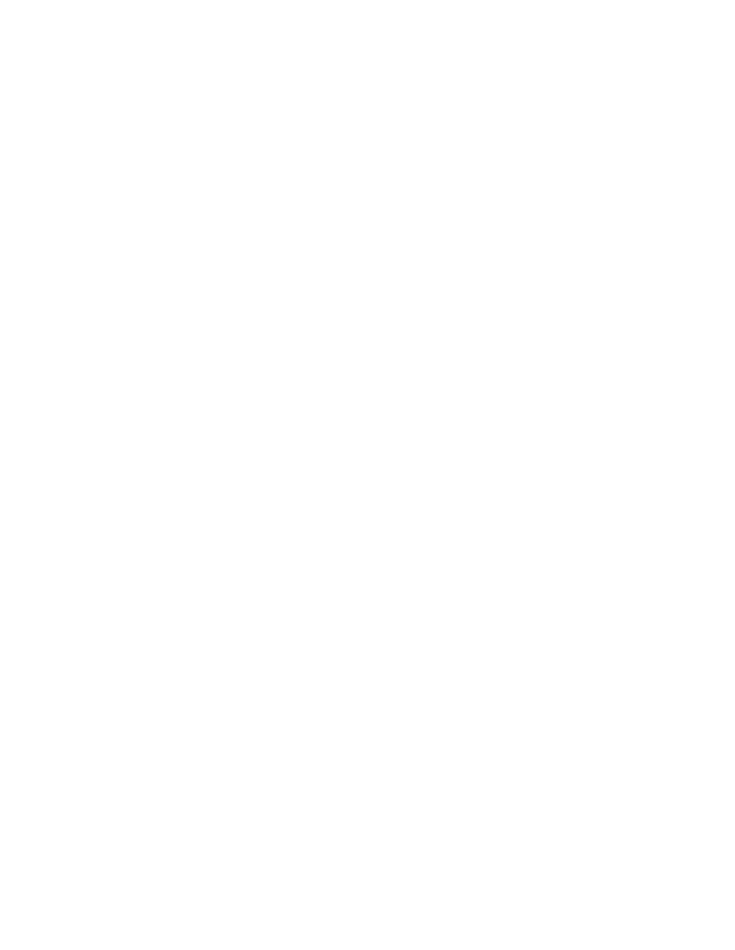#### <span id="page-20-1"></span>Figure 6.1 Interrupt Functionality



## <span id="page-20-0"></span>6.4 Operational Modes

[Figure 6.2](#page-21-0) illustrates the ZSSC3224 power-up sequence and subsequent operation depending on the selected interface communication mode (I2C or SPI) as determined by interface-related first activities after power-up or reset. If the first command after power-up is a valid I2C command, the interface will function as an I2C interface until the next power-on reset (POR). If there is no valid I2C command, but an active signal at the SS pin is detected as the first valid activity, then the interface will respond as an SPI slave. With either interface, after the voltage regulators are switched on, the ZSSC3224's low-voltage section (LV) is active while the related interface configuration information is read from memory. Then the LV section is switched off, the ZSSC3224 goes into Sleep Mode, and the interface is ready to receive commands. The interface is always powered by  $V_{DD}$ , so it is referred to as the high voltage section (HV).

Se[e Table 6.1](#page-23-1) for definitions of the commands.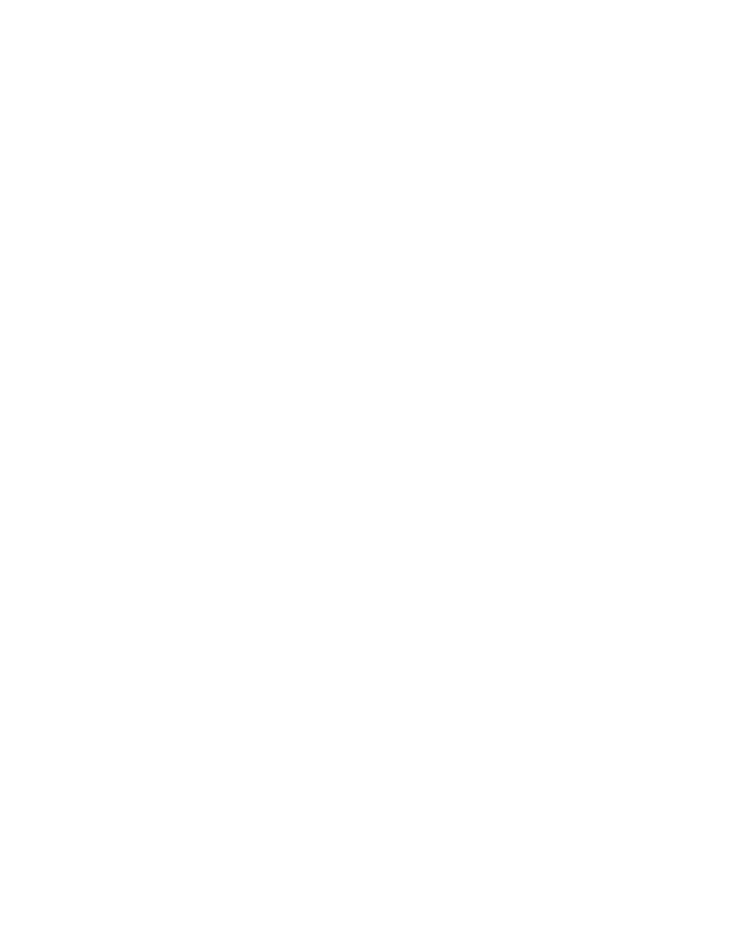[Figure 6.3](#page-22-0) shows the ZSSC3224 operation in Normal Mode (with two operation principles: "Sleep" and "Cyclic") and Command Mode, including when the LV and HV sections are active as indicated by the color legend. The Normal Mode automatically returns to Sleep Mode after executing the requested measurements, or periodically wakes up and conducts another measurement according to the setting for the sleep duration configured by CYC\_period (bits[14:12] in memory register 02<sub>HEX</sub>). In Command Mode, the ZSSC3224 remains active if a dedicated command (e.g., Start\_NOM) is sent, which is helpful during calibration. Command Mode can only be entered if Start\_CM (command A9HEX; see [Table](#page-23-1)  [6.1\)](#page-23-1) is the first command received after a POR.

<span id="page-21-0"></span>

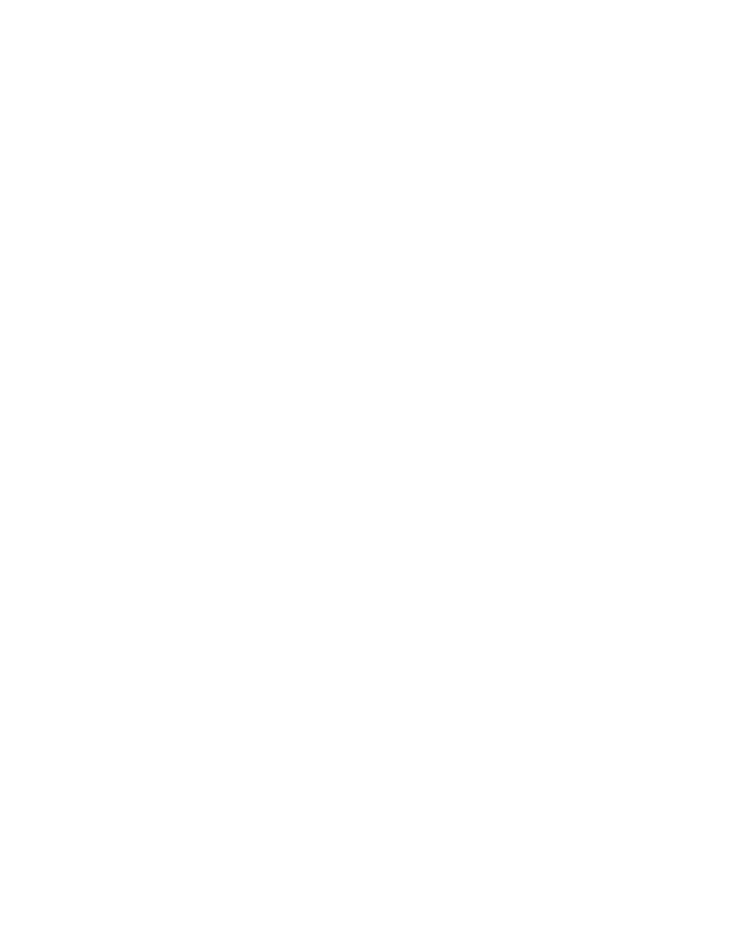

#### <span id="page-22-0"></span>Figure 6.3 Operational Flow Chart: Command Mode and Normal Mode (Sleep and Cyclic)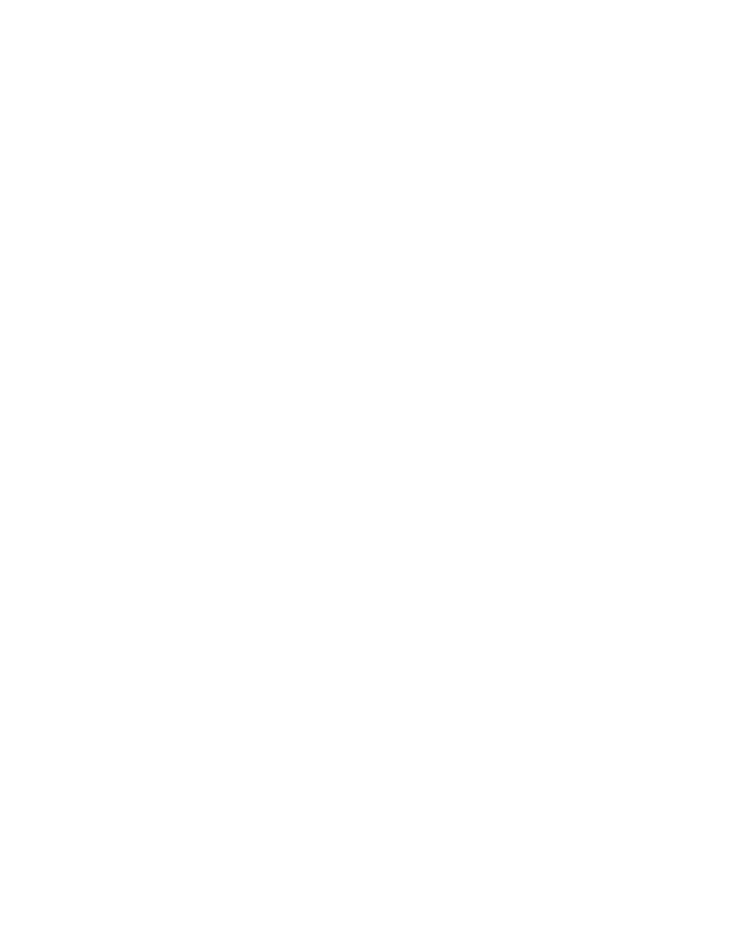### <span id="page-23-0"></span>6.4.1 SPI/I2C Commands

The SPI/I2C commands supported by the ZSSC3224 are listed i[n Table 6.1.](#page-23-1) The command to read an address in the user memory is the same as its address. The command to write to an address in user memory is the address plus  $40<sub>HEX</sub>$ .

There is an IDT-reserved section of memory that can be read but not over-written by the user.

#### <span id="page-23-1"></span>Table 6.1 SPI/I2C Commands

Note: Every return starts with a status byte followed by the data word as described in section [6.5.1.](#page-25-1)

Note: See important table notes at the end of the table.

| <b>Command (Byte)</b>                                                                                       | <b>Return</b>                                                                                           | <b>Description</b>                                                                                                                                                                                                                                                                                                               | <b>Normal</b><br><b>Mode</b> | Command<br><b>Mode</b> |
|-------------------------------------------------------------------------------------------------------------|---------------------------------------------------------------------------------------------------------|----------------------------------------------------------------------------------------------------------------------------------------------------------------------------------------------------------------------------------------------------------------------------------------------------------------------------------|------------------------------|------------------------|
| $00$ HFX to $39$ HFX                                                                                        | 16-bit user data                                                                                        | Read data in the user memory address (00 <sub>HEX</sub> to<br>39 <sub>HEX</sub> ) matching the command (might not be using all<br>addresses).                                                                                                                                                                                    | Yes                          | Yes                    |
| 3AHEX to 3FHEX                                                                                              | 16-bit IDT-reserved memory<br>data                                                                      | Read data in IDT-reserved memory at address (3AHEX<br>to $3F_{HER}$ ).                                                                                                                                                                                                                                                           | Yes                          | Yes                    |
| 40 <sub>HEX</sub> to 79 <sub>HEX</sub><br>followed by data<br>(0000 <sub>HEX</sub> to FFFF <sub>HEX</sub> ) |                                                                                                         | Write data to user memory at address specified by<br>command minus 40HEX (addresses 00HEX to 39HEX<br>respectively; might not be using all addresses).                                                                                                                                                                           | Yes                          | Yes                    |
| 90 <sub>HEX</sub>                                                                                           |                                                                                                         | Calculate and write memory checksum (CRC), which<br>is register address 39 <sub>HEX</sub> ).                                                                                                                                                                                                                                     | Yes                          | Yes                    |
| AOHEX to A7HEX<br>followed by XXXX <sub>HEX</sub><br>(see Table 6.2)                                        | 24-bit formatted raw data                                                                               | Get_Raw This command can be used to perform a<br>measurement and write the raw ADC data into the<br>output register. The LSB of the command determines<br>how the AFE configuration register is loaded for the<br>Get_Raw measurement (see Table 6.2).                                                                           | Yes                          | Yes                    |
| AB <sub>HEX</sub>                                                                                           |                                                                                                         | Start NOM Exit Command Mode and transition to<br>Normal Mode (Sleep or Cyclic).                                                                                                                                                                                                                                                  | No                           | Yes                    |
| $A9$ <sub>HEX</sub>                                                                                         |                                                                                                         | Start CM Exit Normal Mode and transition to<br>Command Mode (as very first command after power-<br>$up)$ .                                                                                                                                                                                                                       | Yes                          | No                     |
| <b>AAHEX</b>                                                                                                | 24-bit formatted fully corrected<br>sensor measurement data + 24-<br>bit corrected temperature data [a] | Measure Trigger full measurement cycle (AZSM,<br>SM, AZTM, and TM, as described in section 6.2) and<br>calculation and storage of data in the output buffer<br>using the configuration from MTP.                                                                                                                                 | Yes                          | Yes                    |
| <b>ABHEX</b>                                                                                                | 24-bit formatted fully corrected<br>sensor measurement data + 24-<br>bit corrected temperature data [a] | Measure Cyclic This command triggers a<br>continuous full measurement cycle (AZSM, SM,<br>AZTM, and TM; see section 6.2) and calculation and<br>storage of data in the output buffer using the<br>configuration from MTP followed by a pause<br>determined by CYC_period (bits[14:12] in memory<br>register 02 <sub>HEX</sub> ). | Yes                          | Yes                    |
| <b>ACHEX</b>                                                                                                | 24-bit formatted fully corrected<br>sensor measurement data + 24-<br>bit corrected temperature data [a] | Oversample-2 Measure Mean value generation: 2<br>full measurements are conducted (as in command<br>AA <sub>HEX</sub> ), the measurements' mean value is calculated,<br>and data is stored in the output buffer using the<br>configuration from MTP; no power down or pause<br>between the 2 measurements.                        | Yes                          | Yes                    |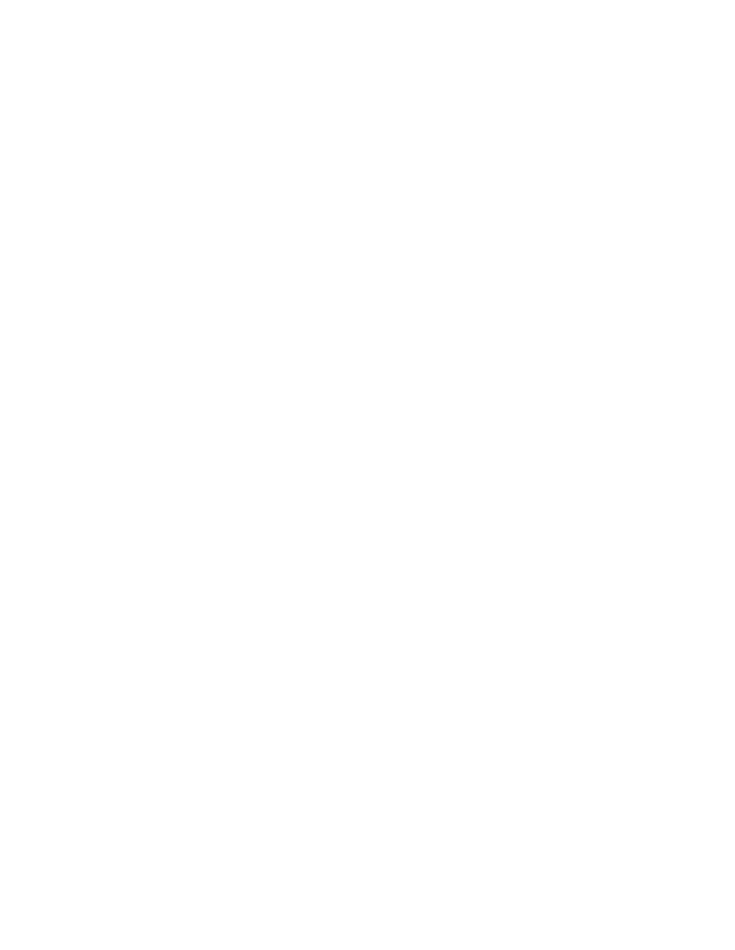| <b>Command (Byte)</b>   | Return                                                                                                  | <b>Description</b>                                                                                                                                                                                                                                                                                           | <b>Normal</b><br><b>Mode</b> | Command<br><b>Mode</b> |
|-------------------------|---------------------------------------------------------------------------------------------------------|--------------------------------------------------------------------------------------------------------------------------------------------------------------------------------------------------------------------------------------------------------------------------------------------------------------|------------------------------|------------------------|
| $AD_{HEX}$              | 24-bit formatted fully corrected<br>sensor measurement data + 24-<br>bit corrected temperature data [a] | Oversample-4 Measure Mean value generation: 4<br>full measurements (as in command AAHEX) are<br>conducted, the measurements' mean value is<br>calculated, and data is stored in the output buffer<br>using the configuration from MTP; no power down or<br>pause between the 4 measurements.                 | Yes                          | Yes                    |
| <b>AE<sub>HEX</sub></b> | 24-bit formatted fully corrected<br>sensor measurement data + 24-<br>bit corrected temperature data [a] | Oversample-8 Measure Mean value generation: 8<br>full measurements (as in command AAHEX) are<br>conducted, the measurements' mean value is<br>calculated, and data is stored in the output buffer<br>using the configuration from MTP; no power down or<br>pause between the 8 measurements.                 | Yes                          | Yes                    |
| <b>AF<sub>HEX</sub></b> | 24-bit formatted fully corrected<br>sensor measurement data + 24-<br>bit corrected temperature data [a] | Oversample-16 Measure Mean value generation:<br>16 full measurements (as in command AA <sub>HEX</sub> ) are<br>conducted, the measurements' mean value is<br>calculated, and data is stored in the output buffer<br>using the configuration from MTP; no power down or<br>pause between the 16 measurements. | Yes                          | Yes                    |
| BO <sub>HEX</sub>       |                                                                                                         | Select SM_config1 register (12 <sub>HEX</sub> in memory) For<br>any measurement using the memory contents for the<br>analog front-end and sensor setup, the respective<br>setup is loaded from the SM_config1 register; status<br>bit[1]==0 (default).                                                       | Yes                          | Yes                    |
| B <sub>1HEX</sub>       |                                                                                                         | Select SM_config2 register (16 <sub>HEX</sub> in memory) For<br>any measurement using the memory contents for the<br>analog front-end and sensor setup, the respective<br>setup is loaded from the SM_config2 register, status<br>$bit[1]==1$                                                                | Yes                          | Yes                    |
| <b>BF<sub>HEX</sub></b> |                                                                                                         | STOP_CYC This command causes a power-down<br>halting the update / cyclic measurement operation<br>and causing a transition from Normal to Sleep Mode.                                                                                                                                                        | Yes                          | Yes                    |
| <b>FXHEX</b>            | Status followed by last<br>24-bit data                                                                  | <b>NOP</b> Only valid for SPI (see sections 6.5.1 and<br>$6.5.2$ ).                                                                                                                                                                                                                                          | Yes                          | Yes                    |

<span id="page-24-0"></span>[a] Note: Any ADC measurement and SSC calculation output is formatted as a 24-bit data word, regardless of the effective ADC resolution used.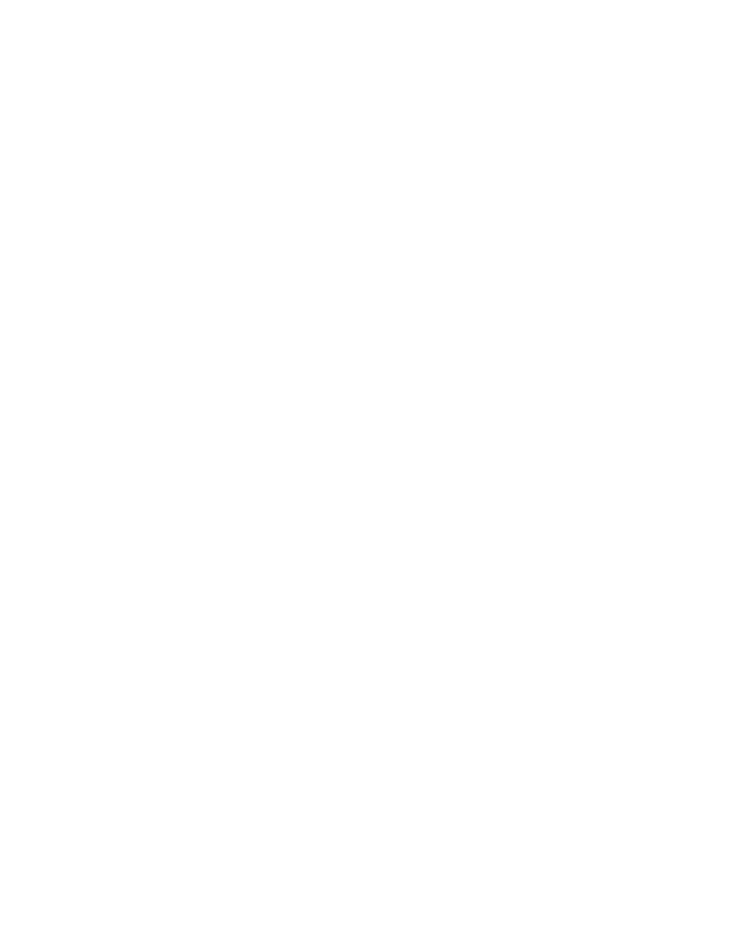#### <span id="page-25-2"></span>Table 6.2 Get\_Raw Commands

| Command                                           | <b>Measurement</b>                                                 | <b>AFE Configuration Register</b>                                                                                                                                                                                                                                                             |
|---------------------------------------------------|--------------------------------------------------------------------|-----------------------------------------------------------------------------------------------------------------------------------------------------------------------------------------------------------------------------------------------------------------------------------------------|
| A0 <sub>HEX</sub> followed by 0000 <sub>HEX</sub> | <b>SM</b> - Sensor Measurement                                     | SM_config. See section 6.5.1.                                                                                                                                                                                                                                                                 |
| $A1_{HEX}$ followed by $ssss_{HEX}$               | <b>SM</b> - Sensor Measurement                                     | ssss is the user's configuration setting for the measurement<br>provided via the interface. The format and purpose of the<br>configuration bits must be according to the definitions for<br>SM_config (see Table 6.5).                                                                        |
| A2HEX followed by 0000HEX                         | SM-AZSM - Auto-Zero Corrected Sensor<br>Measurement [a]            | SM_config. See section 6.5.1.                                                                                                                                                                                                                                                                 |
| A3HEX followed by SSSSHEX                         | SM-AZSM - Auto-Zero Corrected Sensor<br>Measurement <sup>[b]</sup> | ssss is the user's configuration setting for the measurement<br>provided via the interface. The format and purpose of the<br>configuration bits must be according to the definitions for<br>SM_config.                                                                                        |
| A4 <sub>HEX</sub> followed by 0000 <sub>HEX</sub> | TM - Temperature Measurement                                       | IDT-defined register.                                                                                                                                                                                                                                                                         |
| A5 <sub>HEX</sub> followed by SSSSHEX             | TM - Temperature Measurement                                       | ssss is the user's configuration setting for the measurement<br>provided via the interface. The format and purpose of<br>configuration bits must be according to the definitions for<br>SM_config and valid for temperature measurement in this case<br>(bits [15:12] will be ignored).       |
| A6HEX followed by 0000HEX                         | TM-AZTM - Auto-Zero Corrected<br>Temperature Measurement [a]       | IDT-defined register.                                                                                                                                                                                                                                                                         |
| A7HEX followed by SSSSHEX                         | TM-AZTM - Auto-Zero Corrected<br>Temperature Measurement [b]       | ssss is the user's configuration setting for the measurement<br>provided via the interface. The format and purpose of these<br>configuration bits must be according to the definitions for<br>SM_config and valid for temperature measurement in this case<br>(bits [15:12] will be ignored). |

<span id="page-25-3"></span>[a] Recommended for raw data collection during calibration coefficient determination using the measurement setups pre-programmed in MTP.

<span id="page-25-4"></span>[b] Recommended for raw data collection during calibration coefficient determination using un-programmed (not in MTP), external measurement setups; e.g., for evaluation purposes.

## <span id="page-25-0"></span>6.5 Communication Interface

### <span id="page-25-1"></span>6.5.1 Common Functionality

Commands are handled by the command interpreter in the LV section. Commands that need additional data are not treated differently than other commands because the HV interface is able to buffer the command and all the data that belongs to the command and the command interpreter is activated as soon as a command byte is received.

Every response starts with a status byte followed by the data word. The data word depends on the previous command. It is possible to read the same data more than once if the read request is repeated (I2C) or a NOP command is sent (SPI). If the next command is not a read request (I2C) or a NOP (SPI), it invalidates any previous data.

The ZSSC3224 supports the parallel setup of two amplifier-ADC-configurations using *SM\_config1* (default) and *SM\_config2*. Switching between the two setups can be done with the commands B0<sub>HEX</sub> (selects *SM\_config1*) and B1<sub>HEX</sub> (selects *SM\_config2*). Note that the respective activation command must always be sent prior to the measurement request.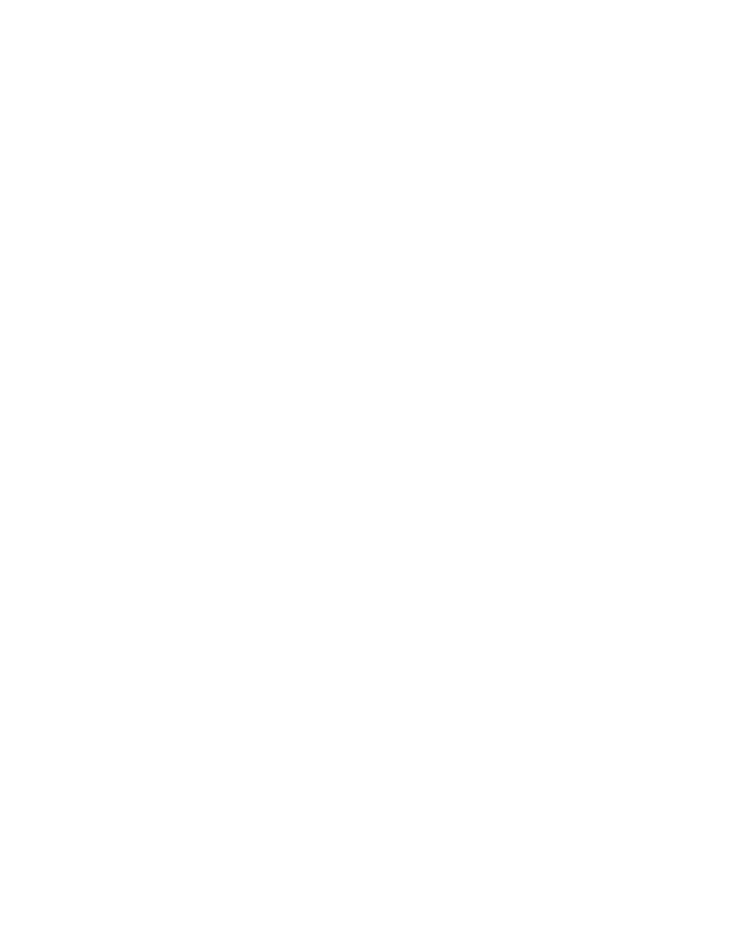The status byte contains the following bits in the sequence shown in [Table 6.3:](#page-26-1)

- Power indication (bit 6): 1 if the device is powered ( $V_{\text{DDB}}$  on); 0 if not powered. This is needed for the SPI Mode where the master reads all zeroes if the device is not powered or in power-on reset (POR).
- Busy indication (bit 5): 1 if the device is busy, which indicates that the data for the last command is not available yet. No new commands are processed if the device is busy.
- *Note:* The device is always busy if the cyclic measurement operation has been set up and started.
- Currently active ZSSC3224 mode (bits  $[4:3]$ ): 00 = Normal Mode; 01 = Command Mode; 1X = IDT reserved.
- Memory integrity/error flag (bit 2): 0 if integrity test passed; 1 if test failed. This bit indicates whether the checksum-based integrity check passed or failed. The memory error status bit is calculated only during the power-up sequence, so a newly written CRC will only be used for memory verification and status update after a subsequent ZSSC3224 power-on reset (POR) or reset via the RES pin.
- Config Setup (bit 1): This bit indicates which *SM\_config* register is being used for the active configuration: *SM\_config1* (12HEX) or SM\_config2 (16<sub>HEX</sub>). The two alternate configuration setups allow for two different configurations of the external sensor channel in order to support up to two application scenarios with the use of only one sensor-ZSSC3224 pair. This bit is 0 if *SM\_config1* was selected (default). This bit is 1 if *SM\_config2* was selected.
- ALU saturation (bit 0): If the last command was a measurement request, this bit is 0 if any intermediate value and the final SSC result are in a valid range and no SSC-calculation internal saturation occurred in the arithmetic logic unit (ALU). If the last command was a measurement request, this bit is 1 if an SSC-calculation internal saturation occurred. This bit is also 0 for any non-measurement command.

#### <span id="page-26-1"></span>Table 6.3 General Status Byte

| Bit            |          |       |      |               |                     |                       |
|----------------|----------|-------|------|---------------|---------------------|-----------------------|
| <b>Meaning</b> | Powered? | Busy? | Mode | Memory error? | <b>Config Setup</b> | ALU<br>' Saturation': |

#### <span id="page-26-2"></span>Table 6.4 Mode Status

| Status[4:3] | <b>Mode</b>                               |
|-------------|-------------------------------------------|
| 00          | Normal Mode (sleep and cyclic operations) |
| 01          | <b>Command Mode</b>                       |
| 10          | <b>IDT</b> reserved                       |
|             | <b>IDT</b> reserved                       |

Further status information can be provided by the EOC pin. The EOC pin is set high when a measurement and calculation have been completed (if no interrupt threshold is used, i.e. *INT\_setup*==00<sub>BIN</sub>; see section [6.3\)](#page-19-3).

#### <span id="page-26-0"></span>6.5.2 SPI

The SPI Mode is available if the first interface activity after the ZSSC3224 power-up is an active signal at the SS pin. The polarity and phase of the SPI clock are programmable via the *CKP\_CKE* setting in bits  $[11:10]$  in address  $02<sub>Hex</sub>$  as described in [Table 6.5.](#page-31-1) *CKP\_CKE* is two bits: CPHA (bit 10), which selects which edge of SCLK latches data, and CPOL (bit 11), which indicates whether SCLK is high or low when it is idle. The polarity of the SS signal and pin are programmable via the *SS\_polarity* setting (bit 9). The different combinations of polarity and phase are illustrated in the figures below.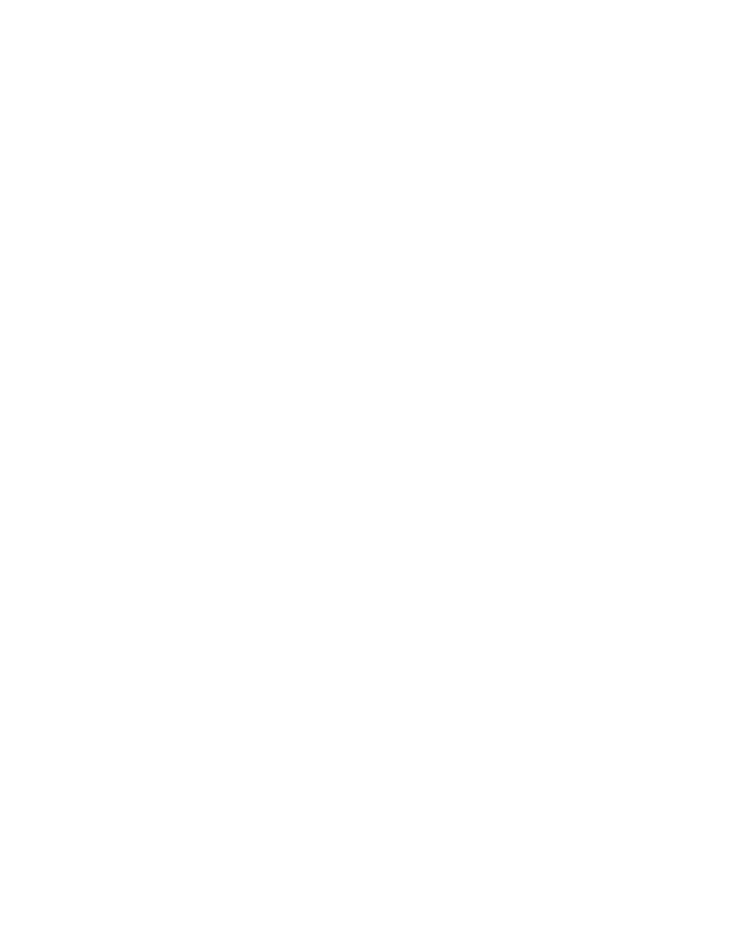#### <span id="page-27-0"></span>Figure 6.4 SPI Configuration CPHA=0



### <span id="page-27-1"></span>Figure 6.5 SPI Configuration CPHA=1



In SPI mode, each command except NOP is started as shown in [Figure 6.6.](#page-28-0) After the execution of a command (busy = 0), the expected data can be read as illustrated in [Figure 6.7](#page-28-1) or if no data are returned by the command, the next command can be sent. The status can be read at any time with the NOP command (see [Figure 6.8\)](#page-28-2).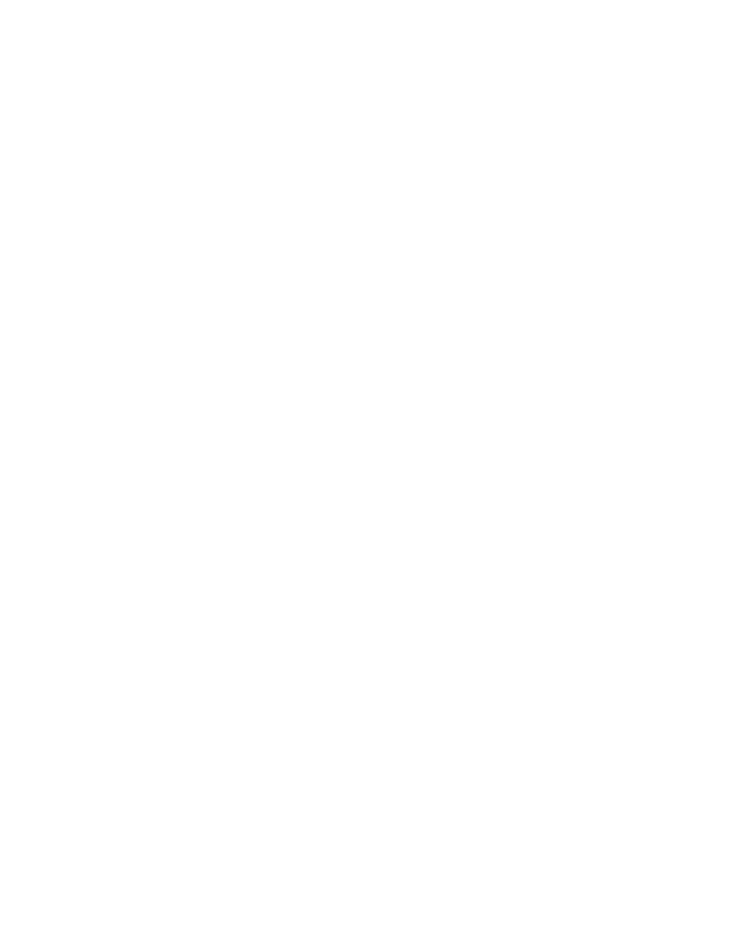#### <span id="page-28-0"></span>Figure 6.6 SPI Command Request

|             | <b>Command Request</b>              |                  |                 |
|-------------|-------------------------------------|------------------|-----------------|
| <b>MOSI</b> | Command<br>other than<br><b>NOP</b> | CmdDat<br><15:8> | CmdDat<br>27:0> |
| <b>MISO</b> | <b>Status</b>                       | Data             | Data            |

Note: A command request always consists of 3 bytes. If the command is shorter, then it must be completed with 0s. The data on MISO depend on the preceding command.

#### <span id="page-28-1"></span>Figure 6.7 SPI Read Status



#### <span id="page-28-2"></span>Figure 6.8 SPI Read Data

#### **Read Data**

(a) Example: after the completion of a Memory Read command

| <b>MOSI</b> | Command<br>$= \text{NOP}$ | 00 <sub>HEX</sub> | 00 <sub>HFX</sub> |
|-------------|---------------------------|-------------------|-------------------|
| <b>MISO</b> | <b>Status</b>             | MemDat<br><15.8>  | MemDat<br>27.0>   |

(b) Example: after the completion of a **Measure** command (AA<sub>HEX</sub>)

| <b>MOSI</b> | Command<br>$= \text{NOP}$ | 00 <sub>HEX</sub>     | 00 <sub>HEX</sub>               | 00 <sub>HEX</sub> | 00 <sub>HEX</sub>   | 00 <sub>HEX</sub> | 00 <sub>HEX</sub> |
|-------------|---------------------------|-----------------------|---------------------------------|-------------------|---------------------|-------------------|-------------------|
| <b>MISO</b> | <b>Status</b>             | SensorDat<br>< 24:16> | SensorDat   SensorDat<br><15.8> | 27:0>             | TempDat<br>< 24:16> | TempDat<br><15:8> | TempDat<br>27.0>  |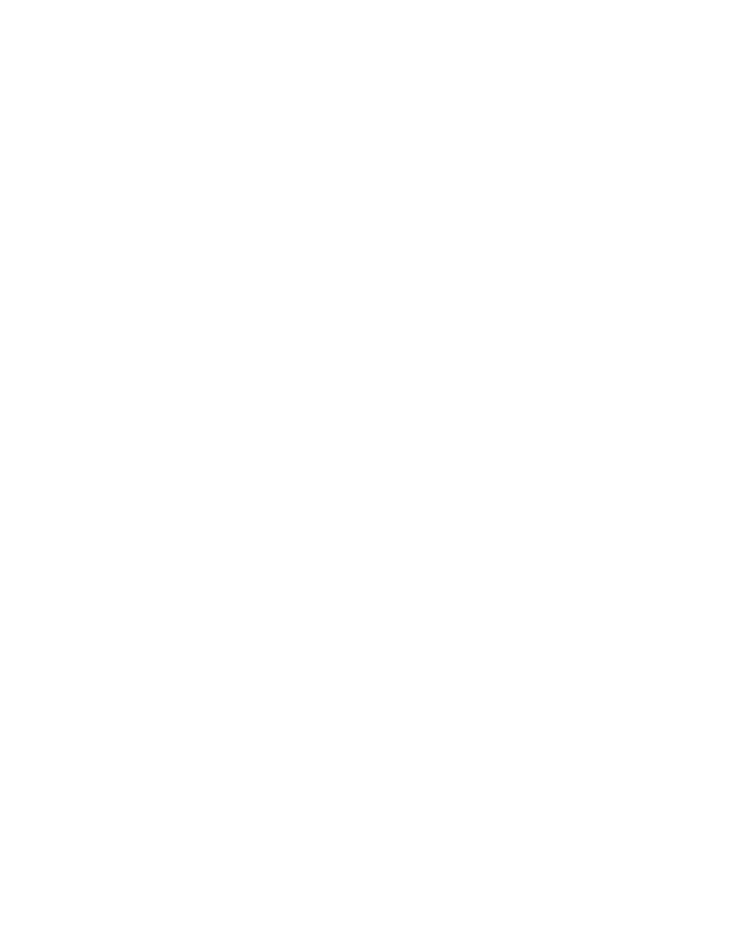#### <span id="page-29-0"></span>6.5.3 I2C

I2C Mode will be selected if the very first interface activity after ZSSC3224 power-up is an I2C command. In I2C Mode, each command is started as shown in [Figure 6.9.](#page-29-1) Only the number of bytes that are needed for the command must be sent. An exception is the I2C High Speed Mode (see *Slave\_Addr* i[n Table 6.5\)](#page-31-1) for which 3 bytes must always be sent as in SPI Mode. After the execution of a command (busy = 0), the expected data can be read as illustrated i[n Figure 6.11](#page-29-3) or if no data are returned by the command, the next command can be sent. The status can be read at any time as illustrated in [Figure 6.10.](#page-29-2)

#### <span id="page-29-1"></span>Figure 6.9 I2C Command Request



#### <span id="page-29-2"></span>Figure 6.10 I2C Read Status

**Read Status (I2C Read)**



#### <span id="page-29-3"></span>Figure 6.11 I2C Read Data

#### **Read Data (I2C Read)**

(a) Example: after the completion of a Memory Read command



(b) Example: after the completion of a Full Measurement command  $(AA_{HEX})$ 

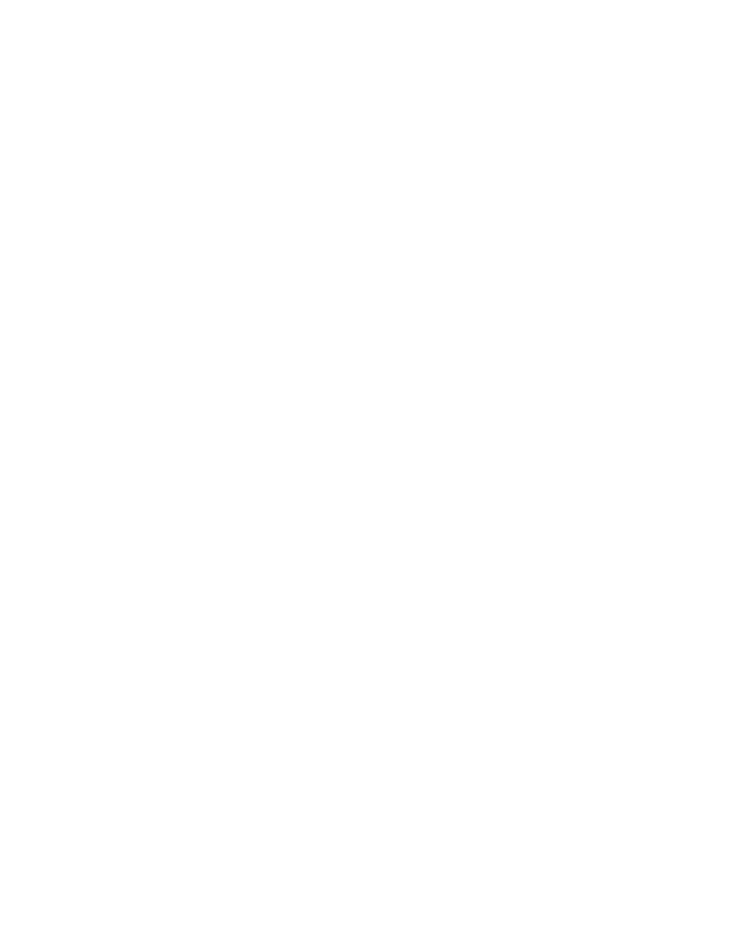All mandatory I2C-bus protocol features are implemented. Optional protocol features such as clock stretching, 10-bit slave address, etc., are not supported by the ZSSC3224's interface.

In I2C-High-Speed Mode, a command consists of a fixed length of three bytes.

## <span id="page-30-0"></span>6.6 Multiple Time Programmable (MTP) Memory

In the ZSSC3224, the memory is organized in 16-bit registers and can be programmed multiple times (at least 1000). There are 57 x 16-bit registers available for customer use. Each register can be re-programmed. Basically, there are two MTP content sectors:

- Customer use: accessible by means of regular write operations:  $40<sub>HEX</sub>$  to  $79<sub>HEX</sub>$ . It contains the customer ID, interface setup data, measurement setup information, calibration coefficients, etc.
- IDT use: only accessible for write operations by IDT. The IDT sector contains specific trim information and is programmed during manufacturing test by IDT.

### <span id="page-30-1"></span>6.6.1 Programming Memory

Programming memory is possible with any specified supply voltage level at VDD. The MTP programming voltage itself is generated by means of an integrated charge pump, generating an internal memory programming voltage; no additional, external voltage, other than VDD (as specified) is needed. A single 16-bit register write will be completed within 16ms after the respective programming command has been sent. After the memory is programmed, it must be read again to verify the validity of the memory contents.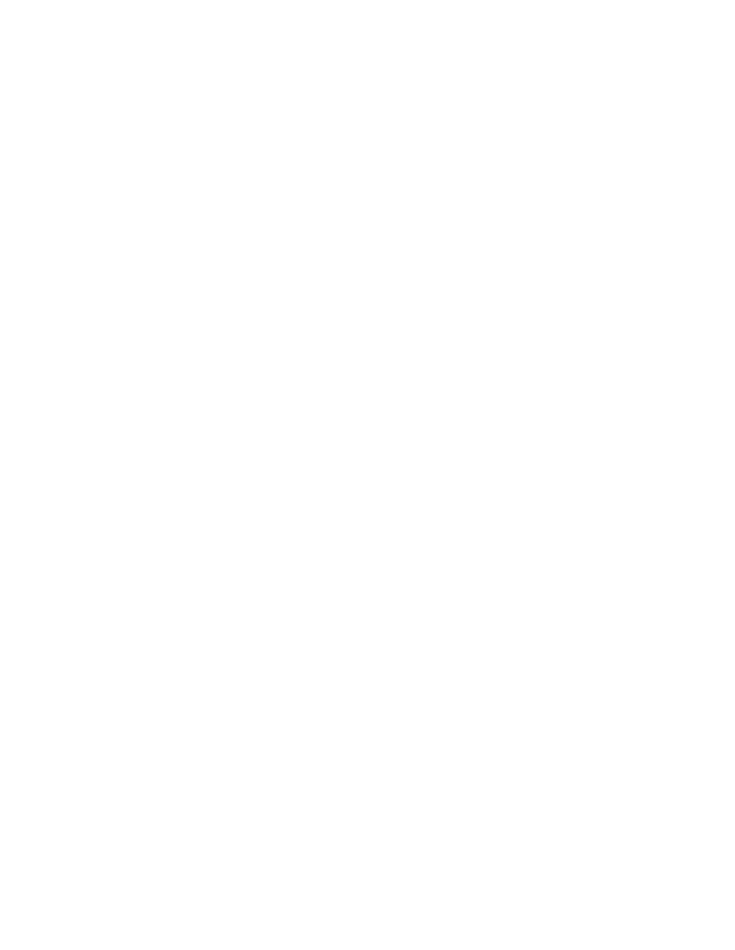#### <span id="page-31-0"></span>6.6.2 Memory Contents

#### <span id="page-31-1"></span>Table 6.5 MTP Memory Content Assignments

| <b>MTP</b><br><b>Address</b>   | Word / Bit<br>Range | <b>Default</b><br><b>Setting</b> | <b>Description</b> | <b>Notes / Explanations</b>                                                                                                                                                                                                                                                                                                                                                                                                                                                                                                                                                                                                                                            |
|--------------------------------|---------------------|----------------------------------|--------------------|------------------------------------------------------------------------------------------------------------------------------------------------------------------------------------------------------------------------------------------------------------------------------------------------------------------------------------------------------------------------------------------------------------------------------------------------------------------------------------------------------------------------------------------------------------------------------------------------------------------------------------------------------------------------|
| 00 <sub>HEX</sub>              | 15:0                | 0000 <sub>HEX</sub>              | Cust_ID0           | Customer ID byte 0 (combines with memory word 01 <sub>HEX</sub> to form customer ID).                                                                                                                                                                                                                                                                                                                                                                                                                                                                                                                                                                                  |
| 01 <sub>HEX</sub>              | 15:0                | 0000 <sub>HEX</sub>              | Cust_ID1           | Customer ID byte 1 (combines with memory word 00 <sub>HEX</sub> to form customer ID).                                                                                                                                                                                                                                                                                                                                                                                                                                                                                                                                                                                  |
| <b>Interface Configuration</b> |                     |                                  |                    |                                                                                                                                                                                                                                                                                                                                                                                                                                                                                                                                                                                                                                                                        |
|                                | 6:0                 | 000 0000 <sub>BIN</sub>          | Slave_Addr         | I2C slave address; valid range: 00HEX to 7FHEX (default: 00HEX). Note: address<br>codes 04HEX to 07HEX are reserved for entering the I2C High Speed Mode.                                                                                                                                                                                                                                                                                                                                                                                                                                                                                                              |
|                                | 8:7                 | 00 <sub>BIN</sub>                | INT_setup          | Interrupt configuration, EOC pin functionality (see section 6.3):<br>00<br>End-of-conversion signal<br>0-1 transition on EOC/INT if conditioned measurement result (MEAS)<br>01<br>exceeds threshold1 (TRSH1) and 1-0 transition if MEAS falls below<br>threshold1 again<br>0-1 transition if MEAS falls below threshold1 and 1-0 transition if<br>10<br>MEAS rises above threshold1 again<br>EOC is determined by threshold settings :<br>11<br>If (TRSH1>TRSH2) then EOC/INT (interrupt level) = 0 if (TRSH1 > MEAS $\ge$<br>TRSH2). Otherwise EOC/INT=1.<br>If (TRSH1 $\leq$ TRSH2) then EOC/INT = 1 if (TRSH1 $\leq$ MEAS $\leq$ TRSH2).<br>Otherwise EOC/INT = 0. |
|                                | 9                   | OBIN                             | SS_polarity        | Determines the polarity of the Slave Select pin (SS) for SPI operation:<br>$0 \Leftrightarrow$ Slave Select is active low (SPI and ZSSC3224 are active if SS==0)<br>1 ⇔ Slave Select is active high (SPI and ZSSC3224 are active if SS==1)                                                                                                                                                                                                                                                                                                                                                                                                                             |
| $02$ <sub>HEX</sub>            | 11:10               | 00 <sub>BIN</sub>                | CKP_CKE            | Clock polarity and clock-edge select-determines polarity and phase of SPI<br>interface clock with the following modes:<br>$00 \Leftrightarrow$ SCLK is low in idle state, data latch with rising edge and data output<br>with falling edge<br>01 $\Leftrightarrow$ SCLK is low in idle state, data latch with falling edge and data output<br>with rising edge<br>10 ⇔ SCLK is high in idle state, data latch with falling edge and data output<br>with rising edge<br>SCLK is high in idle state, data latch with rising edge and data output<br>11 ⇔<br>with falling edge                                                                                            |
|                                | 14:12               | $000_{\text{BIN}}$               | CYC_period         | Update period (ZSSC3224 sleep time, except oscillator) in cyclic operation:<br>000 ⇔ not assigned<br>100 ⇔ 1000ms<br>001 ⇔ 125ms<br>101 ⇔ 2000ms<br>010 $\Leftrightarrow$ 250ms<br>110 ⇔ 4000ms<br>011 $\Leftrightarrow$ 500ms<br>111 ⇔ not assigned                                                                                                                                                                                                                                                                                                                                                                                                                   |
|                                | 15                  | $0_{\text{BIN}}$                 | SOT_curve          | Type/shape of second-order curve correction for the sensor signal.<br>$0 \Leftrightarrow$ parabolic curve<br>1 ⇔ s-shaped curve                                                                                                                                                                                                                                                                                                                                                                                                                                                                                                                                        |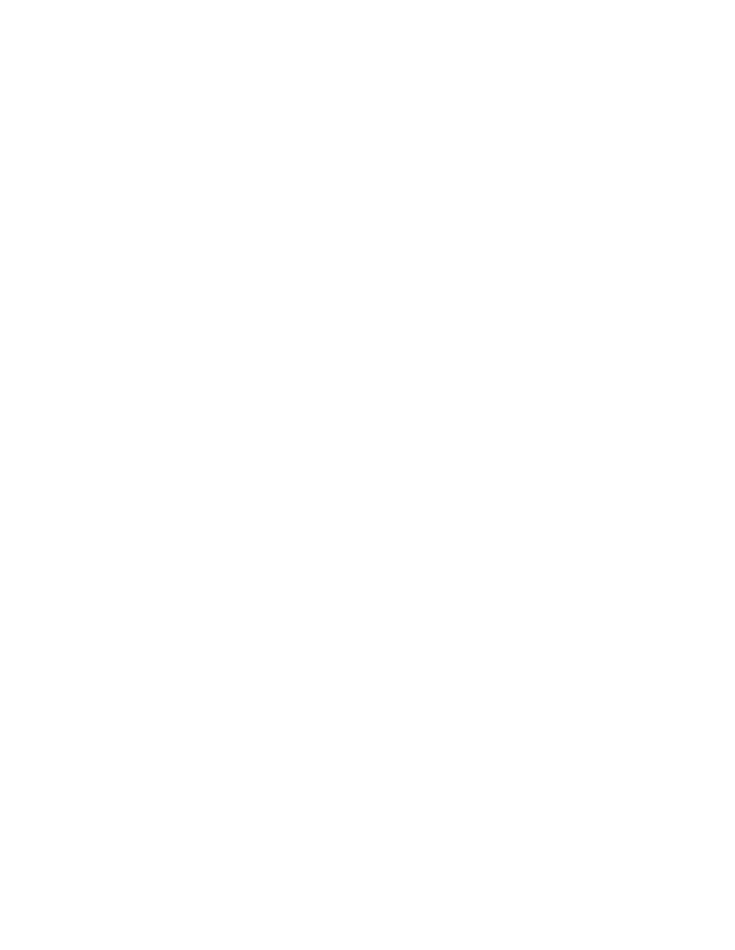| <b>MTP</b><br><b>Address</b> | Word / Bit<br>Range                   | <b>Default</b><br><b>Setting</b> | <b>Description</b> | <b>Notes / Explanations</b>                                                                                                                                                                                     |
|------------------------------|---------------------------------------|----------------------------------|--------------------|-----------------------------------------------------------------------------------------------------------------------------------------------------------------------------------------------------------------|
|                              | <b>Signal Conditioning Parameters</b> |                                  |                    |                                                                                                                                                                                                                 |
| $03$ HEX                     | 15:0                                  | 0000 <sub>HEX</sub>              | Offset_S[15:0]     | Bits [15:0] of the 24-bit sensor offset correction coefficient Offset_S. (The MSBs<br>of this coefficient including sign are Offset_S[23:16], which is bits [15:8] in<br>$OD_{HEX}$ .)                          |
| $04$ <sub>HEX</sub>          | 15:0                                  | 0000 <sub>HEX</sub>              | Gain_S[15:0]       | Bits [15:0] of the 24-bit value of the sensor gain coefficient Gain_S. (The MSBs<br>of this coefficient including sign are Gain_S[23:16], which is bits [7:0] in 0DHEX.)                                        |
| $05$ HEX                     | 15:0                                  | 0000 <sub>HEX</sub>              | Tcg[15:0]          | Bits [15:0] of the 24-bit coefficient Tcg for the temperature correction of the<br>sensor gain. (The MSBs of this coefficient including sign are Tcg[23:16], which<br>is bits [15:8] in 0EHEX.)                 |
| $06$ HEX                     | 15:0                                  | 0000 <sub>HEX</sub>              | Tco[15:0]          | Bits [15:0] of the 24-bit coefficient Tco for temperature correction of the sensor<br>offset. (The MSBs of this coefficient including sign are Tco[23:16], which is bits<br>$[7:0]$ in $0E_{HEX}$ .)            |
| 07 <sub>HEX</sub>            | 15:0                                  | 0000 <sub>HEX</sub>              | SOT_tco[15:0]      | Bits [15:0] of the 24-bit 2 <sup>nd</sup> order term SOT_tco applied to Tco. (The MSBs of<br>this term including sign are SOT_tco[23:16], which is bits[15:8] in 0FHEX.)                                        |
| $08$ HEX                     | 15:0                                  | 0000 <sub>HEX</sub>              | SOT_tcg[15:0]      | Bits [15:0] of the 24-bit 2 <sup>nd</sup> order term SOT_tcg applied to Tcg. (The MSBs of<br>this term including sign are SOT_tcg[23:16], which is bits[7:0] in 0F <sub>HEX</sub> .)                            |
| $09$ HEX                     | 15:0                                  | 0000 <sub>HEX</sub>              | SOT_sens[15:0]     | Bits [15:0] of the 24-bit 2 <sup>nd</sup> order term SOT_sens applied to the sensor readout.<br>(The MSBs of this term including sign are SOT_sens[23:16], which is bits[15:8]<br>in 10 <sub>HEX</sub> .)       |
| 0A <sub>HEX</sub>            | 15:0                                  | 0000 <sub>HEX</sub>              | Offset_T[15:0]     | Bits [15:0] of the 24-bit temperature offset correction coefficient Offset_T. (The<br>MSBs of this coefficient including sign are Offset_T[23:16], which is bits[7:0] in<br>10 <sub>HEX</sub> .)                |
| 0B <sub>HEX</sub>            | 15:0                                  | 0000 <sub>HEX</sub>              | Gain_T[15:0]       | Bits [15:0] of the 24-bit absolute value of the temperature gain coefficient<br>Gain_T.<br>(The MSBs of this coefficient including sign are Gain_T[23:16], which is bits<br>$[15:8]$ in $11_{HEX}$ .)           |
| 0C <sub>HEX</sub>            | 15:0                                  | 0000 <sub>HEX</sub>              | SOT_T[15:0]        | Bits [15:0] of the 24-bit 2 <sup>nd</sup> -order term SOT_T applied to the temperature<br>reading.<br>(The MSBs of this coefficient including sign are SOT_T[23:16], which is bits<br>$[7:0]$ in 11 $_{HEX}$ .) |
|                              | 7:0                                   | 00 <sub>HEX</sub>                | Gain_S[23:16]      | Bits [23:16] including sign for the 24-bit sensor gain correction coefficient<br>Gain_S. (The LSBs of this coefficient are Gain_S[15:0] in register 04HEX.)                                                     |
| 0D <sub>HEX</sub>            | 15:8                                  | $00$ HEX                         | Offset_S[23:16]    | Bits [23:16] including sign for the 24-bit sensor offset correction coefficient<br>Offset_S. (The LSBs are Offset_S[15:0] in register 03HEX.)                                                                   |
| 0E <sub>HEX</sub>            | 7:0                                   | $00$ <sub>HEX</sub>              | Tco[23:16]         | Bits [23:16] including sign for the 24-bit coefficient Tco for temperature<br>correction for the sensor offset. (The LSBs are Tco[15:0] in register 06HEX.)                                                     |
|                              | 15:8                                  | $00$ HEX                         | Tcg[23:16]         | Bits [23:16] including sign for the 24-bit coefficient Tcg for the temperature<br>correction of the sensor gain. (The LSBs are Tcg[15:0] in register 05 <sub>HEX</sub> .)                                       |
| OF <sub>HEX</sub>            | 7:0                                   | $00$ HEX                         | SOT_tcg[23:16]     | Bits [23:16] including sign for the 24-bit $2nd$ order term SOT_tcg applied to Tcg.<br>(The LSBs are SOT_tcg[15:0] in register 08 <sub>HEX</sub> .)                                                             |
|                              | 15:8                                  | $00$ HEX                         | SOT_tco[23:16]     | Bits [23:16] including sign for the 24-bit 2 <sup>nd</sup> order term SOT_tco applied to Tco.<br>(The LSBs are SOT_tco[15:0] in register 07 <sub>HEX</sub> .)                                                   |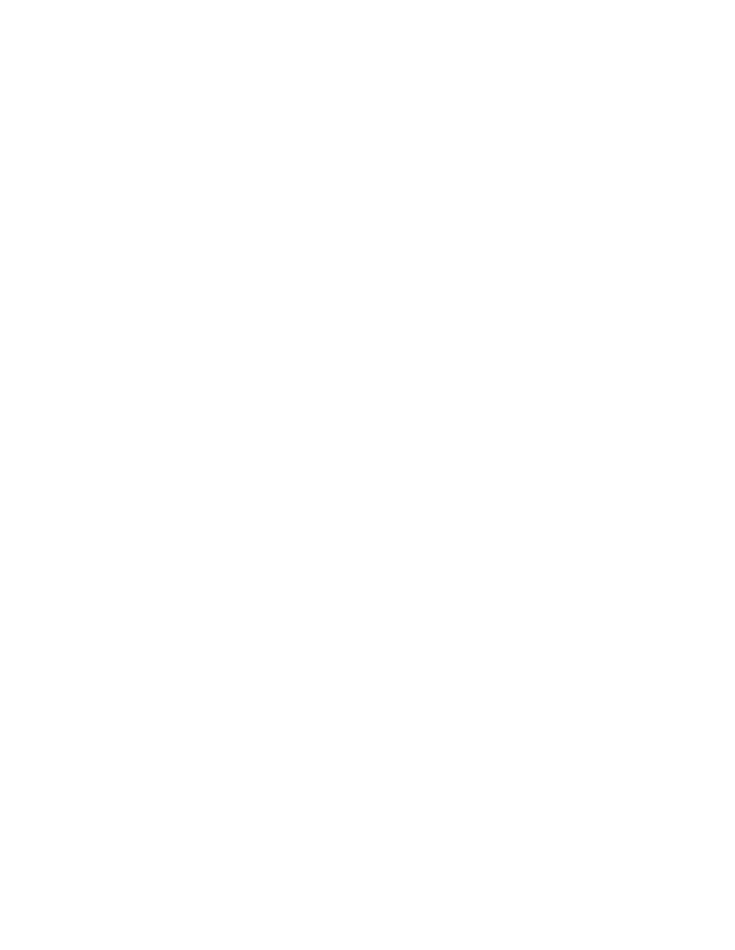| <b>MTP</b><br><b>Address</b> | Word / Bit<br>Range                                      | <b>Default</b><br><b>Setting</b> | <b>Description</b> | <b>Notes / Explanations</b>                                                                                                                                          |
|------------------------------|----------------------------------------------------------|----------------------------------|--------------------|----------------------------------------------------------------------------------------------------------------------------------------------------------------------|
|                              | 7:0                                                      | $00$ HEX                         | Offset_T[23:16]    | Bits [23:16] including sign for the 24-bit temperature offset correction coefficient<br>Offset_T. (The LSBs are Offset_T[15:0] in register 0AHEX.)                   |
| 10 <sub>HEX</sub>            | 15:8                                                     | 00 <sub>HEX</sub>                | SOT_sens[23:16]    | Bits [23:16] including sign for the 24-bit 2 <sup>nd</sup> order term SOT_sens applied to the<br>sensor readout.<br>(The LSBs are SOT_sens[15:0] in register 09HEX.) |
|                              | 7:0                                                      | 00 <sub>HEX</sub>                | SOT_T[23:16]       | Bits [23:16] including sign for the 24-bit $2^{nd}$ -order term SOT_T applied to the<br>temperature reading. (The LSBs are SOT_T[15:0] in register 0CHEX.)           |
| 11 <sub>HEX</sub>            | 15:8                                                     | $00$ HEX                         | Gain_T[23:16]      | Bits [23:16] including sign for the 24-bit absolute value of the temperature gain<br>coefficient Gain_T. (The LSBs are Gain_T[15:0] in register 0BHEX.)              |
|                              | <b>Measurement Configuration Register 1 (SM_config1)</b> |                                  |                    |                                                                                                                                                                      |
|                              |                                                          |                                  |                    | Gain setting for the 1 <sup>st</sup> PREAMP stage with Gain_stage1 $\Leftrightarrow$ Gain <sub>amp1</sub> :                                                          |
|                              |                                                          |                                  |                    | $000 \Leftrightarrow 6$<br>100 $\Leftrightarrow$ 40                                                                                                                  |
|                              | 2:0                                                      | 000 <sub>BIN</sub>               | Gain_stage1        | 001 $\Leftrightarrow$ 12<br>101 $\Leftrightarrow$ 60                                                                                                                 |
|                              |                                                          |                                  |                    | 010 $\Leftrightarrow$ 20<br>110 $\Leftrightarrow$ 80                                                                                                                 |
|                              |                                                          |                                  |                    | 011 $\Leftrightarrow$ 30<br>111 $\Leftrightarrow$ 120 (might affect noise and accuracy<br>specifications depending on sensor setup)                                  |
|                              | 5:3                                                      | 000 <sub>BIN</sub>               | Gain_stage2        | Gain setting for the 2 <sup>nd</sup> PREAMP stage with<br>Gain_stage2 $\Leftrightarrow$ Gain <sub>amp2</sub> :                                                       |
|                              |                                                          |                                  |                    | $000 \Leftrightarrow 1.1$<br>100 $\Leftrightarrow$ 1.5                                                                                                               |
|                              |                                                          |                                  |                    | 001 $\Leftrightarrow$ 1.2<br>101 $\Leftrightarrow$ 1.6                                                                                                               |
|                              |                                                          |                                  |                    | 010 $\Leftrightarrow$ 1.3<br>110 $\Leftrightarrow$ 1.7                                                                                                               |
|                              |                                                          |                                  |                    | 011 $\Leftrightarrow$ 1.4<br>111 $\Leftrightarrow$ 1.8                                                                                                               |
| $12$ HEX                     |                                                          |                                  |                    | Set up the polarity of the sensor bridge's gain                                                                                                                      |
|                              | 6                                                        | OBIN                             | Gain_polarity      | (inverting of the chopper) with                                                                                                                                      |
|                              |                                                          |                                  |                    | $0 \Leftrightarrow$ positive (no polarity change)                                                                                                                    |
|                              |                                                          |                                  |                    | 1 ⇔ negative (180° polarity change)                                                                                                                                  |
|                              |                                                          |                                  |                    | Absolute number of bits for the ADC conversion ADC_bits:                                                                                                             |
|                              |                                                          |                                  |                    | 0000 ⇔ 12-bit<br>0101 ⇔ 17-bit<br>1010 ⇔ 22-bit                                                                                                                      |
|                              | 10:7                                                     | 0000 <sub>BIN</sub>              | Adc_bits           | 0001 ⇔ 13-bit<br>0110 ⇔ 18-bit<br>1011 ⇔ 23-bit                                                                                                                      |
|                              |                                                          |                                  |                    | 0010 ⇔ 14-bit<br>0111 ⇔ 19-bit<br>1100 ⇔ 24-bit                                                                                                                      |
|                              |                                                          |                                  |                    | 0011 ⇔ 15-bit<br>1000 ⇔ 20-bit<br>1101 to 1111 ⇔ not assigned                                                                                                        |
|                              |                                                          |                                  |                    | 0100 ⇔ 16-bit<br>1001 ⇔ 21-bit                                                                                                                                       |
|                              |                                                          |                                  |                    | Enable bit for thermopile input selection (INN connected to AGND, INP<br>connected to absolute voltage source) with AbsV_enable:                                     |
|                              | 11                                                       | OBIN                             | AbsV_enable        | $0 \Leftrightarrow$ absolute voltage input disabled (default)                                                                                                        |
|                              |                                                          |                                  |                    | 1 $\Leftrightarrow$ absolute voltage input enabled (e.g., for a thermopile)                                                                                          |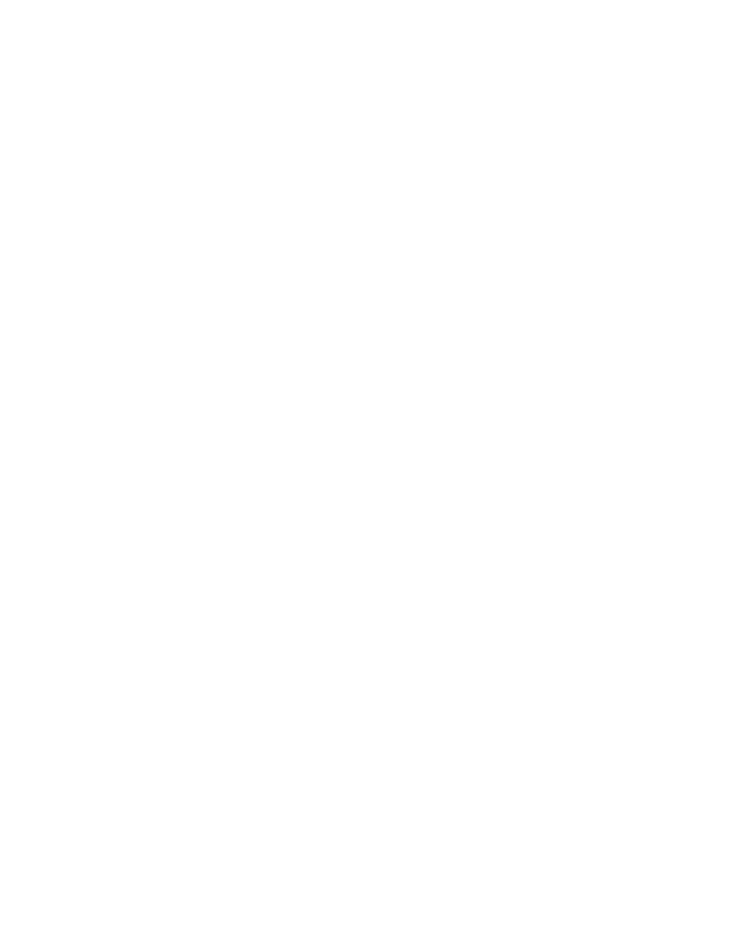| <b>MTP</b><br><b>Address</b> | Word / Bit<br>Range                                      | <b>Default</b><br><b>Setting</b> | <b>Description</b> | <b>Notes / Explanations</b>                                                                                                                                                                                                                                                                                                                                                                                               |
|------------------------------|----------------------------------------------------------|----------------------------------|--------------------|---------------------------------------------------------------------------------------------------------------------------------------------------------------------------------------------------------------------------------------------------------------------------------------------------------------------------------------------------------------------------------------------------------------------------|
|                              |                                                          |                                  |                    | Differential signal's offset shift in the ADC; compensation of signal offset by x%<br>of input signal:                                                                                                                                                                                                                                                                                                                    |
|                              | 14:12                                                    | 000 <sub>BIN</sub>               | Offset             | 000 $\Leftrightarrow$ no offset compensation<br>100 $\Leftrightarrow$ 25% offset<br>001 $\Leftrightarrow$ 6.75% offset<br>101 ⇔ 31.75% offset<br>010 $\Leftrightarrow$ 12.5% offset<br>110 ⇔ 38.5% offset<br>011 $\Leftrightarrow$ 19.25% offset<br>111 ⇔ 43.25% offset<br>Note: Shift_method (bit 15 below) must be set to 1 to enable the offset shift.                                                                 |
|                              | 15                                                       | OBIN                             | Shift_method       | Offset shift method selection:<br>No offset shift. Offset (bits [14:12] in 12HEX) must be set to 000BIN;<br>0⇔<br>$Gain_{ADC} = 1$<br>Offset shift ADC; GainADC = 2<br>1⇔                                                                                                                                                                                                                                                 |
| $13$ HEX                     | 15:0                                                     | 0000 <sub>HEX</sub>              | TRSH1[15:0]        | Bits [15:0] of the 24-bit interrupt threshold1, TRSH1. (The MSB bits for this<br>threshold are $TRSH1[23:16]$ , which is bits [7:0] of register $15_{HEX}$ .                                                                                                                                                                                                                                                              |
| $14$ <sub>HEX</sub>          | 15:0                                                     | 0000 <sub>HEX</sub>              | TRSH2[15:0]        | Bits [15:0] of the 24-bit interrupt threshold2, TRSH2. (The MSB bits for this<br>threshold are TRSH2[23:16], which is bits [15:8] of register 15HEX.)                                                                                                                                                                                                                                                                     |
|                              | 7:0                                                      | $00$ HEX                         | TRSH1[23:16]       | Bits [23:16] of the 24-bit interrupt threshold1, TRSH1. (The LSB bits for this<br>threshold are $TRSH1[15:0]$ , which is bits [15:0] of register $13_{HEX}$ .)                                                                                                                                                                                                                                                            |
| $15$ <sub>HEX</sub>          | 15:8<br>$00$ HEX                                         |                                  | TRSH2[23:16]       | Bits [23:16] of the 24-bit interrupt threshold2, TRSH2. (The LSB bits for this<br>threshold are TRSH2[15:0], which is bits [15:0] of register 14 <sub>HEX</sub> .)                                                                                                                                                                                                                                                        |
|                              | <b>Measurement Configuration Register 2 (SM_config2)</b> |                                  |                    |                                                                                                                                                                                                                                                                                                                                                                                                                           |
|                              | 2:0                                                      | 000 <sub>BIN</sub>               | Gain_stage1        | Gain setting for the 1 <sup>st</sup> PREAMP stage with Gain_stage1 $\Leftrightarrow$ Gain <sub>amp1</sub> :<br>$000 \Leftrightarrow 6$<br>100 $\Leftrightarrow$ 40<br>001 $\Leftrightarrow$ 12<br>101 $\Leftrightarrow$ 60<br>010 $\Leftrightarrow$ 20<br>110 $\Leftrightarrow$ 80<br>011 $\Leftrightarrow$ 30<br>111 $\Leftrightarrow$ 120 (might affect noise and accuracy<br>specifications depending on sensor setup) |
| $16$ HEX                     | 5:3                                                      | 000 <sub>BIN</sub>               | Gain_stage2        | Gain setting for the 2 <sup>nd</sup> PREAMP stage with Gain_stage2 $\Leftrightarrow$ Gain <sub>amp2</sub> :<br>$000 \Leftrightarrow 1.1$<br>100 $\Leftrightarrow$ 1.5<br>001 $\Leftrightarrow$ 1.2<br>101 $\Leftrightarrow$ 1.6<br>010 $\Leftrightarrow$ 1.3<br>110 $\Leftrightarrow$ 1.7<br>011 $\Leftrightarrow$ 1.4<br>111 $\Leftrightarrow$ 1.8                                                                       |
|                              | 6                                                        | OBIN                             | Gain_polarity      | Set up the polarity of the sensor bridge's gain (inverting of the chopper) with<br>$0 \Leftrightarrow$ positive (no polarity change)<br>1 $\Leftrightarrow$ negative (180° polarity change)                                                                                                                                                                                                                               |
|                              | 10:7                                                     | 0000 <sub>BIN</sub>              | Adc_bits           | Absolute number of bits for the ADC conversion ADC_bits:<br>0000 ⇔ 12-bit<br>0101 ⇔ 17-bit<br>1010 ⇔ 22-bit<br>0001 ⇔ 13-bit<br>0110 ⇔ 18-bit<br>1011 ⇔ 23-bit<br>0010 ⇔ 14-bit<br>0111 ⇔ 19-bit<br>1100 ⇔ 24-bit<br>0011 ⇔ 15-bit<br>1000 ⇔ 20-bit<br>1101 to 1111 ⇔ not assigned<br>0100 ⇔ 16-bit<br>1001 ⇔ 21-bit                                                                                                      |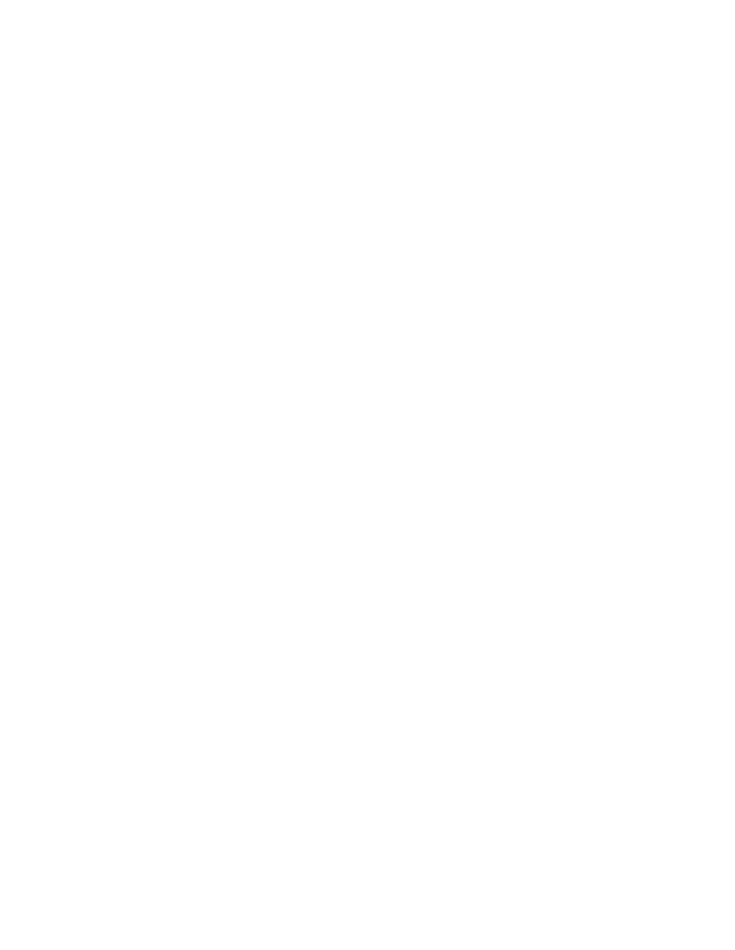| <b>MTP</b><br><b>Address</b> | Word / Bit<br>Range                                    | <b>Default</b><br><b>Setting</b> | <b>Description</b> | <b>Notes / Explanations</b>                                                                                                                                                                                                                                                                                                                                                                                         |
|------------------------------|--------------------------------------------------------|----------------------------------|--------------------|---------------------------------------------------------------------------------------------------------------------------------------------------------------------------------------------------------------------------------------------------------------------------------------------------------------------------------------------------------------------------------------------------------------------|
|                              | 11                                                     | $0_{\text{BIN}}$                 | AbsV_enable        | Enable bit for thermopile input selection (INN connected to AGND, INP<br>connected to absolute voltage source) with AbsV_enable:<br>$0 \Leftrightarrow$ absolute voltage input disabled (default)<br>1 $\Leftrightarrow$ absolute voltage input enabled (e.g. for a thermopile)                                                                                                                                     |
|                              | 14:12                                                  | 000 <sub>BIN</sub>               | Offset             | Differential signal's offset shift in the ADC; compensation of signal offset by x%<br>of input signal:<br>000 ⇔ no offset compensation<br>001 $\Leftrightarrow$ 6.75% offset<br>010 $\Leftrightarrow$ 12.5% offset<br>011 ⇔ 19.25% offset<br>100 ⇔ 25% offset<br>101 ⇔ 31.75% offset<br>110 ⇔ 38.5% offset<br>111 ⇔ 43.25% offset<br>Note: Shift_method (bit 15 below) must be set to 1 to enable the offset shift. |
|                              | 15                                                     | OBIN                             | Shift method       | Offset shift method selection:<br>$0 \Leftrightarrow$<br>No offset shift. Offset (bits[14:12] in 16HEX) must be set to 000BIN;<br>Gain <sub>ADC</sub> = $1$<br>1 $\Leftrightarrow$<br>Offset Shift ADC, GainADC = 2                                                                                                                                                                                                 |
|                              | <b>Post-Calibration Offset Correction Coefficients</b> |                                  |                    |                                                                                                                                                                                                                                                                                                                                                                                                                     |
| 17 <sub>HEX</sub>            | 15:0                                                   | 0000 <sub>HEX</sub>              | SENS_Shift[15:0]   | Bits [15:0] of the post-calibration sensor offset shift coefficient SENS_Shift.<br>(The MSB bits of SENS_Shift are bits [7:0] of register 19HEX.)                                                                                                                                                                                                                                                                   |
| $18$ HEX                     | 15:0                                                   | 0000 <sub>HEX</sub>              | T_Shift[15:0]      | Bits [15:0] of the post-calibration temperature offset shift coefficient T_Shift.<br>(The MSB bits of T_Shift are bits [15:8] of register 19 <sub>HEX</sub> .)                                                                                                                                                                                                                                                      |
|                              | 7:0                                                    | $00$ <sub>HEX</sub>              | SENS_Shift[23:16]  | Bits [23:16] of the post-calibration sensor offset shift coefficient SENS_Shift.<br>(The LSB bits of SENS_Shift are in register 17HEX.)                                                                                                                                                                                                                                                                             |
| $19$ <sub>HEX</sub>          | 15:8                                                   | $00$ HEX                         | T_Shift[23:16]     | Bits [23:16] of the post-calibration temperature offset shift coefficient T_Shift.<br>(The LSB bits of T_Shift are in register 18HEX.)                                                                                                                                                                                                                                                                              |
|                              | Free Memory - Arbitrary Use                            |                                  |                    |                                                                                                                                                                                                                                                                                                                                                                                                                     |
| $20$ HEX                     | 15:0                                                   | 0000 <sub>HEX</sub>              |                    | Not assigned (e.g., can be used for Cust_IDx customer identification number)                                                                                                                                                                                                                                                                                                                                        |
| 21 <sub>HEX</sub>            | 15:0                                                   | 0000 <sub>HEX</sub>              |                    | Not assigned (e.g., can be used for Cust_IDx customer identification number)                                                                                                                                                                                                                                                                                                                                        |
|                              |                                                        |                                  |                    | Not assigned (e.g., can be used for Cust_IDx customer identification number)                                                                                                                                                                                                                                                                                                                                        |
| 37 <sub>HEX</sub>            | 15:0                                                   | 0000 <sub>HEX</sub>              |                    | Not assigned (e.g., can be used for Cust_IDx customer identification number)                                                                                                                                                                                                                                                                                                                                        |
| 38HEX                        | 15:0                                                   | 0000 <sub>HEX</sub>              |                    | Not assigned (e.g., can be used for Cust_IDx customer identification number)                                                                                                                                                                                                                                                                                                                                        |
| $39$ HEX                     | 15:0                                                   |                                  | Checksum           | Checksum generated for the entire memory through a linear feedback shift<br>register (LFSR);<br>signature is checked on power-up to ensure memory content integrity                                                                                                                                                                                                                                                 |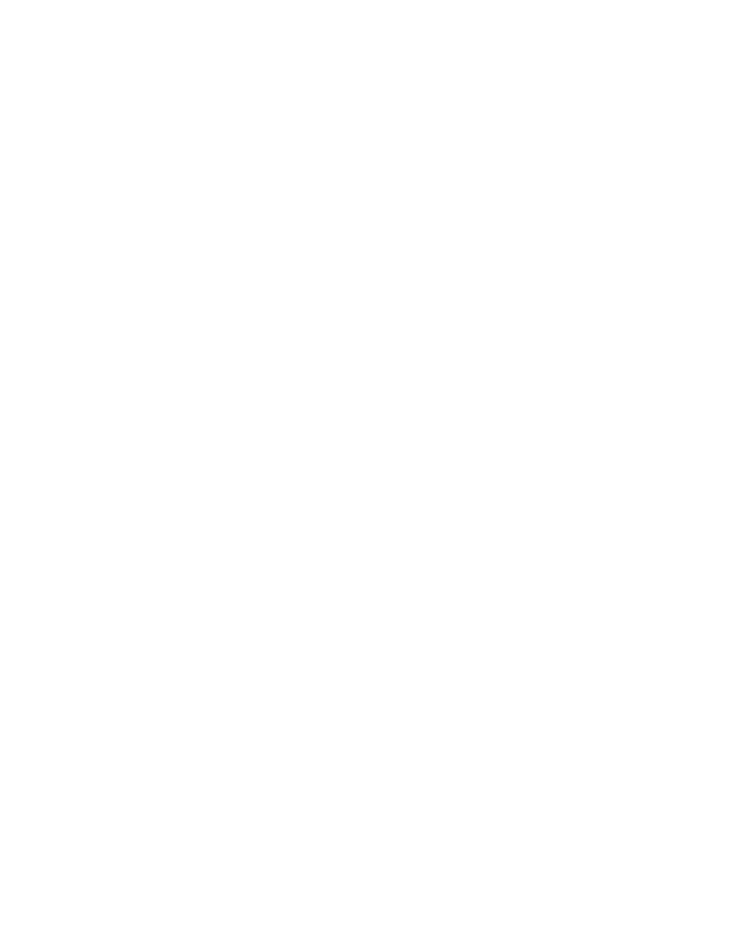The memory integrity checksum (referred to as *CRC*) is generated through a linear feedback shift register with the following polynomial:

 $g(x) = x^{16} + x^{15} + x$ with the initialization value:  $\text{FFFF}_{\text{HEX}}$ .

If the CRC is valid, then the "Memory Error" status bit is set to 0.

## <span id="page-36-0"></span>6.7 Calibration Sequence

Calibration essentially involves collecting raw signal and temperature data from the sensor-ZSSC3224 system for different known sensorelement values (i.e., for a resistive bridge or an absolute voltage source) and temperatures. This raw data can then be processed by the calibration master (assumed to be the user's computer), and the calculated calibration coefficients can then be written to on-chip memory.

Here is a brief overview of the three main steps involved in calibrating the ZSSC3224.

*Assigning a unique identification to the ZSSC3224.* This identification is written to shadow RAM and programmed in MTP memory. This unique identification can be stored in the two 16-bit registers dedicated to the customer ID (00 $_{\text{HEX}}$  and 01 $_{\text{HEX}}$ ; se[e Table 6.5\)](#page-31-1). It can be used as an index into a database stored on the calibration PC. This database will contain all the raw values of the connected sensor-element readings and temperature readings for that part, as well as the known sensor-element measurand conditions and temperature to which the sensor-element was exposed.

*Data collection.* Data collection involves getting uncorrected (raw) data from the external sensor at different known measurand values and temperatures. Then this data is stored on the calibration master using the unique identification of the device as the index to the database.

*Coefficient calculation and storage in MTP memory.* After enough data points have been collected to calculate all the desired coefficients, the coefficients can be calculated by the calibration master. Then the coefficients can be programmed to the MTP memory.

*Result*. The sensor signal and the characteristic temperature effect on output will be linearized according to the setup-dependent maximum output range.

It is essential to perform the calibration with a fixed programming setup during the data collection phase. In order to prevent any accidental incorrect processing, it is further recommended that the MTP memory setup is kept stable during the entire calibration process as well as in the subsequent operation. A ZSSC3224 calibration only fits the setup used during its calibration. Changes in functional parameters after a successful calibration can decrease the precision and accuracy performance of the ZSSC3224 as well as of the entire application.

The ZSSC3224 supports operation with different sensor setups by means of the *SM\_config1* and *SM\_config2* registers. However, only one calibration coefficient set is supported. Therefore, either an alternative ZSSC3224-external signal calibration using the alternate *SM\_config* settings must be performed to ensure that the programmed SSC coefficients are valid for both setups, or a full reprogramming of the SSC coefficients must be performed each time the sensor setup is changed. The selection of the external sensor setup (i.e., the AFE configuration) can be done with the interface commands  $BO_{HER}$  and  $B1_{HER}$  (see [Table 6.1\)](#page-23-1).

#### <span id="page-36-1"></span>6.7.1 Calibration Step 1 – Assigning Unique Identification

Assign a unique identification number to the ZSSC3224 by using the memory write command (40<sub>HEX</sub> + data and 41<sub>HEX</sub> + data; see [Table 6.1](#page-23-1) an[d Table 6.5\)](#page-31-1) to write the identification number to *Cust\_ID0* at memory address  $00<sub>HEX</sub>$  and *Cust\_ID1* at address  $01<sub>HEX</sub>$  as described in section [6.6.1.](#page-30-1) These two 16-bit registers allow for more than 4 billion unique devices.

#### <span id="page-36-2"></span>6.7.2 Calibration Step 2 – Data Collection

The number of unique points (measurand and/or temperature) at which calibration must be performed generally depends on the requirements of the application and the behavior of the sensor in use. The minimum number of points required is equal to the number of correction coefficients to be corrected with a minimum of three different temperatures at three different sensor values. For a full calibration resulting in values for all 7 possible (external) sensor coefficients and 3 possible temperature coefficients, a minimum of 7 pairs of sensor with temperature measurements must be collected.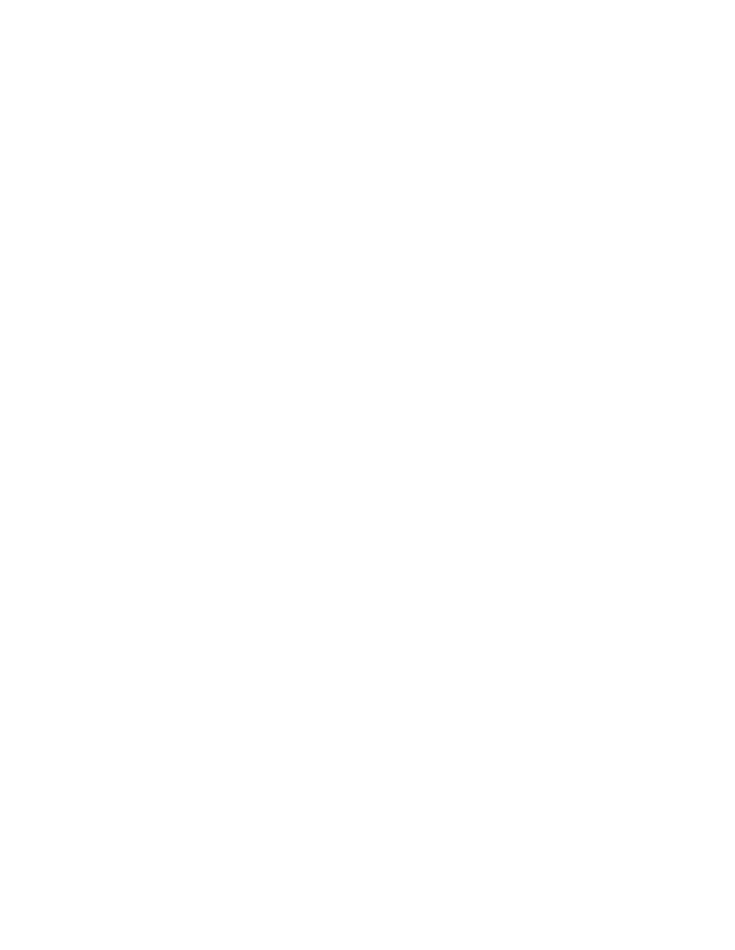Within this minimum field of 3 measurand measurements x 3 temperature measurements, data must be collected for the specific value pairs (at known conditions) and then processed to calculate the coefficients. In order to obtain the potentially best and most robust coefficients, it is recommended that measurement pairs (temperature versus measurand) be collected at the outer corners of the intended operation range or at least at points that are located far from each other. It is also essential to provide highly precise reference values as nominal, expected values. The measurement precision of the external calibration-measurement equipment should be ten times more accurate than the expected ZSSC3224 output accuracy after calibration in order to avoid accuracy losses caused by the nominal reference values (e.g., measurand signal and temperature deviations).

Note: The coefficients *SENS\_shift* and *T\_shift* must not be determined during this calibration step. Strong recommendation: Set these coefficients to zero until after initial calibration.

Note: *An appropriate selection of measurement pairs can significantly improve the overall system performance.*

The determination of the measurand-related coefficients will use all of the measurement pairs. For the temperature-related correction coefficients, 3 of the measurement pairs (at three different temperatures) will be used.

Note*: There is an inherent redundancy in the 7 sensor-related and 3 temperature-related coefficients. Since the temperature is a necessary output (which also needs correction), the temperature-related information is mathematically separated, which supports faster and more efficient DSP calculations during the normal usage of the sensor-ZSSC3224 system.* The recommended approach for data collection is to make use of the raw-measurement commands described i[n Table 6.2.](#page-25-2)

For external sensor values, either of the following commands can be used depending on the user's requirements:

 $\blacksquare$  A2<sub>HEX</sub> + 0000<sub>HEX</sub> Single sensor measurement for which the configuration register will be loaded from the *SM\_config1* register (12<sub>HEX</sub> in MTP); preprogramming the measurement setup in the MTP is required.

Note: *SM\_config1* is the default configuration. Alternatively, *SM\_config2* (16<sub>HEX</sub> in MTP) can be used by first sending the command B1<sub>HEX</sub> (see section [6.7.5\)](#page-38-0).

 A3HEX + ssssHEX Single sensor measurement for which the *SM\_config* configuration register (Gain, ADC, Offset, etc.) will be loaded as the user's configuration  $sss<sub>HEX</sub>$ , which must be provided externally via the interface as the data part of this command.

For temperature values, either of the following commands can be used depending on the user's requirements:

- $A6_{\text{HEX}}$  + 0000<sub>HEX</sub> Single temperature measurement for which the configuration register will be loaded from an internal temperature configuration register (preprogrammed by IDT in the MTP); preprogramming of the respective configuration is done by IDT prior to ZSSC3224 delivery. This is the recommended approach for temperature data collection.
- $\blacktriangleleft$  A7<sub>HEX</sub> + ssss<sub>HEX</sub> Single temperature measurement for which the configuration register (Gain, ADC, Offset, etc.) will be loaded as the user's configuration ssss<sub>HEX</sub>, which must be provided externally via the interface as the data part of this command. The format and purpose of these configuration bits must be according to the definitions for *SM\_config* and valid for temperature measurement; in this case (bits [15:12] will be ignored).

### <span id="page-37-0"></span>6.7.3 Calibration Step 3a) – Coefficient Calculations

The math to perform the coefficient calculation is complicated and will not be discussed in detail. There is a brief overview in the next section. IDT provides software (DLLs) to perform the coefficient calculation (external to the sensor-ZSSC3224 system) based on auto-zero corrected values. After the coefficients are calculated, the final step is to write them to the MTP memory of the ZSSC3224.

### <span id="page-37-1"></span>6.7.4 Calibration Step 3b) – Post-Calibration Offset Correction

There are two special SSC coefficients, *SENS\_shift* and *T\_shift*. Normally, these coefficients must be set to zero during the initial sensor calibration. The primary purpose of these two coefficients is to cancel additional offset shifts that could occur during or after final sensor assembly; e.g. if a respective sensor is finally placed and soldered on an application board.

If the final sensor assembly induced any kind of offset (on either the temperature or external sensor signal), the respective influence can be directly compensated by means of the *SENS\_shift* and *T\_shift* coefficients without the need to change the original SSC coefficient set. However, this post-calibration offset correction must be done under known ambient conditions (i.e., sensor measurand and/or temperature).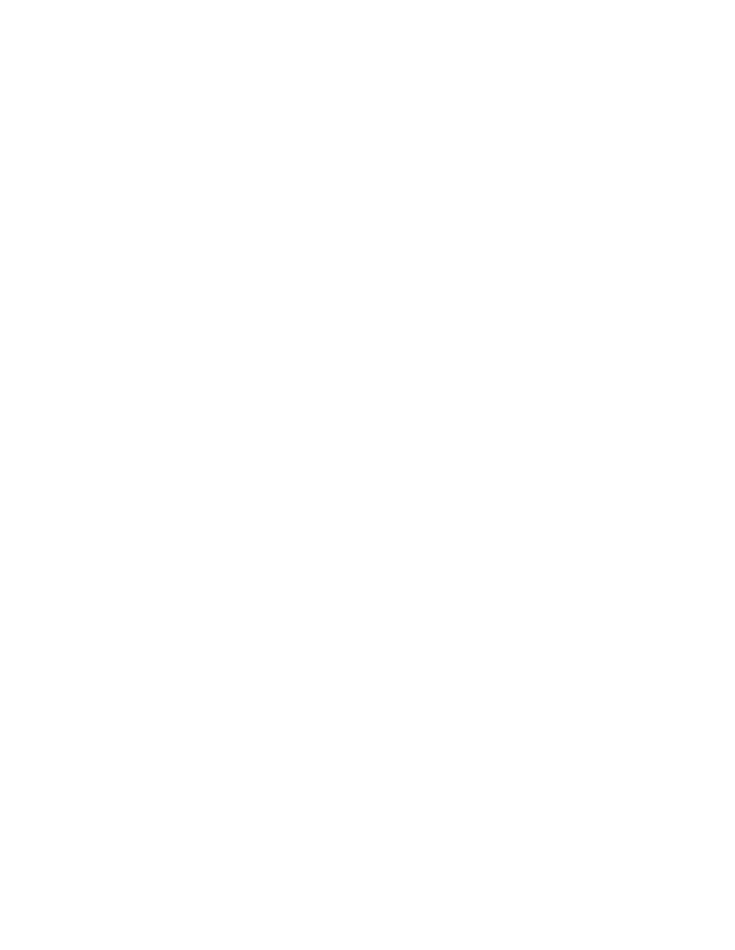#### <span id="page-38-0"></span>6.7.5 SSC Measurements

After the completion of the calibration procedure, linearized external sensor and temperature readings can be obtained using the commands  $AA_{\text{HEX}}$  to  $AF_{\text{HEX}}$  as described in [Table 6.1.](#page-23-1)

Typically, only one external sensor is used in a single analog configuration using the setup in the *SM\_config1* MTP register (12<sub>HEX</sub>). However, the ZSSC3224 can support a second analog configuration that is set up in the *SM\_config2* MTP register (16<sub>HEX</sub>). This might be useful in cases where only one sensor-ZSSC3224 pair must support the measurand ranges for two different external sensors that have different precisions, required amplification, and sensor offset.

If a respective switching between setups is to be performed, the SSC coefficients for the alternate external sensor must be handled with one of the following methods:

- The programmed SSC coefficients are not used for the alternate external sensor. The ZSSC3224 performs only a one-to-one transfer, i.e. no effective digital SSC correction – only a transfer of the auto-zero corrected raw ADC readings to the ZSSC3224 output without any scaling, etc.
- **The coefficients are re-programmed each time the analog setup is changed.**

*SM\_config1* is selected as the analog setup register by default, so no specific activation is needed if only *SM\_config1* is used. If *SM\_config2* will also be used, the activation command B1<sub>HEX</sub> must be sent once prior to the measurement request. To switch to using *SM\_config1*, the activation command  $BO_{HEX}$  must be sent prior to use. This activation must be refreshed after any power-on reset or RES pin reset.

## <span id="page-38-1"></span>6.8 The Calibration Math

#### <span id="page-38-2"></span>6.8.1 Bridge Signal Compensation

The saturation check in the ZSSC3224 detects saturation effects of the internal calculation steps, allowing the final correction output to be determined despite the saturation. It is possible to get potentially useful signal conditioning results that have had an intermediate saturation during the calculations. These cases are detectable by observing the status bit 0 for each measurement result. Details about the saturation limits and the valid ranges for values are provided in the following equations.

The calibration math description assumes a calculation with integer numbers. The description is numerically correct concerning values, dynamic range, and resolution.

*SOT\_curve* selects whether second-order equations compensate for sensor nonlinearity with a parabolic or S-shaped curve. The parabolic compensation is recommended for most sensor types.

#### **For the following equations, the terms are as follows:**

|                 | Corrected sensor reading output via I2C or SPI; range $[0HEX$ to FFFFFF <sub>HEX</sub> ]                                 |
|-----------------|--------------------------------------------------------------------------------------------------------------------------|
| Ξ               | Raw sensor reading from ADC after AZ correction; range [-7FFFF <sub>HEX</sub> , 7FFFF <sub>HEX</sub> ]                   |
| Ξ               | Sensor gain term; range [-7FFFF <sub>HEX</sub> , 7FFFF <sub>HEX</sub> ]                                                  |
| Ξ               | Sensor offset term; range [-7FFFF <sub>HEX</sub> , 7FFFF <sub>HEX</sub> ]                                                |
| Ξ               | Temperature coefficient gain term; range [-7FFFF <sub>HEX</sub> , 7FFFF <sub>HEX</sub> ]                                 |
| Ξ               | Temperature coefficient offset term; range [-7FFFF <sub>HEX</sub> , 7FFFF <sub>HEX</sub> ]                               |
| Ξ               | Raw temperature reading after AZ correction; range [-7FFFF <sub>HEX</sub> , 7FFFF <sub>HEX</sub> ]                       |
| Ξ               | Second-order term for Tcg non-linearity; range [-7FFFF <sub>HEX</sub> , 7FFFF <sub>HEX</sub> ]                           |
| Ξ               | Second-order term for Tco non-linearity; range [-7FFFF <sub>HEX</sub> , 7FFFF <sub>HEX</sub> ]                           |
| $SOT$ sens =    | Second-order term for sensor non-linearity; range [-7FFFF <sub>HEX</sub> , 7FFFF <sub>HEX</sub> ]                        |
| $SENS\_shift =$ | Post-calibration, post-assembly sensor offset shift; range [-7FFFF <sub>HEX</sub> , 7FFFF <sub>HEX</sub> ]               |
| Ξ               | Absolute value                                                                                                           |
| Ξ               | Bound/saturation number range from <i>II</i> to <i>ul</i> , over/under-flow is reported as saturation in the status byte |
|                 |                                                                                                                          |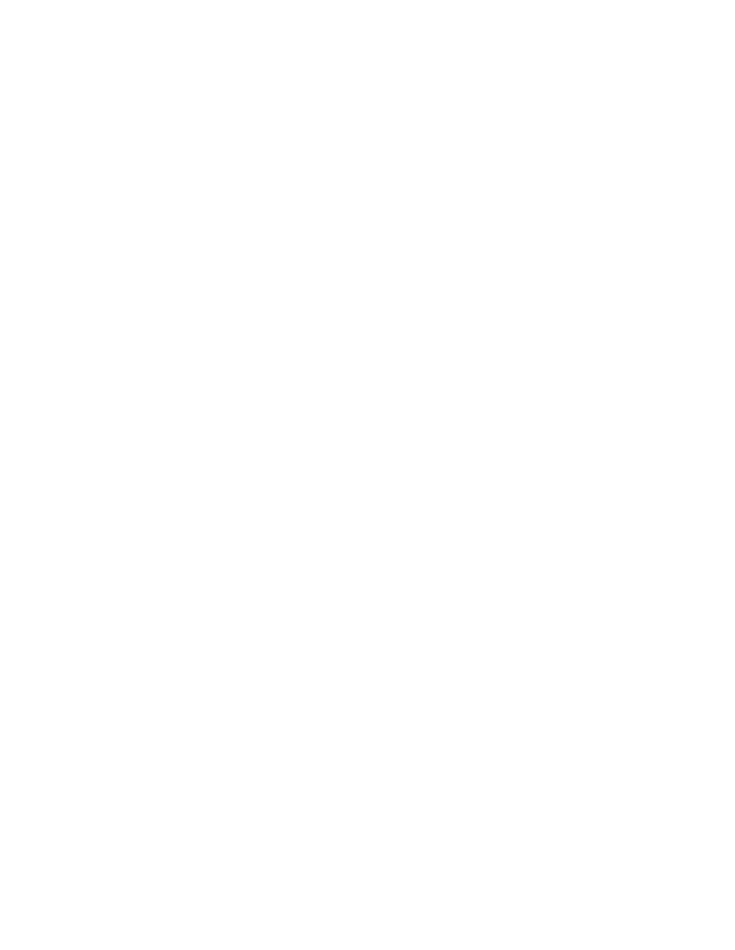# **OIDT**

The correction formula for the differential signal reading is represented as a two-step process depending on the *SOT\_curve* setting.

**Equations for the parabolic** *SOT\_curve* **setting (***SOT\_curve* **= 0):** *Simplified:*

$$
K_1 = 2^{23} + \frac{T_{Raw}}{2^{23}} * \left( \frac{4 * SOT_{L} tcg}{2^{23}} * T_{Raw} + 4 * Tcg \right)
$$
\n(1)

$$
K_2 = 4 * \text{Offset}_{S} + S_{Raw} + \frac{T_{Raw}}{2^{23}} * \left(\frac{4 * \text{SOT}_{L} t \text{co}}{2^{23}} * T_{Raw} + 4 * T \text{co}\right)
$$
(2)

$$
Z_{SP} = \frac{4 * Gain\_S}{2^{23}} * \frac{K_1}{2^{23}} * K_2 + 2^{23}
$$
 (delimited to positive number range) (3)

$$
S = \frac{Z_{\text{BP}}}{2^{23}} * \left(\frac{4 * SOT\_sens}{2^{23}} * Z_{\text{SP}} + 2^{23}\right) + SENS\_shift
$$
 (delimited to positive number range) (4)

*Complete:*

$$
K_{1} = \left[2^{23} + \left[\frac{T - Raw}{2^{23}} * \left[\left[\frac{SOT_{1} \log_{10} T}{2^{21}} + T - Raw\right]_{-2^{25}}^{2^{25}-1} + 4Tcg\right]\right]_{-2^{25}}^{2^{25}-1}\right]_{-2^{25}}^{2^{25}-1} \right]_{-2^{25}}^{2^{25}-1}
$$
(5)

$$
K_2 = \left[4 * \text{OfficeL} \cdot S + \left[S - \text{Raw} + \left[\frac{T - \text{Raw}}{2^{23}} * \left[\left[\frac{\text{SOT}_{-} \text{tco}}{2^{21}} * T - \text{Raw}\right]_{-2^{25}}^{2^{25}-1} + 4 \text{Tro}\right]\right]_{-2^{25}}^{2^{25}-1}\right]_{-2^{25}}^{2^{25}-1}\right]_{-2^{25}}^{2^{25}-1}
$$
(6)

$$
Z_{SP} = \left[ \left[ \frac{Gain\_S}{2^{21}} * \left[ \frac{K_1}{2^{23}} * K_2 \right]_{-2^{25}}^{2^{25}-1} \right]_{-2^{25}}^{2^{25}-1} + 2^{23} \right]_{0}^{2^{25}-1} \tag{7}
$$

$$
B = \left[\frac{Z_{SP}}{2^{23}} * \left[\frac{SOT\_sens}{2^{21}} * Z_{BP}\right]_{-2^{25}}^{2^{25}-1} + 2^{23}\right]_{-2^{25}}^{2^{25}-1} + SENS\_shift\right]_{0}^{2^{24}-1}
$$
(8)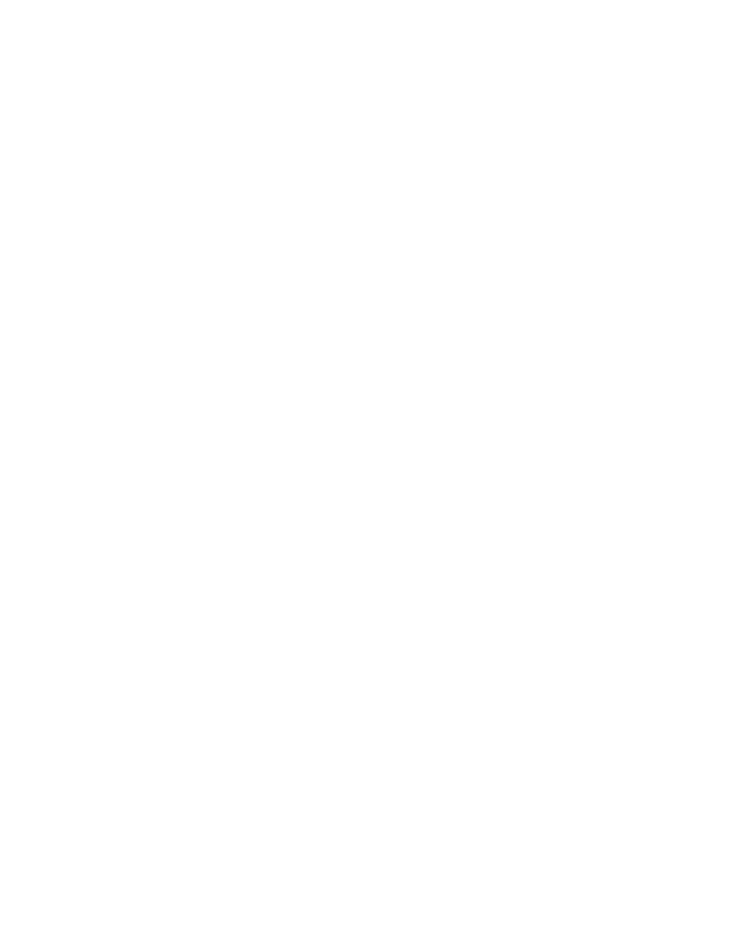#### **Equations for the S-shaped** *SOT\_curve* **setting (***SOT\_curve* **= 1):**

*Simplified:*

$$
Z_{SS} = \frac{4 * Gain\_S}{2^{23}} * \frac{K_1}{2^{23}} * K_2
$$
\n(9)

$$
S = \frac{Z_{SS}}{2^{23}} * \left(\frac{4 * SOT\_sens}{2^{23}} * |Z_{SS}| + 2^{23}\right) + 2^{23} + SENS\_shift \quad \text{(delimited to positive number range)}\tag{10}
$$

*Complete:*

$$
Z_{SS} = \left[\frac{Gain\_S}{2^{21}} * \left[\frac{K_1}{2^{23}} * K_2\right]_{-2^{25}}^{2^{25}-1}\right]_{-2^{25}}^{2^{25}-1}
$$
\n(11)

$$
S = \left[ \left[ \frac{Z_{SS}}{2^{23}} * \left[ \left[ \frac{SOT\_sens}{2^{21}} * \left| Z_{SS} \right| \right]_{-2^{25}}^{2^{25}-1} + 2^{23} \right]_{-2^{25}}^{2^{25}-1} \right]_{-2^{25}}^{2^{25}-1} + 2^{23} + SENS\_shift \right]_{0}^{2^{24}-1} \tag{12}
$$

### <span id="page-40-0"></span>6.8.2 Temperature Signal Compensation

Temperature is measured internally. Temperature correction contains both linear gain and offset terms as well as a second-order term to correct for any nonlinearities. For temperature, second-order compensation for nonlinearity is always parabolic.

#### **For the following equations, the terms are as follows:**

| $\tau$   |         | Corrected temperature sensor reading output via I2C or SPI; range $[0HEX$ to FFFFFF <sub>HEX</sub> ]             |
|----------|---------|------------------------------------------------------------------------------------------------------------------|
| Gain_T   |         | Gain coefficient for temperature; range $[-7$ FFFFF $H_{\text{HEX}}$ to $7$ FFFFF $H_{\text{HEX}}$               |
| T_Raw    |         | $=$ Raw temperature reading after AZ correction; range [-7FFFFF <sub>HEX</sub> to 7FFFFF <sub>HEX</sub> ]        |
| Offset_T | $=$ $-$ | Offset coefficient for temperature; range $[-7$ FFFFF $H_{\text{EX}}$ to $7$ FFFFF $H_{\text{EX}}$ ]             |
| SOT_T    |         | Second-order term for temperature source non-linearity; range [-7FFFFF <sub>HEX</sub> to 7FFFFF <sub>HEX</sub> ] |
| T_Shift  | $=$ $-$ | Shift for post-calibration/post-assembly offset compensation; range [-7FFFFFHEX to 7FFFFFHEX]                    |

The correction formula is best represented as a two-step process as follows:

*Simplified:*

$$
Z_{T} = \frac{4 * Gain_{-}T}{2^{23}} * (T_{-}Raw + 4 * Offset_{-}T) + 2^{23}
$$
 (delimited to positive number range)  
\n
$$
T = \frac{Z_{T}}{2^{23}} * \left(\frac{4 * SOT_{-}T}{2^{23}} * Z_{T} + 2^{23}\right) + T_{-} Shift
$$
 (delimited to positive number range) (14)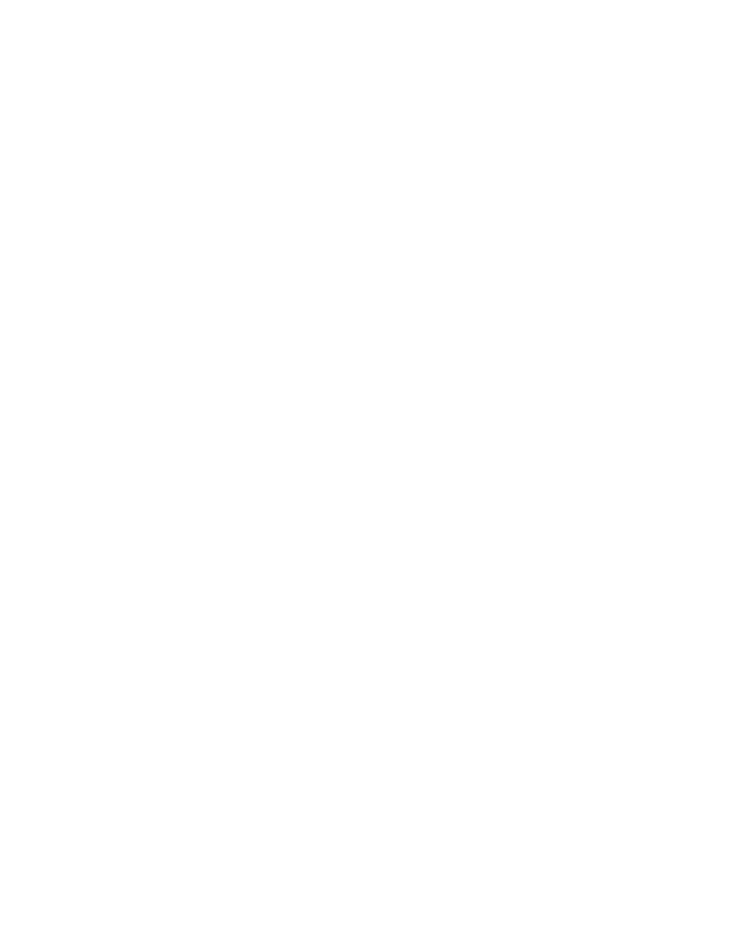*Complete:*

$$
Z_{T} = \left[ \frac{Gain_{-}T}{2^{21}} * [T_{-}Raw + 4 * Offset_{-}T]_{-2^{25}}^{2^{25}-1} + 2^{23} \right]_{-2^{25}}^{2^{25}-1}
$$
\n
$$
T = \left[ \frac{Z_{T}}{2^{23}} * \left[ \frac{SOT_{-}T}{2^{21}} * Z_{T} \right]_{-2^{25}}^{2^{25}-1} + 2^{23} \right]_{-2^{25}}^{2^{25}-1} + T_{-} Shift \right]_{0}^{2^{24}-1}
$$
\n(16)

#### <span id="page-41-0"></span>6.8.3 Measurement Output Data Format

The data format and bit assignment of the raw measurement and SSC-corrected outputs of the ZSSC3224 are defined in the following tables. Any ADC measurement and SSC calculation output is formatted as a 24-bit data word, regardless of the effective ADC resolution used. The values are either in two's complement or sign-absolute format.

#### <span id="page-41-1"></span>Table 6.6 Measurement Results of ADC Raw Measurement Request (Two's Complement)

| <b>Bit</b>            | n <sub>n</sub><br>LV | $\sim$<br>LL | $\sim$<br>. . | 20          | $\cdots$ |                      |                      |
|-----------------------|----------------------|--------------|---------------|-------------|----------|----------------------|----------------------|
| Meaning,<br>Weighting | n<br>$-2^{\circ}$    |              | $\sim$<br>    | $\sim$<br>- | $\cdots$ | $2 - 22$<br><u>_</u> | $2 - 23$<br><u>_</u> |

#### <span id="page-41-2"></span>Table 6.7 Calibration Coefficients (Factors and Summands) in Memory (Sign Magnitude)

| <b>Bit</b>            | nn.<br>LV                    | nn.<br>LL | $\sim$<br>. . | 20                   | $\cdots$ |                      |                     |
|-----------------------|------------------------------|-----------|---------------|----------------------|----------|----------------------|---------------------|
| Meaning,<br>weighting | $0 = positive$<br>1=negative | ~         | ∩∩            | $\ddot{\phantom{1}}$ | $\cdots$ | $2 - 20$<br><u>.</u> | $2 - 2$<br><u>.</u> |

#### <span id="page-41-3"></span>Table 6.8 Output Results from SSC-Correction Math or DSP—Sensor and Temperature

| <b>Bit</b>            | n <sub>n</sub><br>LJ | $\sim$<br>-- | $\overline{ }$<br>- 1 | 20 | $\cdots$ |               |                      |
|-----------------------|----------------------|--------------|-----------------------|----|----------|---------------|----------------------|
| Meaning,<br>weighting | $\sim$               | $\sim$       | $\sim$                | -  | $\cdots$ | $2 - 22$<br>- | $2 - 23$<br><u>_</u> |

#### <span id="page-41-4"></span>Table 6.9 Interrupt Thresholds TRSH1 and TRSH2—Format as for SSC-Correction Math Output

| <b>Bit</b>            | nn.<br>Lu | nn.<br>LL | $\sim$<br>. . | 20     | $\cdots$ |                    |                      |
|-----------------------|-----------|-----------|---------------|--------|----------|--------------------|----------------------|
| Meaning,<br>weighting | n٥        |           | $\sim$        | $\sim$ | $\ldots$ | $2-22$<br><u>.</u> | $2-23$<br>$\epsilon$ |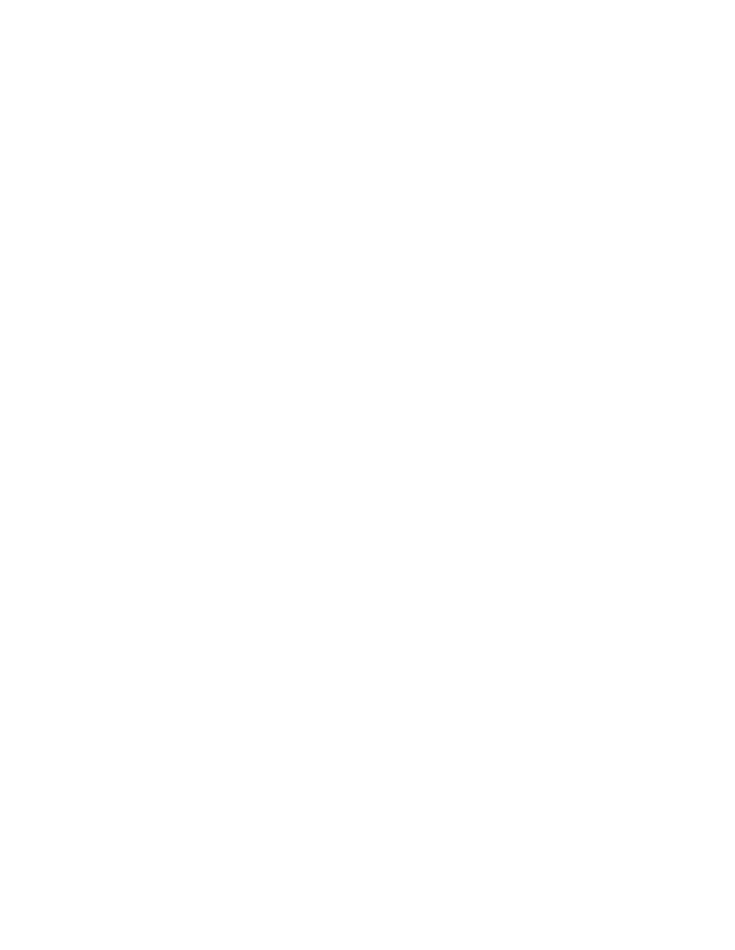## <span id="page-42-0"></span>7. Package Outline Drawings

## <span id="page-42-1"></span>7.1 ZSSD3224 Die Dimensional Drawings

[Figure 7.1](#page-42-2) provides an illustration of the approximate pad layout. See the *ZSSC3224 Technical Note – Delivery Specifications* for the die dimensions and related specifications.

<span id="page-42-2"></span>

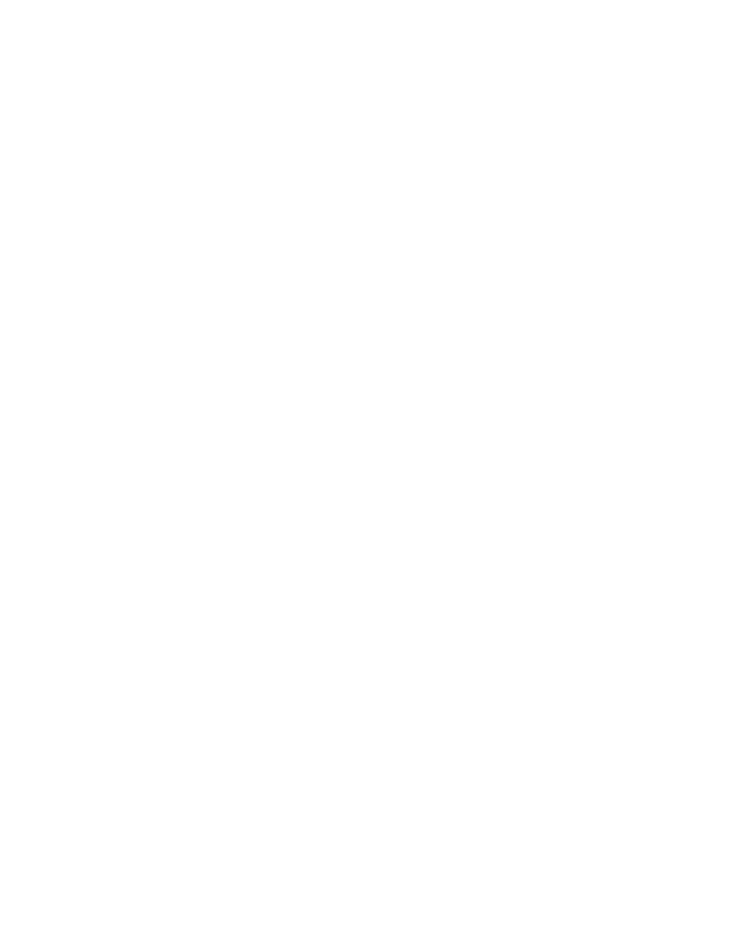## <span id="page-43-0"></span>7.2 24-PQFN Package Dimensions

[Figure 1.2](#page-6-1) provides dimensions for the 24-PQFN package (ZSSC3224BI3R).

#### <span id="page-43-1"></span>Figure 7.2 General 24-PQFN Package Dimensions



#### <span id="page-43-2"></span>Table 7.1 Physical Package Dimensions

| <b>Parameter / Dimension</b> | Min (mm)  | Max (mm) |  |
|------------------------------|-----------|----------|--|
| Α                            | 0.80      | 0.90     |  |
| A <sub>1</sub>               | 0.00      | 0.05     |  |
| b                            | 0.18      | 0.30     |  |
| e                            | $0.5$ nom |          |  |
| HD                           | 3.90      | 4.10     |  |
| HE                           | 3.90      | 4.10     |  |
|                              | 0.35      | 0.45     |  |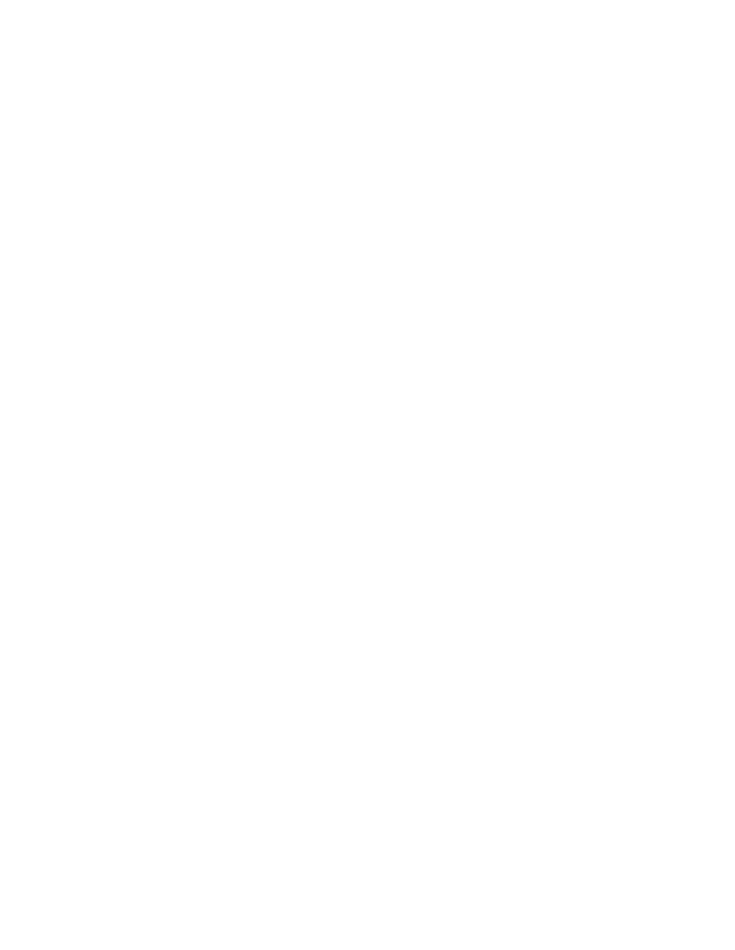## <span id="page-44-0"></span>8. Quality and Reliability

The ZSSC3224 is available as a qualified IC for consumer-market applications. All data specified parameters are guaranteed if not stated otherwise.

## <span id="page-44-1"></span>9. Related Documents

Visit the ZSSC3224 product page [www.IDT.com/ZSSC3224](http://www.idt.com/zssc3218) or contact your nearest sales office for the latest version of ZSSC3224 documents. The following document is available on request: *ZSSC3224 Technical Note – Delivery Specifications.*

## <span id="page-44-2"></span>10. Glossary

| <b>Term</b>      | <b>Description</b>                                                                                 |
|------------------|----------------------------------------------------------------------------------------------------|
| A <sub>2</sub> D | Analog-to-Digital                                                                                  |
| <b>ACK</b>       | Acknowledge (interface's protocol indicator for successful data/command transfer)                  |
| <b>ADC</b>       | Analog-to-Digital Converter or Conversion                                                          |
| <b>ALU</b>       | Arithmetic Logic Unit                                                                              |
| AΖ               | Auto-Zero (unspecific)                                                                             |
| <b>AZSM</b>      | Auto-Zero Measurement for (external) Sensor Path                                                   |
| <b>AZTM</b>      | Auto-Zero Measurement for Temperature Path                                                         |
| Au               | Gold                                                                                               |
| <b>CLK</b>       | Clock                                                                                              |
| Cu               | Copper                                                                                             |
| <b>DAC</b>       | Digital-to-Analog Conversion or Converter                                                          |
| DF               | Data Fetch (command type)                                                                          |
| <b>DSP</b>       | Digital Signal Processor                                                                           |
| EOC              | End of Conversion                                                                                  |
| <b>FSO</b>       | Full Scale Output (value in percent relative to the ADC maximum output code; resolution dependent) |
| <b>LSB</b>       | Least Significant Bit                                                                              |
| <b>LFSR</b>      | Linear Feedback Shift Register                                                                     |
| <b>MR</b>        | Measurement Request (command type)                                                                 |
| <b>MSB</b>       | Most Significant Bit                                                                               |
| <b>MTP</b>       | Multiple-Time Programmable Memory                                                                  |
| <b>NACK</b>      | Not Acknowledge (interface's protocol indicator for unsuccessful data/command transfer)            |
| <b>POR</b>       | Power-on Reset                                                                                     |
| PreAmp           | Preamplifier                                                                                       |
| <b>PSRR</b>      | Power Supply Disturbance Rejection Ratio                                                           |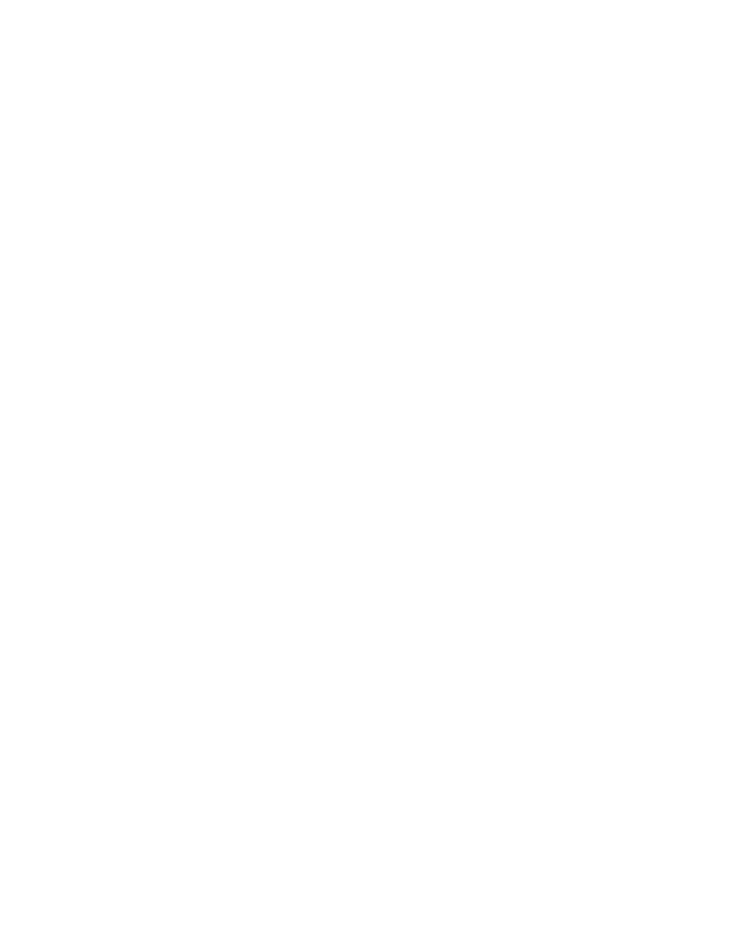| Term       | <b>Description</b>                                                          |
|------------|-----------------------------------------------------------------------------|
| <b>SM</b>  | Signal Measurement                                                          |
| <b>SOT</b> | Second-Order Term                                                           |
| ТC         | Temperature Coefficient (of a resistor or the equivalent bridge resistance) |
| TM         | <b>Temperature Measurement</b>                                              |

## <span id="page-45-0"></span>11. Marking Diagram

| 3224B<br><b>YYWW</b><br><b>XXXXX</b> |
|--------------------------------------|
|                                      |

- Line 1 3224B the truncated part number
- Line 2 YYWW are the last 2 digits of the year and week that the part was assembled
- Line 3 Last 5 digits of lot number

## <span id="page-45-1"></span>12. Ordering Information

Contact IDT Sales for additional information.

| Orderable Part Number | <b>Description and Package</b>                                                | <b>MSL Rating</b> | <b>Carrier Type</b> | <b>Temperature</b>                              |  |
|-----------------------|-------------------------------------------------------------------------------|-------------------|---------------------|-------------------------------------------------|--|
| ZSSC3224BI1B          | ZSSC3224 die: thickness 304um                                                 | Not applicable    | Unsawn wafer        | $-40^{\circ}$ C to +85 $^{\circ}$ C             |  |
| ZSSC3224BI2B          | ZSSC3224 die: thickness 725µm (without backlapping)                           | Not applicable    | Unsawn wafer        | -40 $^{\circ}$ C to +85 $^{\circ}$ C            |  |
| ZSSC3224BI3R          | ZSSC3224 24-PQFN: $4.0 \times 4.0 \times 0.85$ mm                             | MSL1              | Reel                | $-40^{\circ}$ C to +85 $^{\circ}$ C $\parallel$ |  |
| ZSSC3224KITV1P0       | Evaluation Kit for ZSSC3224, including boards, cable, software, and 5 samples |                   |                     |                                                 |  |